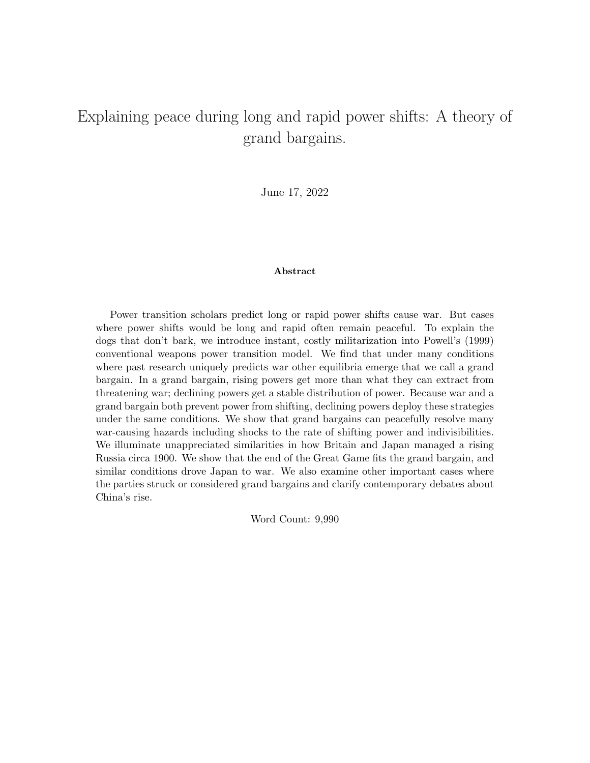# Explaining peace during long and rapid power shifts: A theory of grand bargains.

June 17, 2022

#### Abstract

Power transition scholars predict long or rapid power shifts cause war. But cases where power shifts would be long and rapid often remain peaceful. To explain the dogs that don't bark, we introduce instant, costly militarization into Powell's (1999) conventional weapons power transition model. We find that under many conditions where past research uniquely predicts war other equilibria emerge that we call a grand bargain. In a grand bargain, rising powers get more than what they can extract from threatening war; declining powers get a stable distribution of power. Because war and a grand bargain both prevent power from shifting, declining powers deploy these strategies under the same conditions. We show that grand bargains can peacefully resolve many war-causing hazards including shocks to the rate of shifting power and indivisibilities. We illuminate unappreciated similarities in how Britain and Japan managed a rising Russia circa 1900. We show that the end of the Great Game fits the grand bargain, and similar conditions drove Japan to war. We also examine other important cases where the parties struck or considered grand bargains and clarify contemporary debates about China's rise.

Word Count: 9,990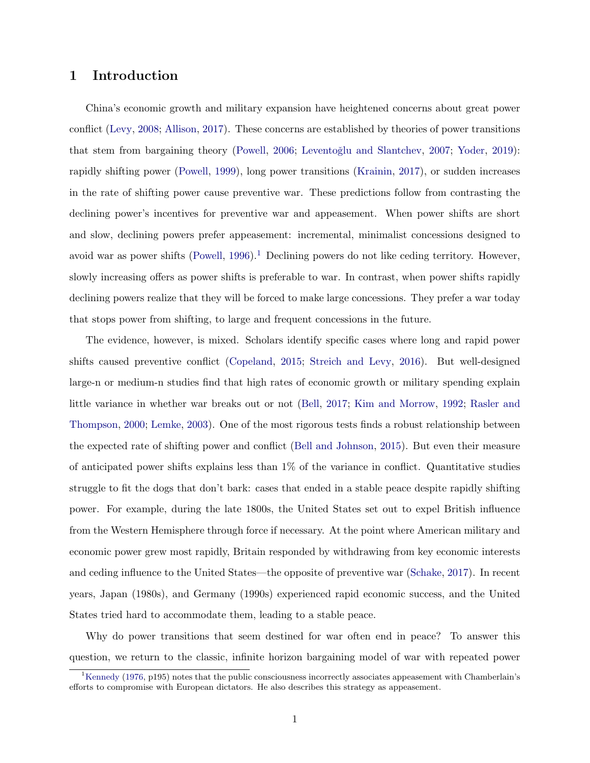## 1 Introduction

China's economic growth and military expansion have heightened concerns about great power conflict [\(Levy,](#page-33-0) [2008;](#page-33-0) [Allison,](#page-32-0) [2017\)](#page-32-0). These concerns are established by theories of power transitions that stem from bargaining theory [\(Powell,](#page-34-0) [2006;](#page-34-0) Leventoğlu and Slantchev, [2007;](#page-33-1) [Yoder,](#page-36-0) [2019\)](#page-36-0): rapidly shifting power [\(Powell,](#page-34-1) [1999\)](#page-34-1), long power transitions [\(Krainin,](#page-33-2) [2017\)](#page-33-2), or sudden increases in the rate of shifting power cause preventive war. These predictions follow from contrasting the declining power's incentives for preventive war and appeasement. When power shifts are short and slow, declining powers prefer appeasement: incremental, minimalist concessions designed to avoid war as power shifts  $(Powell, 1996).$  $(Powell, 1996).$  $(Powell, 1996).$  $(Powell, 1996).$ <sup>[1](#page-1-0)</sup> Declining powers do not like ceding territory. However, slowly increasing offers as power shifts is preferable to war. In contrast, when power shifts rapidly declining powers realize that they will be forced to make large concessions. They prefer a war today that stops power from shifting, to large and frequent concessions in the future.

The evidence, however, is mixed. Scholars identify specific cases where long and rapid power shifts caused preventive conflict [\(Copeland,](#page-32-1) [2015;](#page-32-1) [Streich and Levy,](#page-35-0) [2016\)](#page-35-0). But well-designed large-n or medium-n studies find that high rates of economic growth or military spending explain little variance in whether war breaks out or not [\(Bell,](#page-32-2) [2017;](#page-32-2) [Kim and Morrow,](#page-33-3) [1992;](#page-33-3) [Rasler and](#page-34-3) [Thompson,](#page-34-3) [2000;](#page-34-3) [Lemke,](#page-33-4) [2003\)](#page-33-4). One of the most rigorous tests finds a robust relationship between the expected rate of shifting power and conflict [\(Bell and Johnson,](#page-32-3) [2015\)](#page-32-3). But even their measure of anticipated power shifts explains less than 1% of the variance in conflict. Quantitative studies struggle to fit the dogs that don't bark: cases that ended in a stable peace despite rapidly shifting power. For example, during the late 1800s, the United States set out to expel British influence from the Western Hemisphere through force if necessary. At the point where American military and economic power grew most rapidly, Britain responded by withdrawing from key economic interests and ceding influence to the United States—the opposite of preventive war [\(Schake,](#page-35-1) [2017\)](#page-35-1). In recent years, Japan (1980s), and Germany (1990s) experienced rapid economic success, and the United States tried hard to accommodate them, leading to a stable peace.

Why do power transitions that seem destined for war often end in peace? To answer this question, we return to the classic, infinite horizon bargaining model of war with repeated power

<span id="page-1-0"></span><sup>&</sup>lt;sup>1</sup>[Kennedy](#page-33-5) [\(1976,](#page-33-5) p195) notes that the public consciousness incorrectly associates appeasement with Chamberlain's efforts to compromise with European dictators. He also describes this strategy as appeasement.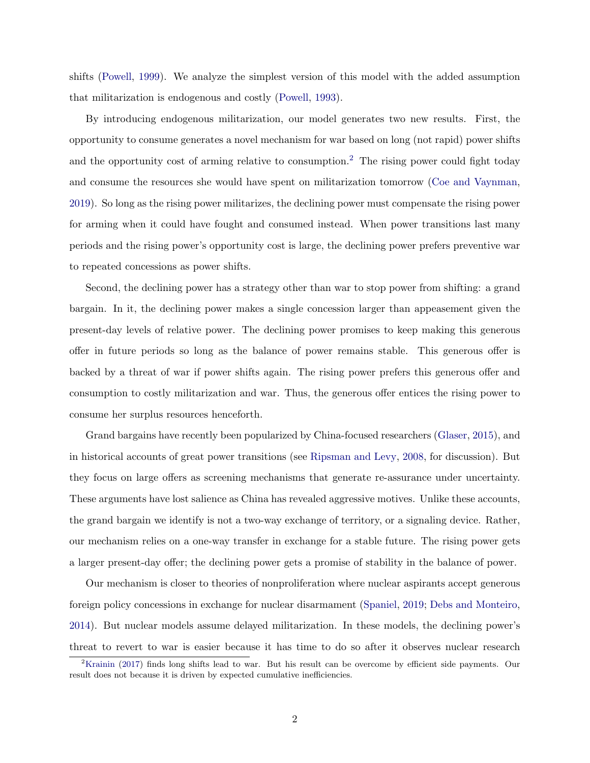shifts [\(Powell,](#page-34-1) [1999\)](#page-34-1). We analyze the simplest version of this model with the added assumption that militarization is endogenous and costly [\(Powell,](#page-34-4) [1993\)](#page-34-4).

By introducing endogenous militarization, our model generates two new results. First, the opportunity to consume generates a novel mechanism for war based on long (not rapid) power shifts and the opportunity cost of arming relative to consumption.<sup>[2](#page-2-0)</sup> The rising power could fight today and consume the resources she would have spent on militarization tomorrow [\(Coe and Vaynman,](#page-32-4) [2019\)](#page-32-4). So long as the rising power militarizes, the declining power must compensate the rising power for arming when it could have fought and consumed instead. When power transitions last many periods and the rising power's opportunity cost is large, the declining power prefers preventive war to repeated concessions as power shifts.

Second, the declining power has a strategy other than war to stop power from shifting: a grand bargain. In it, the declining power makes a single concession larger than appeasement given the present-day levels of relative power. The declining power promises to keep making this generous offer in future periods so long as the balance of power remains stable. This generous offer is backed by a threat of war if power shifts again. The rising power prefers this generous offer and consumption to costly militarization and war. Thus, the generous offer entices the rising power to consume her surplus resources henceforth.

Grand bargains have recently been popularized by China-focused researchers [\(Glaser,](#page-33-6) [2015\)](#page-33-6), and in historical accounts of great power transitions (see [Ripsman and Levy,](#page-35-2) [2008,](#page-35-2) for discussion). But they focus on large offers as screening mechanisms that generate re-assurance under uncertainty. These arguments have lost salience as China has revealed aggressive motives. Unlike these accounts, the grand bargain we identify is not a two-way exchange of territory, or a signaling device. Rather, our mechanism relies on a one-way transfer in exchange for a stable future. The rising power gets a larger present-day offer; the declining power gets a promise of stability in the balance of power.

Our mechanism is closer to theories of nonproliferation where nuclear aspirants accept generous foreign policy concessions in exchange for nuclear disarmament [\(Spaniel,](#page-35-3) [2019;](#page-35-3) [Debs and Monteiro,](#page-32-5) [2014\)](#page-32-5). But nuclear models assume delayed militarization. In these models, the declining power's threat to revert to war is easier because it has time to do so after it observes nuclear research

<span id="page-2-0"></span><sup>2</sup>[Krainin](#page-33-2) [\(2017\)](#page-33-2) finds long shifts lead to war. But his result can be overcome by efficient side payments. Our result does not because it is driven by expected cumulative inefficiencies.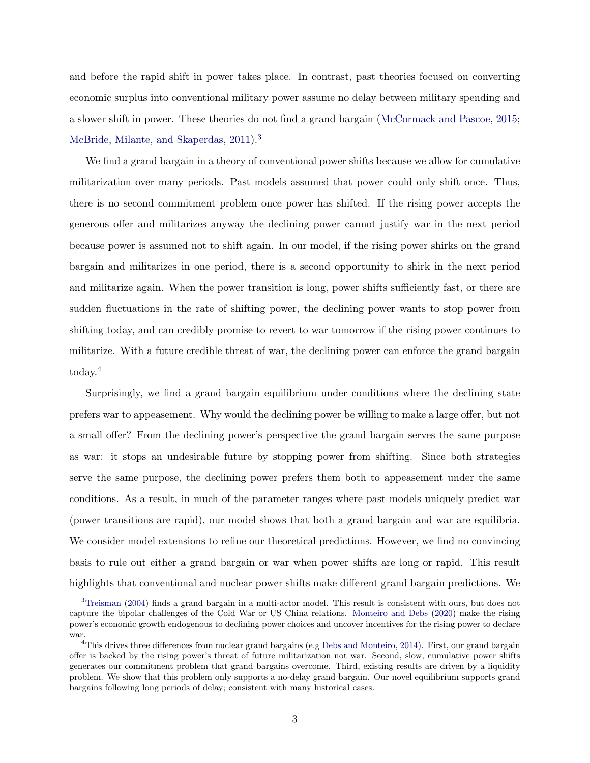and before the rapid shift in power takes place. In contrast, past theories focused on converting economic surplus into conventional military power assume no delay between military spending and a slower shift in power. These theories do not find a grand bargain [\(McCormack and Pascoe,](#page-33-7) [2015;](#page-33-7) [McBride, Milante, and Skaperdas,](#page-33-8) [2011\)](#page-33-8).<sup>[3](#page-3-0)</sup>

We find a grand bargain in a theory of conventional power shifts because we allow for cumulative militarization over many periods. Past models assumed that power could only shift once. Thus, there is no second commitment problem once power has shifted. If the rising power accepts the generous offer and militarizes anyway the declining power cannot justify war in the next period because power is assumed not to shift again. In our model, if the rising power shirks on the grand bargain and militarizes in one period, there is a second opportunity to shirk in the next period and militarize again. When the power transition is long, power shifts sufficiently fast, or there are sudden fluctuations in the rate of shifting power, the declining power wants to stop power from shifting today, and can credibly promise to revert to war tomorrow if the rising power continues to militarize. With a future credible threat of war, the declining power can enforce the grand bargain today.[4](#page-3-1)

Surprisingly, we find a grand bargain equilibrium under conditions where the declining state prefers war to appeasement. Why would the declining power be willing to make a large offer, but not a small offer? From the declining power's perspective the grand bargain serves the same purpose as war: it stops an undesirable future by stopping power from shifting. Since both strategies serve the same purpose, the declining power prefers them both to appeasement under the same conditions. As a result, in much of the parameter ranges where past models uniquely predict war (power transitions are rapid), our model shows that both a grand bargain and war are equilibria. We consider model extensions to refine our theoretical predictions. However, we find no convincing basis to rule out either a grand bargain or war when power shifts are long or rapid. This result highlights that conventional and nuclear power shifts make different grand bargain predictions. We

<span id="page-3-0"></span><sup>3</sup>[Treisman](#page-36-1) [\(2004\)](#page-36-1) finds a grand bargain in a multi-actor model. This result is consistent with ours, but does not capture the bipolar challenges of the Cold War or US China relations. [Monteiro and Debs](#page-34-5) [\(2020\)](#page-34-5) make the rising power's economic growth endogenous to declining power choices and uncover incentives for the rising power to declare war.

<span id="page-3-1"></span><sup>&</sup>lt;sup>4</sup>This drives three differences from nuclear grand bargains (e.g [Debs and Monteiro,](#page-32-5) [2014\)](#page-32-5). First, our grand bargain offer is backed by the rising power's threat of future militarization not war. Second, slow, cumulative power shifts generates our commitment problem that grand bargains overcome. Third, existing results are driven by a liquidity problem. We show that this problem only supports a no-delay grand bargain. Our novel equilibrium supports grand bargains following long periods of delay; consistent with many historical cases.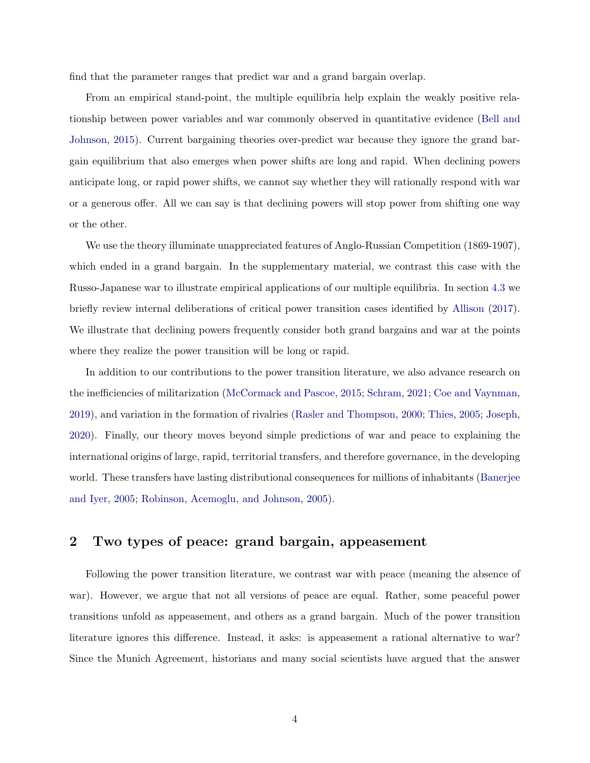find that the parameter ranges that predict war and a grand bargain overlap.

From an empirical stand-point, the multiple equilibria help explain the weakly positive relationship between power variables and war commonly observed in quantitative evidence [\(Bell and](#page-32-3) [Johnson,](#page-32-3) [2015\)](#page-32-3). Current bargaining theories over-predict war because they ignore the grand bargain equilibrium that also emerges when power shifts are long and rapid. When declining powers anticipate long, or rapid power shifts, we cannot say whether they will rationally respond with war or a generous offer. All we can say is that declining powers will stop power from shifting one way or the other.

We use the theory illuminate unappreciated features of Anglo-Russian Competition (1869-1907), which ended in a grand bargain. In the supplementary material, we contrast this case with the Russo-Japanese war to illustrate empirical applications of our multiple equilibria. In section [4.3](#page-29-0) we briefly review internal deliberations of critical power transition cases identified by [Allison](#page-32-0) [\(2017\)](#page-32-0). We illustrate that declining powers frequently consider both grand bargains and war at the points where they realize the power transition will be long or rapid.

In addition to our contributions to the power transition literature, we also advance research on the inefficiencies of militarization [\(McCormack and Pascoe,](#page-33-7) [2015;](#page-33-7) [Schram,](#page-35-4) [2021;](#page-35-4) [Coe and Vaynman,](#page-32-4) [2019\)](#page-32-4), and variation in the formation of rivalries [\(Rasler and Thompson,](#page-34-3) [2000;](#page-34-3) [Thies,](#page-35-5) [2005;](#page-35-5) [Joseph,](#page-33-9) [2020\)](#page-33-9). Finally, our theory moves beyond simple predictions of war and peace to explaining the international origins of large, rapid, territorial transfers, and therefore governance, in the developing world. These transfers have lasting distributional consequences for millions of inhabitants [\(Banerjee](#page-32-6) [and Iyer,](#page-32-6) [2005;](#page-32-6) [Robinson, Acemoglu, and Johnson,](#page-35-6) [2005\)](#page-35-6).

## 2 Two types of peace: grand bargain, appeasement

Following the power transition literature, we contrast war with peace (meaning the absence of war). However, we argue that not all versions of peace are equal. Rather, some peaceful power transitions unfold as appeasement, and others as a grand bargain. Much of the power transition literature ignores this difference. Instead, it asks: is appeasement a rational alternative to war? Since the Munich Agreement, historians and many social scientists have argued that the answer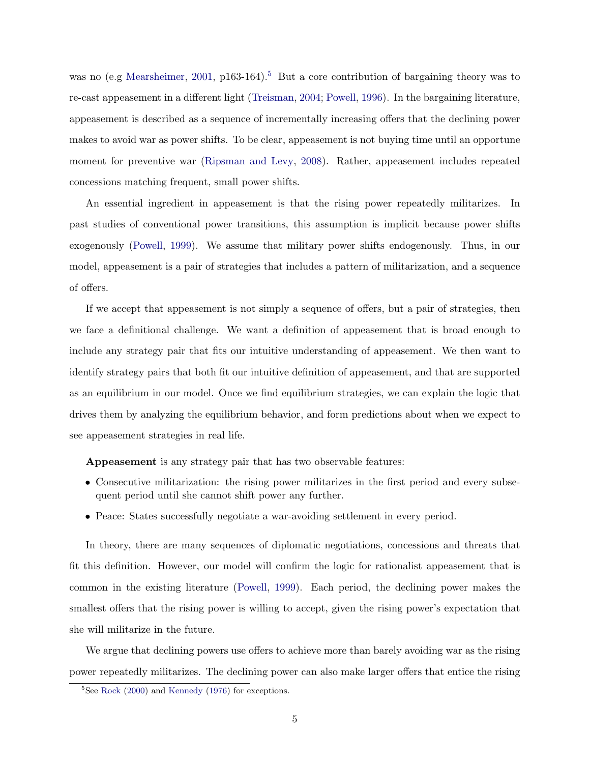was no (e.g [Mearsheimer,](#page-34-6) [2001,](#page-34-6) p163-164).<sup>[5](#page-5-0)</sup> But a core contribution of bargaining theory was to re-cast appeasement in a different light [\(Treisman,](#page-36-1) [2004;](#page-36-1) [Powell,](#page-34-2) [1996\)](#page-34-2). In the bargaining literature, appeasement is described as a sequence of incrementally increasing offers that the declining power makes to avoid war as power shifts. To be clear, appeasement is not buying time until an opportune moment for preventive war [\(Ripsman and Levy,](#page-35-2) [2008\)](#page-35-2). Rather, appeasement includes repeated concessions matching frequent, small power shifts.

An essential ingredient in appeasement is that the rising power repeatedly militarizes. In past studies of conventional power transitions, this assumption is implicit because power shifts exogenously [\(Powell,](#page-34-1) [1999\)](#page-34-1). We assume that military power shifts endogenously. Thus, in our model, appeasement is a pair of strategies that includes a pattern of militarization, and a sequence of offers.

If we accept that appeasement is not simply a sequence of offers, but a pair of strategies, then we face a definitional challenge. We want a definition of appeasement that is broad enough to include any strategy pair that fits our intuitive understanding of appeasement. We then want to identify strategy pairs that both fit our intuitive definition of appeasement, and that are supported as an equilibrium in our model. Once we find equilibrium strategies, we can explain the logic that drives them by analyzing the equilibrium behavior, and form predictions about when we expect to see appeasement strategies in real life.

Appeasement is any strategy pair that has two observable features:

- Consecutive militarization: the rising power militarizes in the first period and every subsequent period until she cannot shift power any further.
- Peace: States successfully negotiate a war-avoiding settlement in every period.

In theory, there are many sequences of diplomatic negotiations, concessions and threats that fit this definition. However, our model will confirm the logic for rationalist appeasement that is common in the existing literature [\(Powell,](#page-34-1) [1999\)](#page-34-1). Each period, the declining power makes the smallest offers that the rising power is willing to accept, given the rising power's expectation that she will militarize in the future.

We argue that declining powers use offers to achieve more than barely avoiding war as the rising power repeatedly militarizes. The declining power can also make larger offers that entice the rising

<span id="page-5-0"></span> $5$ See [Rock](#page-35-7) [\(2000\)](#page-35-7) and [Kennedy](#page-33-5) [\(1976\)](#page-33-5) for exceptions.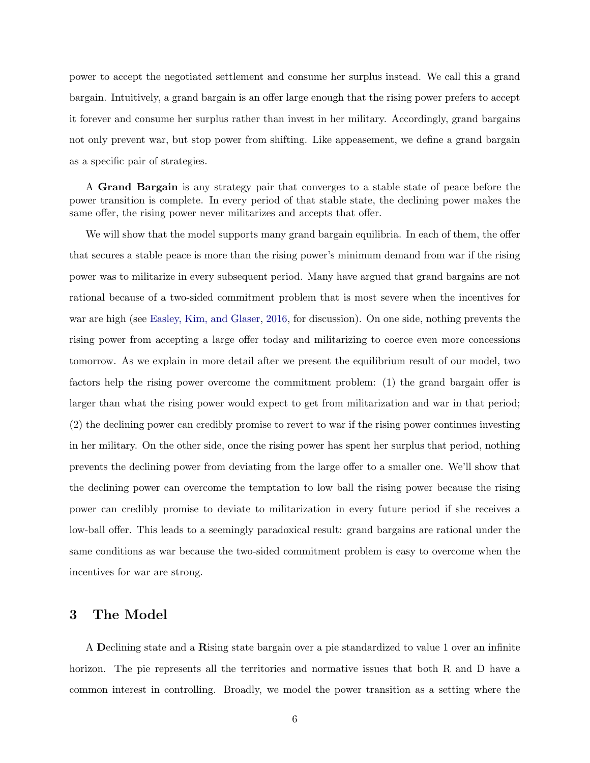power to accept the negotiated settlement and consume her surplus instead. We call this a grand bargain. Intuitively, a grand bargain is an offer large enough that the rising power prefers to accept it forever and consume her surplus rather than invest in her military. Accordingly, grand bargains not only prevent war, but stop power from shifting. Like appeasement, we define a grand bargain as a specific pair of strategies.

A Grand Bargain is any strategy pair that converges to a stable state of peace before the power transition is complete. In every period of that stable state, the declining power makes the same offer, the rising power never militarizes and accepts that offer.

We will show that the model supports many grand bargain equilibria. In each of them, the offer that secures a stable peace is more than the rising power's minimum demand from war if the rising power was to militarize in every subsequent period. Many have argued that grand bargains are not rational because of a two-sided commitment problem that is most severe when the incentives for war are high (see [Easley, Kim, and Glaser,](#page-32-7) [2016,](#page-32-7) for discussion). On one side, nothing prevents the rising power from accepting a large offer today and militarizing to coerce even more concessions tomorrow. As we explain in more detail after we present the equilibrium result of our model, two factors help the rising power overcome the commitment problem: (1) the grand bargain offer is larger than what the rising power would expect to get from militarization and war in that period; (2) the declining power can credibly promise to revert to war if the rising power continues investing in her military. On the other side, once the rising power has spent her surplus that period, nothing prevents the declining power from deviating from the large offer to a smaller one. We'll show that the declining power can overcome the temptation to low ball the rising power because the rising power can credibly promise to deviate to militarization in every future period if she receives a low-ball offer. This leads to a seemingly paradoxical result: grand bargains are rational under the same conditions as war because the two-sided commitment problem is easy to overcome when the incentives for war are strong.

## 3 The Model

A Declining state and a Rising state bargain over a pie standardized to value 1 over an infinite horizon. The pie represents all the territories and normative issues that both R and D have a common interest in controlling. Broadly, we model the power transition as a setting where the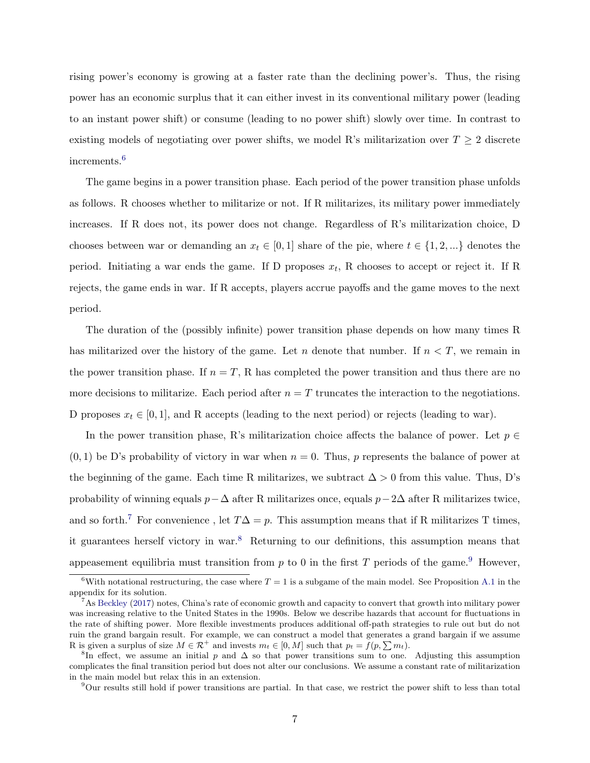rising power's economy is growing at a faster rate than the declining power's. Thus, the rising power has an economic surplus that it can either invest in its conventional military power (leading to an instant power shift) or consume (leading to no power shift) slowly over time. In contrast to existing models of negotiating over power shifts, we model R's militarization over  $T \geq 2$  discrete increments.[6](#page-7-0)

The game begins in a power transition phase. Each period of the power transition phase unfolds as follows. R chooses whether to militarize or not. If R militarizes, its military power immediately increases. If R does not, its power does not change. Regardless of R's militarization choice, D chooses between war or demanding an  $x_t \in [0, 1]$  share of the pie, where  $t \in \{1, 2, ...\}$  denotes the period. Initiating a war ends the game. If D proposes  $x_t$ , R chooses to accept or reject it. If R rejects, the game ends in war. If R accepts, players accrue payoffs and the game moves to the next period.

The duration of the (possibly infinite) power transition phase depends on how many times R has militarized over the history of the game. Let n denote that number. If  $n < T$ , we remain in the power transition phase. If  $n = T$ , R has completed the power transition and thus there are no more decisions to militarize. Each period after  $n = T$  truncates the interaction to the negotiations. D proposes  $x_t \in [0, 1]$ , and R accepts (leading to the next period) or rejects (leading to war).

In the power transition phase, R's militarization choice affects the balance of power. Let  $p \in$  $(0, 1)$  be D's probability of victory in war when  $n = 0$ . Thus, p represents the balance of power at the beginning of the game. Each time R militarizes, we subtract  $\Delta > 0$  from this value. Thus, D's probability of winning equals  $p-\Delta$  after R militarizes once, equals  $p-2\Delta$  after R militarizes twice, and so forth.<sup>[7](#page-7-1)</sup> For convenience, let  $T\Delta = p$ . This assumption means that if R militarizes T times, it guarantees herself victory in war.[8](#page-7-2) Returning to our definitions, this assumption means that appeasement equilibria must transition from  $p$  to 0 in the first  $T$  periods of the game.<sup>[9](#page-7-3)</sup> However,

<span id="page-7-0"></span><sup>&</sup>lt;sup>6</sup>With notational restructuring, the case where  $T = 1$  is a subgame of the main model. See Proposition [A.1](#page-37-0) in the appendix for its solution.

<span id="page-7-1"></span> $^7$ As [Beckley](#page-32-8) [\(2017\)](#page-32-8) notes, China's rate of economic growth and capacity to convert that growth into military power was increasing relative to the United States in the 1990s. Below we describe hazards that account for fluctuations in the rate of shifting power. More flexible investments produces additional off-path strategies to rule out but do not ruin the grand bargain result. For example, we can construct a model that generates a grand bargain if we assume R is given a surplus of size  $M \in \mathcal{R}^+$  and invests  $m_t \in [0, M]$  such that  $p_t = f(p, \sum m_t)$ .

<span id="page-7-2"></span><sup>&</sup>lt;sup>8</sup>In effect, we assume an initial p and  $\Delta$  so that power transitions sum to one. Adjusting this assumption complicates the final transition period but does not alter our conclusions. We assume a constant rate of militarization in the main model but relax this in an extension.

<span id="page-7-3"></span> $9$ Our results still hold if power transitions are partial. In that case, we restrict the power shift to less than total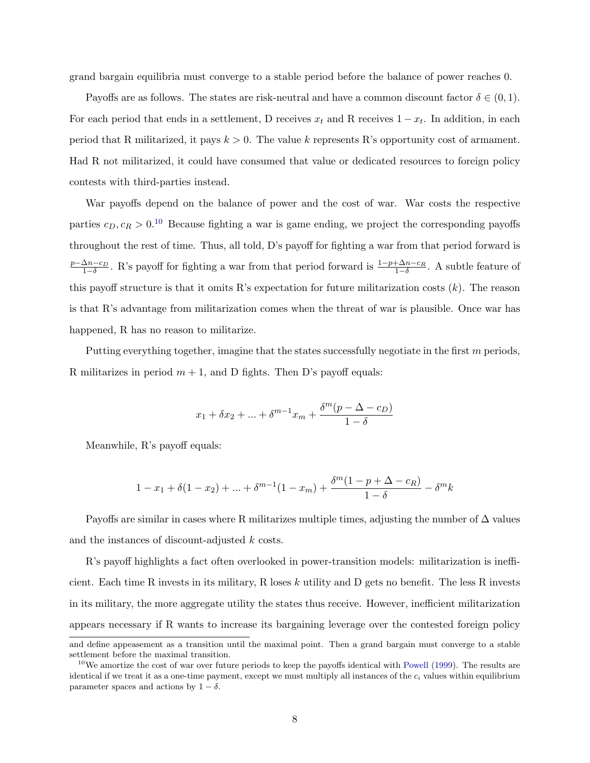grand bargain equilibria must converge to a stable period before the balance of power reaches 0.

Payoffs are as follows. The states are risk-neutral and have a common discount factor  $\delta \in (0,1)$ . For each period that ends in a settlement, D receives  $x_t$  and R receives  $1 - x_t$ . In addition, in each period that R militarized, it pays  $k > 0$ . The value k represents R's opportunity cost of armament. Had R not militarized, it could have consumed that value or dedicated resources to foreign policy contests with third-parties instead.

War payoffs depend on the balance of power and the cost of war. War costs the respective parties  $c_D, c_R > 0.10$  $c_D, c_R > 0.10$  Because fighting a war is game ending, we project the corresponding payoffs throughout the rest of time. Thus, all told, D's payoff for fighting a war from that period forward is  $\frac{p-\Delta n-c_D}{1-\delta}$ . R's payoff for fighting a war from that period forward is  $\frac{1-p+\Delta n-c_R}{1-\delta}$ . A subtle feature of this payoff structure is that it omits R's expectation for future militarization costs  $(k)$ . The reason is that R's advantage from militarization comes when the threat of war is plausible. Once war has happened, R has no reason to militarize.

Putting everything together, imagine that the states successfully negotiate in the first m periods, R militarizes in period  $m + 1$ , and D fights. Then D's payoff equals:

$$
x_1 + \delta x_2 + \dots + \delta^{m-1} x_m + \frac{\delta^m (p - \Delta - c_D)}{1 - \delta}
$$

Meanwhile, R's payoff equals:

$$
1 - x_1 + \delta(1 - x_2) + \dots + \delta^{m-1}(1 - x_m) + \frac{\delta^m(1 - p + \Delta - c_R)}{1 - \delta} - \delta^m k
$$

Payoffs are similar in cases where R militarizes multiple times, adjusting the number of  $\Delta$  values and the instances of discount-adjusted k costs.

R's payoff highlights a fact often overlooked in power-transition models: militarization is inefficient. Each time R invests in its military, R loses  $k$  utility and D gets no benefit. The less R invests in its military, the more aggregate utility the states thus receive. However, inefficient militarization appears necessary if R wants to increase its bargaining leverage over the contested foreign policy

and define appeasement as a transition until the maximal point. Then a grand bargain must converge to a stable settlement before the maximal transition.

<span id="page-8-0"></span> $10$ We amortize the cost of war over future periods to keep the payoffs identical with [Powell](#page-34-1) [\(1999\)](#page-34-1). The results are identical if we treat it as a one-time payment, except we must multiply all instances of the  $c_i$  values within equilibrium parameter spaces and actions by  $1 - \delta$ .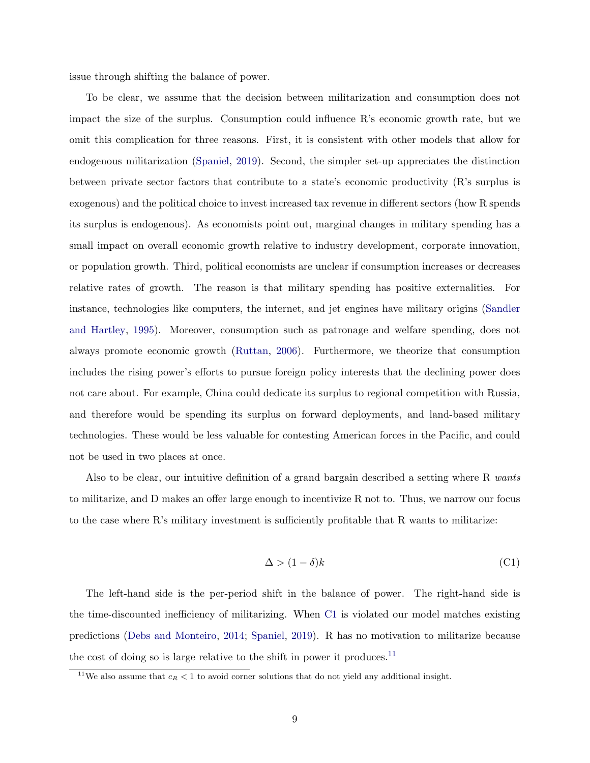issue through shifting the balance of power.

To be clear, we assume that the decision between militarization and consumption does not impact the size of the surplus. Consumption could influence R's economic growth rate, but we omit this complication for three reasons. First, it is consistent with other models that allow for endogenous militarization [\(Spaniel,](#page-35-3) [2019\)](#page-35-3). Second, the simpler set-up appreciates the distinction between private sector factors that contribute to a state's economic productivity (R's surplus is exogenous) and the political choice to invest increased tax revenue in different sectors (how R spends its surplus is endogenous). As economists point out, marginal changes in military spending has a small impact on overall economic growth relative to industry development, corporate innovation, or population growth. Third, political economists are unclear if consumption increases or decreases relative rates of growth. The reason is that military spending has positive externalities. For instance, technologies like computers, the internet, and jet engines have military origins [\(Sandler](#page-35-8) [and Hartley,](#page-35-8) [1995\)](#page-35-8). Moreover, consumption such as patronage and welfare spending, does not always promote economic growth [\(Ruttan,](#page-35-9) [2006\)](#page-35-9). Furthermore, we theorize that consumption includes the rising power's efforts to pursue foreign policy interests that the declining power does not care about. For example, China could dedicate its surplus to regional competition with Russia, and therefore would be spending its surplus on forward deployments, and land-based military technologies. These would be less valuable for contesting American forces in the Pacific, and could not be used in two places at once.

Also to be clear, our intuitive definition of a grand bargain described a setting where R wants to militarize, and D makes an offer large enough to incentivize R not to. Thus, we narrow our focus to the case where R's military investment is sufficiently profitable that R wants to militarize:

<span id="page-9-0"></span>
$$
\Delta > (1 - \delta)k \tag{C1}
$$

The left-hand side is the per-period shift in the balance of power. The right-hand side is the time-discounted inefficiency of militarizing. When [C1](#page-9-0) is violated our model matches existing predictions [\(Debs and Monteiro,](#page-32-5) [2014;](#page-32-5) [Spaniel,](#page-35-3) [2019\)](#page-35-3). R has no motivation to militarize because the cost of doing so is large relative to the shift in power it produces.<sup>[11](#page-9-1)</sup>

<span id="page-9-1"></span><sup>&</sup>lt;sup>11</sup>We also assume that  $c_R < 1$  to avoid corner solutions that do not yield any additional insight.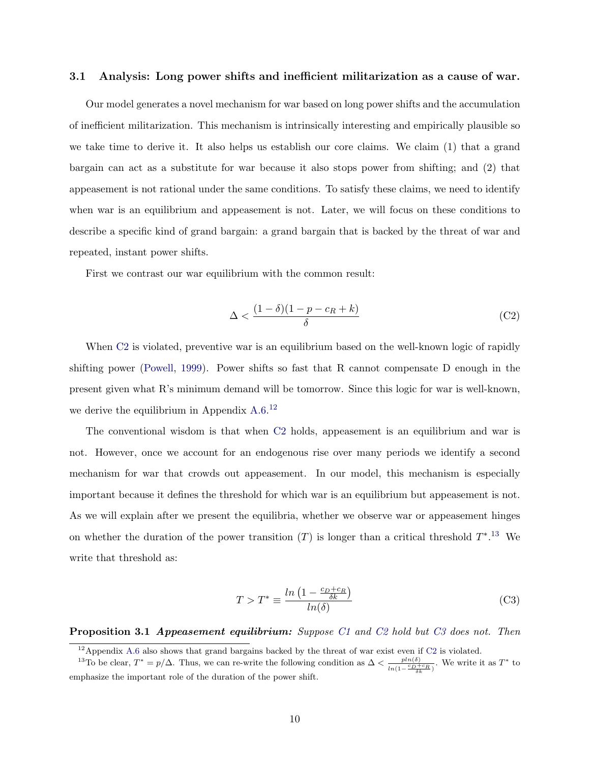## 3.1 Analysis: Long power shifts and inefficient militarization as a cause of war.

Our model generates a novel mechanism for war based on long power shifts and the accumulation of inefficient militarization. This mechanism is intrinsically interesting and empirically plausible so we take time to derive it. It also helps us establish our core claims. We claim (1) that a grand bargain can act as a substitute for war because it also stops power from shifting; and (2) that appeasement is not rational under the same conditions. To satisfy these claims, we need to identify when war is an equilibrium and appeasement is not. Later, we will focus on these conditions to describe a specific kind of grand bargain: a grand bargain that is backed by the threat of war and repeated, instant power shifts.

First we contrast our war equilibrium with the common result:

$$
\Delta < \frac{(1-\delta)(1-p-c_R+k)}{\delta} \tag{C2}
$$

When C<sub>2</sub> is violated, preventive war is an equilibrium based on the well-known logic of rapidly shifting power [\(Powell,](#page-34-1) [1999\)](#page-34-1). Power shifts so fast that R cannot compensate D enough in the present given what R's minimum demand will be tomorrow. Since this logic for war is well-known, we derive the equilibrium in Appendix [A.6.](#page-47-0)<sup>[12](#page-10-0)</sup>

The conventional wisdom is that when [C2](#page-9-0) holds, appeasement is an equilibrium and war is not. However, once we account for an endogenous rise over many periods we identify a second mechanism for war that crowds out appeasement. In our model, this mechanism is especially important because it defines the threshold for which war is an equilibrium but appeasement is not. As we will explain after we present the equilibria, whether we observe war or appeasement hinges on whether the duration of the power transition  $(T)$  is longer than a critical threshold  $T^*$ .<sup>[13](#page-10-1)</sup> We write that threshold as:

$$
T > T^* \equiv \frac{\ln\left(1 - \frac{c_D + c_R}{\delta k}\right)}{\ln(\delta)}\tag{C3}
$$

<span id="page-10-2"></span>**Proposition 3.1 Appeasement equilibrium:** Suppose [C1](#page-9-0) and [C2](#page-9-0) hold but [C3](#page-9-0) does not. Then

<span id="page-10-1"></span><span id="page-10-0"></span> $12$ Appendix [A.6](#page-47-0) also shows that grand bargains backed by the threat of war exist even if [C2](#page-9-0) is violated.

<sup>&</sup>lt;sup>13</sup>To be clear,  $T^* = p/\Delta$ . Thus, we can re-write the following condition as  $\Delta < \frac{p ln(\delta)}{n \Delta R}$  $\frac{pln(\delta)}{ln(1-\frac{c_D+c_R}{\delta k})}$ . We write it as  $T^*$  to emphasize the important role of the duration of the power shift.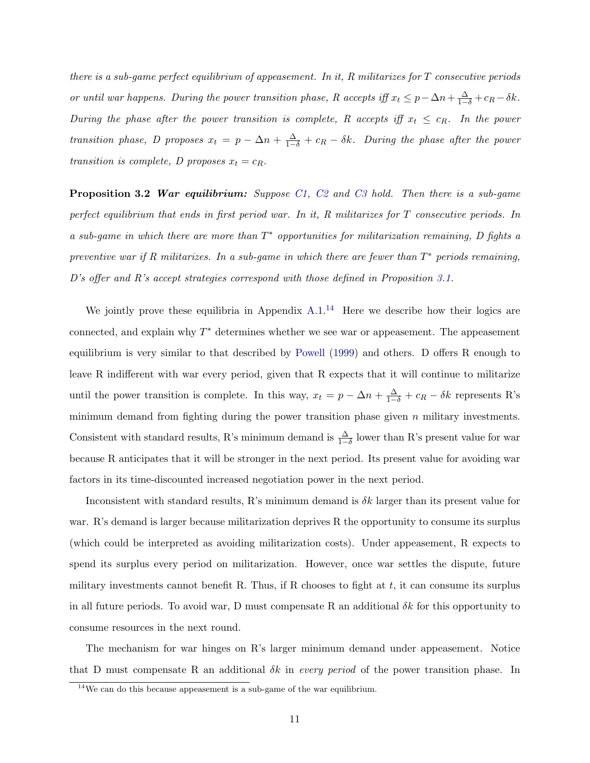there is a sub-game perfect equilibrium of appeasement. In it, R militarizes for T consecutive periods or until war happens. During the power transition phase, R accepts iff  $x_t \leq p - \Delta n + \frac{\Delta}{1-\delta} + c_R - \delta k$ . During the phase after the power transition is complete, R accepts iff  $x_t \leq c_R$ . In the power transition phase, D proposes  $x_t = p - \Delta n + \frac{\Delta}{1-\delta} + c_R - \delta k$ . During the phase after the power transition is complete, D proposes  $x_t = c_R$ .

<span id="page-11-1"></span>**Proposition 3.2 War equilibrium:** Suppose [C1,](#page-9-0) [C2](#page-9-0) and [C3](#page-9-0) hold. Then there is a sub-game perfect equilibrium that ends in first period war. In it, R militarizes for T consecutive periods. In a sub-game in which there are more than  $T^*$  opportunities for militarization remaining, D fights a preventive war if R militarizes. In a sub-game in which there are fewer than  $T^*$  periods remaining, D's offer and R's accept strategies correspond with those defined in Proposition [3.1.](#page-10-2)

We jointly prove these equilibria in Appendix  $A.1<sup>14</sup>$  $A.1<sup>14</sup>$  $A.1<sup>14</sup>$  Here we describe how their logics are connected, and explain why  $T^*$  determines whether we see war or appeasement. The appeasement equilibrium is very similar to that described by [Powell](#page-34-1) [\(1999\)](#page-34-1) and others. D offers R enough to leave R indifferent with war every period, given that R expects that it will continue to militarize until the power transition is complete. In this way,  $x_t = p - \Delta n + \frac{\Delta}{1-\delta} + c_R - \delta k$  represents R's minimum demand from fighting during the power transition phase given  $n$  military investments. Consistent with standard results, R's minimum demand is  $\frac{\Delta}{1-\delta}$  lower than R's present value for war because R anticipates that it will be stronger in the next period. Its present value for avoiding war factors in its time-discounted increased negotiation power in the next period.

Inconsistent with standard results, R's minimum demand is  $\delta k$  larger than its present value for war. R's demand is larger because militarization deprives R the opportunity to consume its surplus (which could be interpreted as avoiding militarization costs). Under appeasement, R expects to spend its surplus every period on militarization. However, once war settles the dispute, future military investments cannot benefit R. Thus, if R chooses to fight at  $t$ , it can consume its surplus in all future periods. To avoid war, D must compensate R an additional  $\delta k$  for this opportunity to consume resources in the next round.

The mechanism for war hinges on R's larger minimum demand under appeasement. Notice that D must compensate R an additional  $\delta k$  in every period of the power transition phase. In

<span id="page-11-0"></span> $14\rm{We}$  can do this because appeasement is a sub-game of the war equilibrium.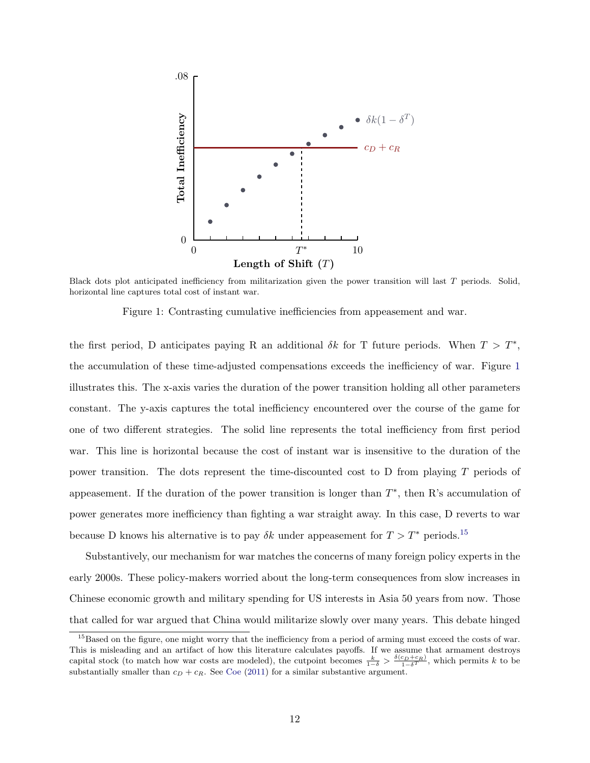<span id="page-12-0"></span>

Black dots plot anticipated inefficiency from militarization given the power transition will last T periods. Solid, horizontal line captures total cost of instant war.

Figure 1: Contrasting cumulative inefficiencies from appeasement and war.

the first period, D anticipates paying R an additional  $\delta k$  for T future periods. When  $T > T^*$ , the accumulation of these time-adjusted compensations exceeds the inefficiency of war. Figure [1](#page-12-0) illustrates this. The x-axis varies the duration of the power transition holding all other parameters constant. The y-axis captures the total inefficiency encountered over the course of the game for one of two different strategies. The solid line represents the total inefficiency from first period war. This line is horizontal because the cost of instant war is insensitive to the duration of the power transition. The dots represent the time-discounted cost to D from playing T periods of appeasement. If the duration of the power transition is longer than  $T^*$ , then R's accumulation of power generates more inefficiency than fighting a war straight away. In this case, D reverts to war because D knows his alternative is to pay  $\delta k$  under appeasement for  $T > T^*$  periods.<sup>[15](#page-12-1)</sup>

Substantively, our mechanism for war matches the concerns of many foreign policy experts in the early 2000s. These policy-makers worried about the long-term consequences from slow increases in Chinese economic growth and military spending for US interests in Asia 50 years from now. Those that called for war argued that China would militarize slowly over many years. This debate hinged

<span id="page-12-1"></span><sup>&</sup>lt;sup>15</sup>Based on the figure, one might worry that the inefficiency from a period of arming must exceed the costs of war. This is misleading and an artifact of how this literature calculates payoffs. If we assume that armament destroys capital stock (to match how war costs are modeled), the cutpoint becomes  $\frac{k}{1-\delta} > \frac{\delta(c_D+c_R)}{1-\delta^T}$ , which permits k to be substantially smaller than  $c_D + c_R$ . See [Coe](#page-32-9) [\(2011\)](#page-32-9) for a similar substantive argument.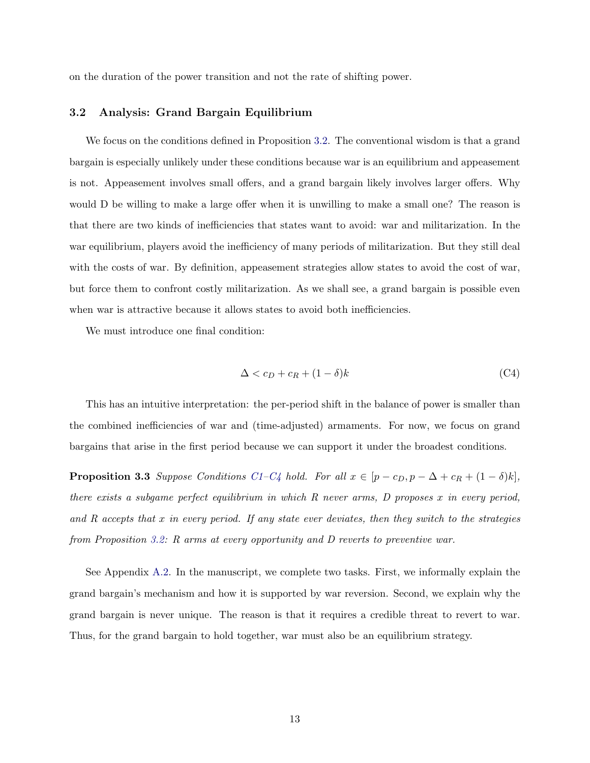on the duration of the power transition and not the rate of shifting power.

## 3.2 Analysis: Grand Bargain Equilibrium

We focus on the conditions defined in Proposition [3.2.](#page-11-1) The conventional wisdom is that a grand bargain is especially unlikely under these conditions because war is an equilibrium and appeasement is not. Appeasement involves small offers, and a grand bargain likely involves larger offers. Why would D be willing to make a large offer when it is unwilling to make a small one? The reason is that there are two kinds of inefficiencies that states want to avoid: war and militarization. In the war equilibrium, players avoid the inefficiency of many periods of militarization. But they still deal with the costs of war. By definition, appeasement strategies allow states to avoid the cost of war, but force them to confront costly militarization. As we shall see, a grand bargain is possible even when war is attractive because it allows states to avoid both inefficiencies.

We must introduce one final condition:

$$
\Delta < c_D + c_R + (1 - \delta)k \tag{C4}
$$

This has an intuitive interpretation: the per-period shift in the balance of power is smaller than the combined inefficiencies of war and (time-adjusted) armaments. For now, we focus on grand bargains that arise in the first period because we can support it under the broadest conditions.

<span id="page-13-0"></span>**Proposition 3.3** Suppose Conditions [C1–C4](#page-9-0) hold. For all  $x \in [p - c_D, p - \Delta + c_R + (1 - \delta)k]$ , there exists a subgame perfect equilibrium in which R never arms, D proposes x in every period, and  $R$  accepts that  $x$  in every period. If any state ever deviates, then they switch to the strategies from Proposition [3.2:](#page-11-1) R arms at every opportunity and D reverts to preventive war.

See Appendix [A.2.](#page-42-0) In the manuscript, we complete two tasks. First, we informally explain the grand bargain's mechanism and how it is supported by war reversion. Second, we explain why the grand bargain is never unique. The reason is that it requires a credible threat to revert to war. Thus, for the grand bargain to hold together, war must also be an equilibrium strategy.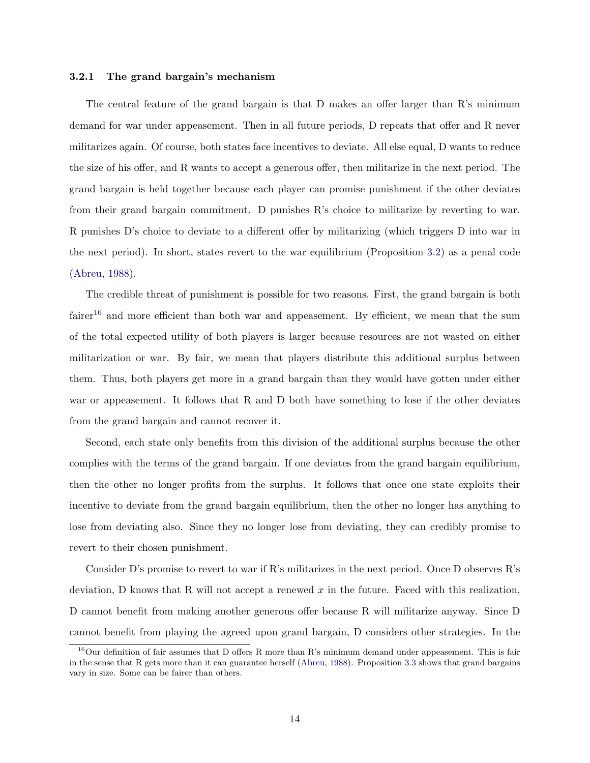#### 3.2.1 The grand bargain's mechanism

The central feature of the grand bargain is that D makes an offer larger than R's minimum demand for war under appeasement. Then in all future periods, D repeats that offer and R never militarizes again. Of course, both states face incentives to deviate. All else equal, D wants to reduce the size of his offer, and R wants to accept a generous offer, then militarize in the next period. The grand bargain is held together because each player can promise punishment if the other deviates from their grand bargain commitment. D punishes R's choice to militarize by reverting to war. R punishes D's choice to deviate to a different offer by militarizing (which triggers D into war in the next period). In short, states revert to the war equilibrium (Proposition [3.2\)](#page-11-1) as a penal code [\(Abreu,](#page-32-10) [1988\)](#page-32-10).

The credible threat of punishment is possible for two reasons. First, the grand bargain is both fairer<sup>[16](#page-14-0)</sup> and more efficient than both war and appeasement. By efficient, we mean that the sum of the total expected utility of both players is larger because resources are not wasted on either militarization or war. By fair, we mean that players distribute this additional surplus between them. Thus, both players get more in a grand bargain than they would have gotten under either war or appeasement. It follows that R and D both have something to lose if the other deviates from the grand bargain and cannot recover it.

Second, each state only benefits from this division of the additional surplus because the other complies with the terms of the grand bargain. If one deviates from the grand bargain equilibrium, then the other no longer profits from the surplus. It follows that once one state exploits their incentive to deviate from the grand bargain equilibrium, then the other no longer has anything to lose from deviating also. Since they no longer lose from deviating, they can credibly promise to revert to their chosen punishment.

Consider D's promise to revert to war if R's militarizes in the next period. Once D observes R's deviation, D knows that R will not accept a renewed x in the future. Faced with this realization, D cannot benefit from making another generous offer because R will militarize anyway. Since D cannot benefit from playing the agreed upon grand bargain, D considers other strategies. In the

<span id="page-14-0"></span> $^{16}$ Our definition of fair assumes that D offers R more than R's minimum demand under appeasement. This is fair in the sense that R gets more than it can guarantee herself [\(Abreu,](#page-32-10) [1988\)](#page-32-10). Proposition [3.3](#page-13-0) shows that grand bargains vary in size. Some can be fairer than others.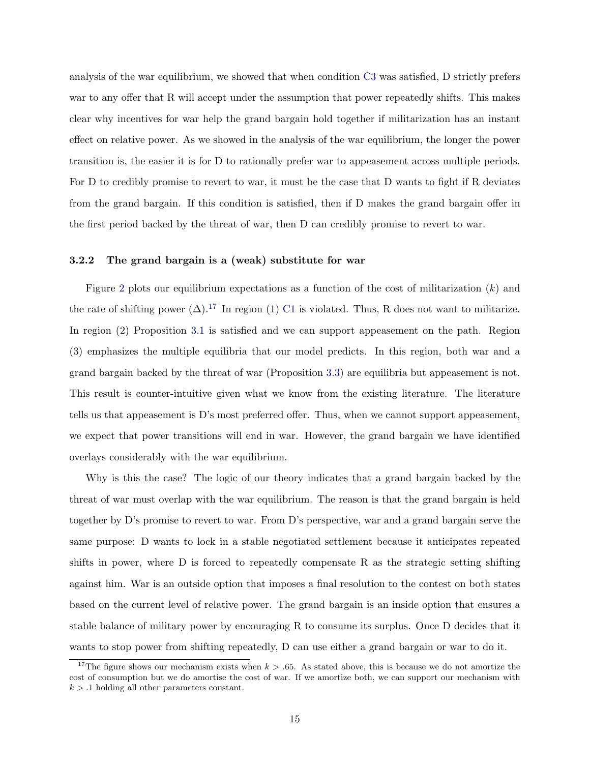analysis of the war equilibrium, we showed that when condition [C3](#page-9-0) was satisfied, D strictly prefers war to any offer that R will accept under the assumption that power repeatedly shifts. This makes clear why incentives for war help the grand bargain hold together if militarization has an instant effect on relative power. As we showed in the analysis of the war equilibrium, the longer the power transition is, the easier it is for D to rationally prefer war to appeasement across multiple periods. For D to credibly promise to revert to war, it must be the case that D wants to fight if R deviates from the grand bargain. If this condition is satisfied, then if D makes the grand bargain offer in the first period backed by the threat of war, then D can credibly promise to revert to war.

## 3.2.2 The grand bargain is a (weak) substitute for war

Figure [2](#page-16-0) plots our equilibrium expectations as a function of the cost of militarization  $(k)$  and the rate of shifting power  $(\Delta)$ .<sup>[17](#page-15-0)</sup> In region (1) [C1](#page-9-0) is violated. Thus, R does not want to militarize. In region (2) Proposition [3.1](#page-10-2) is satisfied and we can support appeasement on the path. Region (3) emphasizes the multiple equilibria that our model predicts. In this region, both war and a grand bargain backed by the threat of war (Proposition [3.3\)](#page-13-0) are equilibria but appeasement is not. This result is counter-intuitive given what we know from the existing literature. The literature tells us that appeasement is D's most preferred offer. Thus, when we cannot support appeasement, we expect that power transitions will end in war. However, the grand bargain we have identified overlays considerably with the war equilibrium.

Why is this the case? The logic of our theory indicates that a grand bargain backed by the threat of war must overlap with the war equilibrium. The reason is that the grand bargain is held together by D's promise to revert to war. From D's perspective, war and a grand bargain serve the same purpose: D wants to lock in a stable negotiated settlement because it anticipates repeated shifts in power, where D is forced to repeatedly compensate R as the strategic setting shifting against him. War is an outside option that imposes a final resolution to the contest on both states based on the current level of relative power. The grand bargain is an inside option that ensures a stable balance of military power by encouraging R to consume its surplus. Once D decides that it wants to stop power from shifting repeatedly, D can use either a grand bargain or war to do it.

<span id="page-15-0"></span><sup>&</sup>lt;sup>17</sup>The figure shows our mechanism exists when  $k > 0.65$ . As stated above, this is because we do not amortize the cost of consumption but we do amortise the cost of war. If we amortize both, we can support our mechanism with  $k > 0.1$  holding all other parameters constant.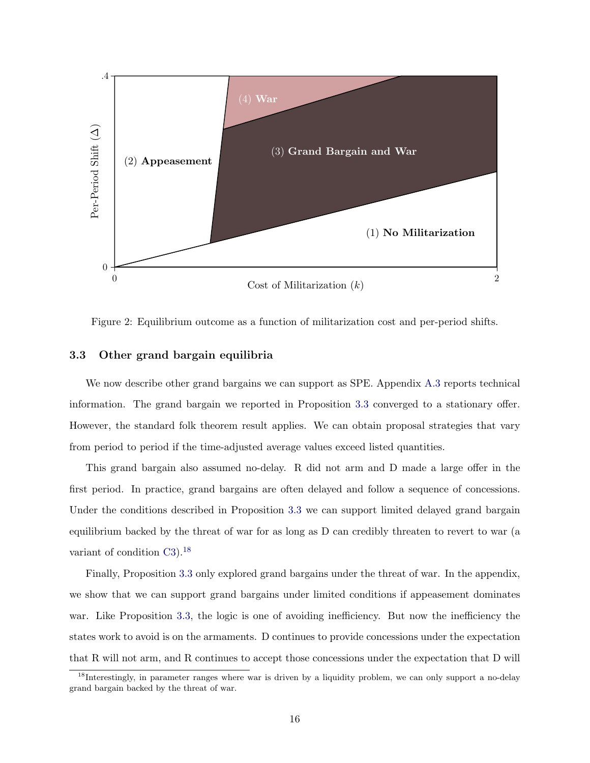<span id="page-16-0"></span>

Figure 2: Equilibrium outcome as a function of militarization cost and per-period shifts.

## 3.3 Other grand bargain equilibria

We now describe other grand bargains we can support as SPE. Appendix [A.3](#page-43-0) reports technical information. The grand bargain we reported in Proposition [3.3](#page-13-0) converged to a stationary offer. However, the standard folk theorem result applies. We can obtain proposal strategies that vary from period to period if the time-adjusted average values exceed listed quantities.

This grand bargain also assumed no-delay. R did not arm and D made a large offer in the first period. In practice, grand bargains are often delayed and follow a sequence of concessions. Under the conditions described in Proposition [3.3](#page-13-0) we can support limited delayed grand bargain equilibrium backed by the threat of war for as long as D can credibly threaten to revert to war (a variant of condition [C3\)](#page-9-0).[18](#page-16-1)

Finally, Proposition [3.3](#page-13-0) only explored grand bargains under the threat of war. In the appendix, we show that we can support grand bargains under limited conditions if appeasement dominates war. Like Proposition [3.3,](#page-13-0) the logic is one of avoiding inefficiency. But now the inefficiency the states work to avoid is on the armaments. D continues to provide concessions under the expectation that R will not arm, and R continues to accept those concessions under the expectation that D will

<span id="page-16-1"></span><sup>&</sup>lt;sup>18</sup>Interestingly, in parameter ranges where war is driven by a liquidity problem, we can only support a no-delay grand bargain backed by the threat of war.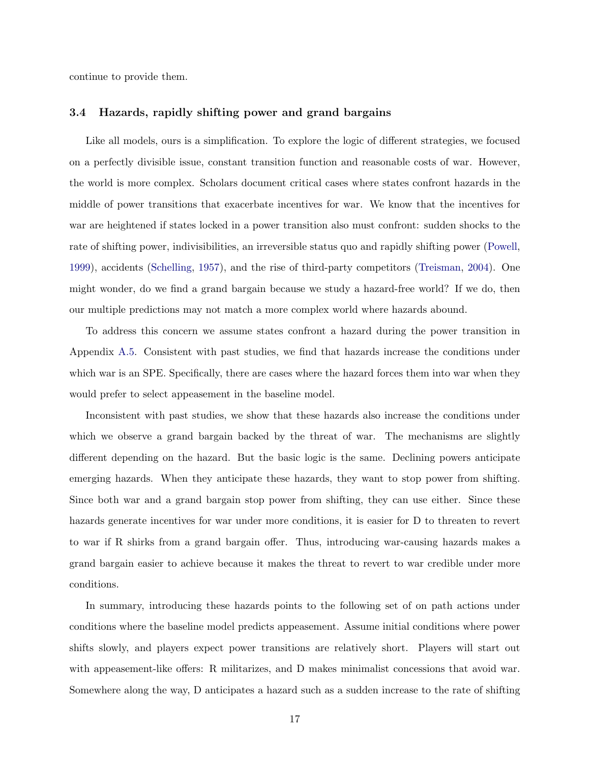continue to provide them.

### <span id="page-17-0"></span>3.4 Hazards, rapidly shifting power and grand bargains

Like all models, ours is a simplification. To explore the logic of different strategies, we focused on a perfectly divisible issue, constant transition function and reasonable costs of war. However, the world is more complex. Scholars document critical cases where states confront hazards in the middle of power transitions that exacerbate incentives for war. We know that the incentives for war are heightened if states locked in a power transition also must confront: sudden shocks to the rate of shifting power, indivisibilities, an irreversible status quo and rapidly shifting power [\(Powell,](#page-34-1) [1999\)](#page-34-1), accidents [\(Schelling,](#page-35-10) [1957\)](#page-35-10), and the rise of third-party competitors [\(Treisman,](#page-36-1) [2004\)](#page-36-1). One might wonder, do we find a grand bargain because we study a hazard-free world? If we do, then our multiple predictions may not match a more complex world where hazards abound.

To address this concern we assume states confront a hazard during the power transition in Appendix [A.5.](#page-45-0) Consistent with past studies, we find that hazards increase the conditions under which war is an SPE. Specifically, there are cases where the hazard forces them into war when they would prefer to select appeasement in the baseline model.

Inconsistent with past studies, we show that these hazards also increase the conditions under which we observe a grand bargain backed by the threat of war. The mechanisms are slightly different depending on the hazard. But the basic logic is the same. Declining powers anticipate emerging hazards. When they anticipate these hazards, they want to stop power from shifting. Since both war and a grand bargain stop power from shifting, they can use either. Since these hazards generate incentives for war under more conditions, it is easier for D to threaten to revert to war if R shirks from a grand bargain offer. Thus, introducing war-causing hazards makes a grand bargain easier to achieve because it makes the threat to revert to war credible under more conditions.

In summary, introducing these hazards points to the following set of on path actions under conditions where the baseline model predicts appeasement. Assume initial conditions where power shifts slowly, and players expect power transitions are relatively short. Players will start out with appeasement-like offers: R militarizes, and D makes minimalist concessions that avoid war. Somewhere along the way, D anticipates a hazard such as a sudden increase to the rate of shifting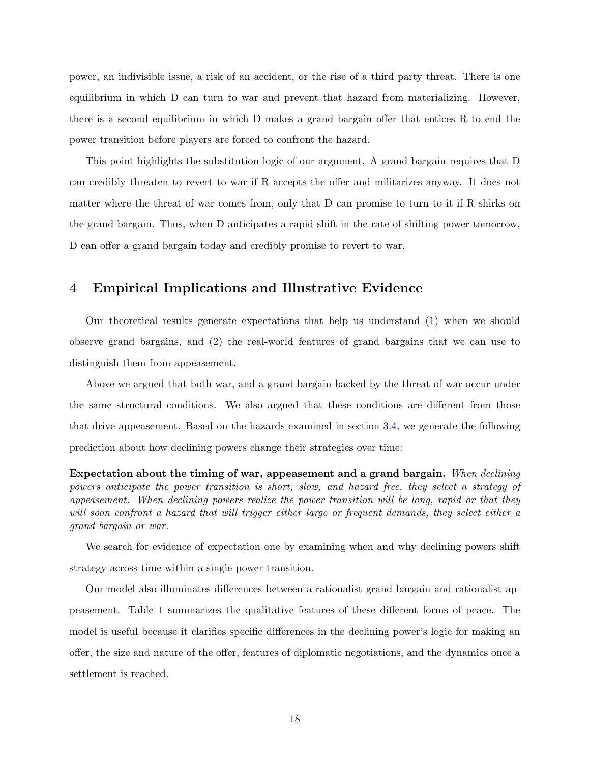power, an indivisible issue, a risk of an accident, or the rise of a third party threat. There is one equilibrium in which D can turn to war and prevent that hazard from materializing. However, there is a second equilibrium in which D makes a grand bargain offer that entices R to end the power transition before players are forced to confront the hazard.

This point highlights the substitution logic of our argument. A grand bargain requires that D can credibly threaten to revert to war if R accepts the offer and militarizes anyway. It does not matter where the threat of war comes from, only that D can promise to turn to it if R shirks on the grand bargain. Thus, when D anticipates a rapid shift in the rate of shifting power tomorrow, D can offer a grand bargain today and credibly promise to revert to war.

## 4 Empirical Implications and Illustrative Evidence

Our theoretical results generate expectations that help us understand (1) when we should observe grand bargains, and (2) the real-world features of grand bargains that we can use to distinguish them from appeasement.

Above we argued that both war, and a grand bargain backed by the threat of war occur under the same structural conditions. We also argued that these conditions are different from those that drive appeasement. Based on the hazards examined in section [3.4,](#page-17-0) we generate the following prediction about how declining powers change their strategies over time:

Expectation about the timing of war, appeasement and a grand bargain. When declining powers anticipate the power transition is short, slow, and hazard free, they select a strategy of appeasement. When declining powers realize the power transition will be long, rapid or that they will soon confront a hazard that will trigger either large or frequent demands, they select either a grand bargain or war.

We search for evidence of expectation one by examining when and why declining powers shift strategy across time within a single power transition.

Our model also illuminates differences between a rationalist grand bargain and rationalist appeasement. Table [1](#page-19-0) summarizes the qualitative features of these different forms of peace. The model is useful because it clarifies specific differences in the declining power's logic for making an offer, the size and nature of the offer, features of diplomatic negotiations, and the dynamics once a settlement is reached.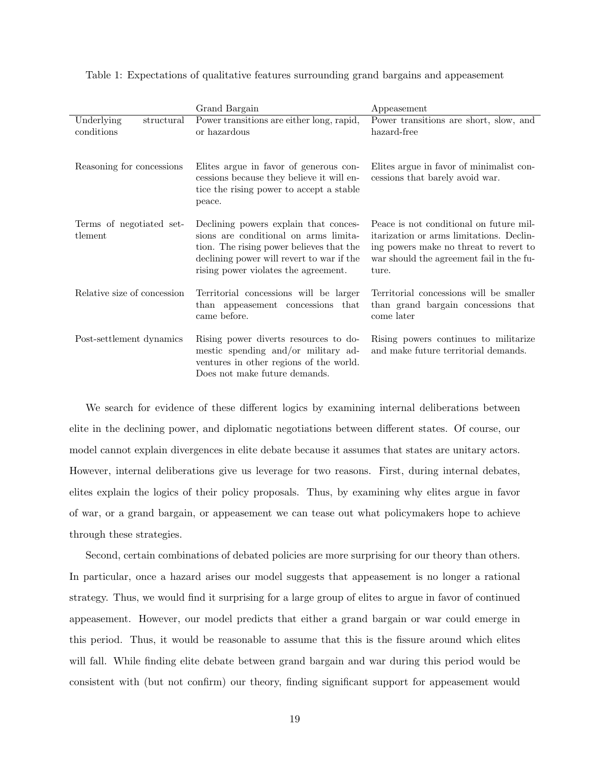<span id="page-19-0"></span>

| Table 1: Expectations of qualitative features surrounding grand bargains and appeasement |  |
|------------------------------------------------------------------------------------------|--|
|------------------------------------------------------------------------------------------|--|

|                                        | Grand Bargain                                                                                                                                                                                                   | Appeasement                                                                                                                                                                        |
|----------------------------------------|-----------------------------------------------------------------------------------------------------------------------------------------------------------------------------------------------------------------|------------------------------------------------------------------------------------------------------------------------------------------------------------------------------------|
| Underlying<br>structural<br>conditions | Power transitions are either long, rapid,<br>or hazardous                                                                                                                                                       | Power transitions are short, slow, and<br>hazard-free                                                                                                                              |
| Reasoning for concessions              | Elites argue in favor of generous con-<br>cessions because they believe it will en-<br>tice the rising power to accept a stable<br>peace.                                                                       | Elites argue in favor of minimalist con-<br>cessions that barely avoid war.                                                                                                        |
| Terms of negotiated set-<br>tlement    | Declining powers explain that conces-<br>sions are conditional on arms limita-<br>tion. The rising power believes that the<br>declining power will revert to war if the<br>rising power violates the agreement. | Peace is not conditional on future mil-<br>itarization or arms limitations. Declin-<br>ing powers make no threat to revert to<br>war should the agreement fail in the fu-<br>ture. |
| Relative size of concession            | Territorial concessions will be larger<br>than appeasement concessions that<br>came before.                                                                                                                     | Territorial concessions will be smaller<br>than grand bargain concessions that<br>come later                                                                                       |
| Post-settlement dynamics               | Rising power diverts resources to do-<br>mestic spending and/or military ad-<br>ventures in other regions of the world.<br>Does not make future demands.                                                        | Rising powers continues to militarize<br>and make future territorial demands.                                                                                                      |

We search for evidence of these different logics by examining internal deliberations between elite in the declining power, and diplomatic negotiations between different states. Of course, our model cannot explain divergences in elite debate because it assumes that states are unitary actors. However, internal deliberations give us leverage for two reasons. First, during internal debates, elites explain the logics of their policy proposals. Thus, by examining why elites argue in favor of war, or a grand bargain, or appeasement we can tease out what policymakers hope to achieve through these strategies.

Second, certain combinations of debated policies are more surprising for our theory than others. In particular, once a hazard arises our model suggests that appeasement is no longer a rational strategy. Thus, we would find it surprising for a large group of elites to argue in favor of continued appeasement. However, our model predicts that either a grand bargain or war could emerge in this period. Thus, it would be reasonable to assume that this is the fissure around which elites will fall. While finding elite debate between grand bargain and war during this period would be consistent with (but not confirm) our theory, finding significant support for appeasement would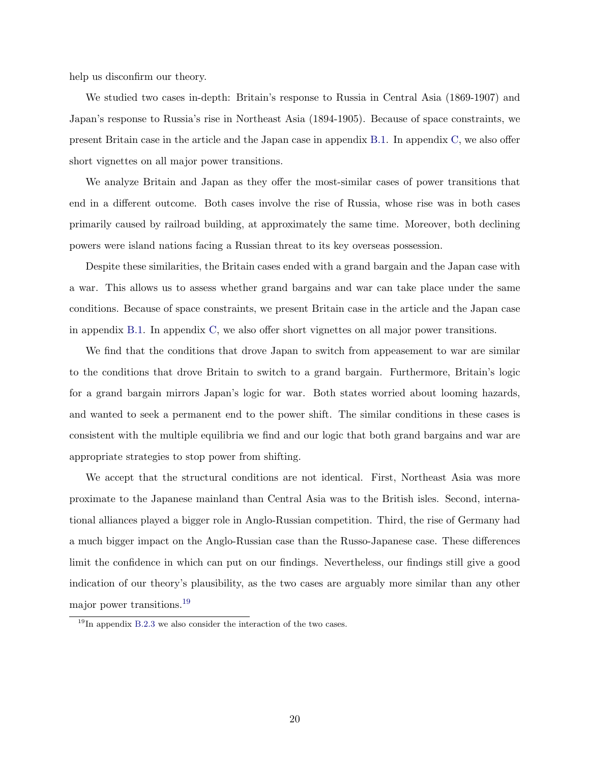help us disconfirm our theory.

We studied two cases in-depth: Britain's response to Russia in Central Asia (1869-1907) and Japan's response to Russia's rise in Northeast Asia (1894-1905). Because of space constraints, we present Britain case in the article and the Japan case in appendix [B.1.](#page-51-0) In appendix [C,](#page-58-0) we also offer short vignettes on all major power transitions.

We analyze Britain and Japan as they offer the most-similar cases of power transitions that end in a different outcome. Both cases involve the rise of Russia, whose rise was in both cases primarily caused by railroad building, at approximately the same time. Moreover, both declining powers were island nations facing a Russian threat to its key overseas possession.

Despite these similarities, the Britain cases ended with a grand bargain and the Japan case with a war. This allows us to assess whether grand bargains and war can take place under the same conditions. Because of space constraints, we present Britain case in the article and the Japan case in appendix [B.1.](#page-51-0) In appendix [C,](#page-58-0) we also offer short vignettes on all major power transitions.

We find that the conditions that drove Japan to switch from appeasement to war are similar to the conditions that drove Britain to switch to a grand bargain. Furthermore, Britain's logic for a grand bargain mirrors Japan's logic for war. Both states worried about looming hazards, and wanted to seek a permanent end to the power shift. The similar conditions in these cases is consistent with the multiple equilibria we find and our logic that both grand bargains and war are appropriate strategies to stop power from shifting.

We accept that the structural conditions are not identical. First, Northeast Asia was more proximate to the Japanese mainland than Central Asia was to the British isles. Second, international alliances played a bigger role in Anglo-Russian competition. Third, the rise of Germany had a much bigger impact on the Anglo-Russian case than the Russo-Japanese case. These differences limit the confidence in which can put on our findings. Nevertheless, our findings still give a good indication of our theory's plausibility, as the two cases are arguably more similar than any other major power transitions.[19](#page-20-0)

<span id="page-20-0"></span> $19$ In appendix [B.2.3](#page-55-0) we also consider the interaction of the two cases.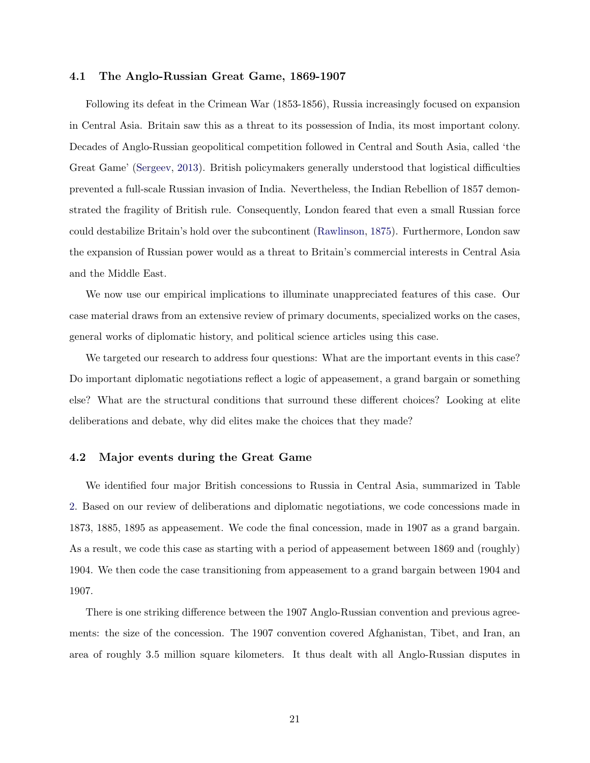## 4.1 The Anglo-Russian Great Game, 1869-1907

Following its defeat in the Crimean War (1853-1856), Russia increasingly focused on expansion in Central Asia. Britain saw this as a threat to its possession of India, its most important colony. Decades of Anglo-Russian geopolitical competition followed in Central and South Asia, called 'the Great Game' [\(Sergeev,](#page-35-11) [2013\)](#page-35-11). British policymakers generally understood that logistical difficulties prevented a full-scale Russian invasion of India. Nevertheless, the Indian Rebellion of 1857 demonstrated the fragility of British rule. Consequently, London feared that even a small Russian force could destabilize Britain's hold over the subcontinent [\(Rawlinson,](#page-34-7) [1875\)](#page-34-7). Furthermore, London saw the expansion of Russian power would as a threat to Britain's commercial interests in Central Asia and the Middle East.

We now use our empirical implications to illuminate unappreciated features of this case. Our case material draws from an extensive review of primary documents, specialized works on the cases, general works of diplomatic history, and political science articles using this case.

We targeted our research to address four questions: What are the important events in this case? Do important diplomatic negotiations reflect a logic of appeasement, a grand bargain or something else? What are the structural conditions that surround these different choices? Looking at elite deliberations and debate, why did elites make the choices that they made?

## 4.2 Major events during the Great Game

We identified four major British concessions to Russia in Central Asia, summarized in Table [2.](#page-23-0) Based on our review of deliberations and diplomatic negotiations, we code concessions made in 1873, 1885, 1895 as appeasement. We code the final concession, made in 1907 as a grand bargain. As a result, we code this case as starting with a period of appeasement between 1869 and (roughly) 1904. We then code the case transitioning from appeasement to a grand bargain between 1904 and 1907.

There is one striking difference between the 1907 Anglo-Russian convention and previous agreements: the size of the concession. The 1907 convention covered Afghanistan, Tibet, and Iran, an area of roughly 3.5 million square kilometers. It thus dealt with all Anglo-Russian disputes in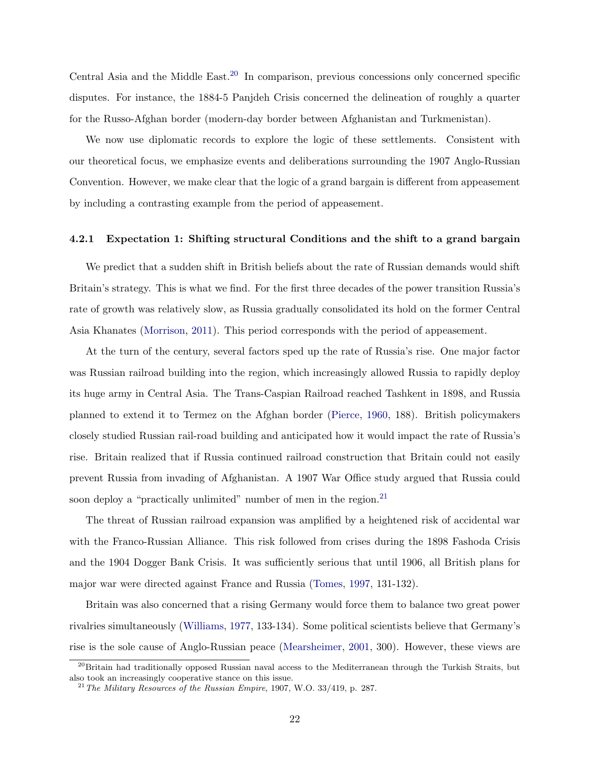Central Asia and the Middle East.<sup>[20](#page-22-0)</sup> In comparison, previous concessions only concerned specific disputes. For instance, the 1884-5 Panjdeh Crisis concerned the delineation of roughly a quarter for the Russo-Afghan border (modern-day border between Afghanistan and Turkmenistan).

We now use diplomatic records to explore the logic of these settlements. Consistent with our theoretical focus, we emphasize events and deliberations surrounding the 1907 Anglo-Russian Convention. However, we make clear that the logic of a grand bargain is different from appeasement by including a contrasting example from the period of appeasement.

## 4.2.1 Expectation 1: Shifting structural Conditions and the shift to a grand bargain

We predict that a sudden shift in British beliefs about the rate of Russian demands would shift Britain's strategy. This is what we find. For the first three decades of the power transition Russia's rate of growth was relatively slow, as Russia gradually consolidated its hold on the former Central Asia Khanates [\(Morrison,](#page-34-8) [2011\)](#page-34-8). This period corresponds with the period of appeasement.

At the turn of the century, several factors sped up the rate of Russia's rise. One major factor was Russian railroad building into the region, which increasingly allowed Russia to rapidly deploy its huge army in Central Asia. The Trans-Caspian Railroad reached Tashkent in 1898, and Russia planned to extend it to Termez on the Afghan border [\(Pierce,](#page-34-9) [1960,](#page-34-9) 188). British policymakers closely studied Russian rail-road building and anticipated how it would impact the rate of Russia's rise. Britain realized that if Russia continued railroad construction that Britain could not easily prevent Russia from invading of Afghanistan. A 1907 War Office study argued that Russia could soon deploy a "practically unlimited" number of men in the region.<sup>[21](#page-22-1)</sup>

The threat of Russian railroad expansion was amplified by a heightened risk of accidental war with the Franco-Russian Alliance. This risk followed from crises during the 1898 Fashoda Crisis and the 1904 Dogger Bank Crisis. It was sufficiently serious that until 1906, all British plans for major war were directed against France and Russia [\(Tomes,](#page-35-12) [1997,](#page-35-12) 131-132).

Britain was also concerned that a rising Germany would force them to balance two great power rivalries simultaneously [\(Williams,](#page-36-2) [1977,](#page-36-2) 133-134). Some political scientists believe that Germany's rise is the sole cause of Anglo-Russian peace [\(Mearsheimer,](#page-34-6) [2001,](#page-34-6) 300). However, these views are

<span id="page-22-0"></span><sup>&</sup>lt;sup>20</sup>Britain had traditionally opposed Russian naval access to the Mediterranean through the Turkish Straits, but also took an increasingly cooperative stance on this issue.

<span id="page-22-1"></span> $^{21}$  The Military Resources of the Russian Empire, 1907, W.O. 33/419, p. 287.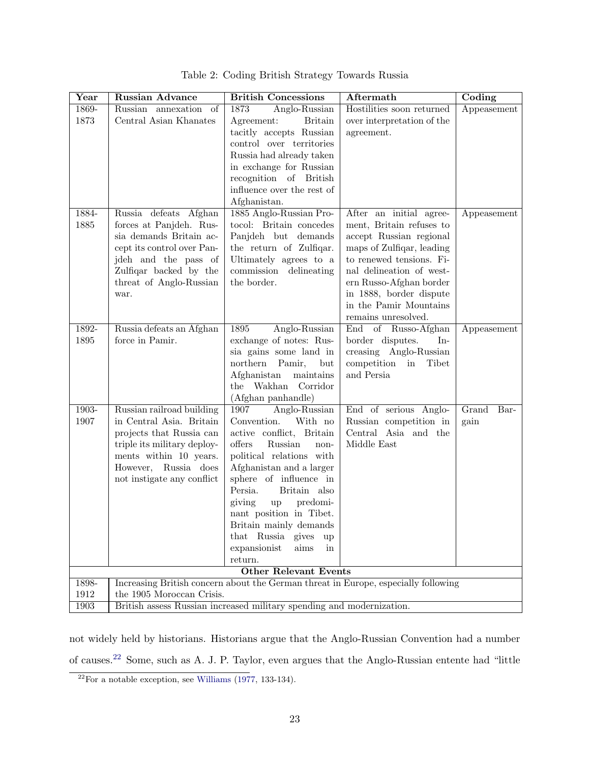<span id="page-23-0"></span>

| Year          | Russian Advance                                                       | <b>British Concessions</b>                           | Aftermath                                                                          | Coding        |  |  |
|---------------|-----------------------------------------------------------------------|------------------------------------------------------|------------------------------------------------------------------------------------|---------------|--|--|
| 1869-         | Russian annexation of                                                 | Anglo-Russian<br>1873                                | Hostilities soon returned                                                          | Appeasement   |  |  |
| 1873          | Central Asian Khanates                                                | Agreement:<br><b>Britain</b>                         | over interpretation of the                                                         |               |  |  |
|               |                                                                       | tacitly accepts Russian                              | agreement.                                                                         |               |  |  |
|               |                                                                       | control over territories                             |                                                                                    |               |  |  |
|               |                                                                       | Russia had already taken                             |                                                                                    |               |  |  |
|               |                                                                       | in exchange for Russian                              |                                                                                    |               |  |  |
|               |                                                                       | recognition of British<br>influence over the rest of |                                                                                    |               |  |  |
|               |                                                                       | Afghanistan.                                         |                                                                                    |               |  |  |
| 1884-         | Russia defeats Afghan                                                 | 1885 Anglo-Russian Pro-                              | After an initial agree-                                                            | Appeasement   |  |  |
| 1885          | forces at Panjdeh. Rus-                                               | tocol: Britain concedes                              | ment, Britain refuses to                                                           |               |  |  |
|               | sia demands Britain ac-                                               | Panjdeh but demands                                  | accept Russian regional                                                            |               |  |  |
|               | cept its control over Pan-                                            | the return of Zulfiqar.                              | maps of Zulfiqar, leading                                                          |               |  |  |
|               | jdeh and the pass of                                                  | Ultimately agrees to a                               | to renewed tensions. Fi-                                                           |               |  |  |
|               | Zulfiqar backed by the                                                | commission delineating                               | nal delineation of west-                                                           |               |  |  |
|               | threat of Anglo-Russian                                               | the border.                                          | ern Russo-Afghan border                                                            |               |  |  |
|               | war.                                                                  |                                                      | in 1888, border dispute                                                            |               |  |  |
|               |                                                                       |                                                      | in the Pamir Mountains                                                             |               |  |  |
|               |                                                                       |                                                      | remains unresolved.                                                                |               |  |  |
| 1892-<br>1895 | Russia defeats an Afghan<br>force in Pamir.                           | 1895<br>Anglo-Russian<br>exchange of notes: Rus-     | End of Russo-Afghan<br>border disputes.<br>$In-$                                   | Appeasement   |  |  |
|               |                                                                       | sia gains some land in                               | creasing Anglo-Russian                                                             |               |  |  |
|               |                                                                       | northern<br>Pamir,<br>but                            | Tibet<br>competition<br>in                                                         |               |  |  |
|               |                                                                       | Afghanistan<br>maintains                             | and Persia                                                                         |               |  |  |
|               |                                                                       | the Wakhan Corridor                                  |                                                                                    |               |  |  |
|               |                                                                       | (Afghan panhandle)                                   |                                                                                    |               |  |  |
| $1903-$       | Russian railroad building                                             | 1907<br>Anglo-Russian                                | End of serious Anglo-                                                              | Grand<br>Bar- |  |  |
| 1907          | in Central Asia. Britain                                              | Convention.<br>With no                               | Russian competition in                                                             | gain          |  |  |
|               | projects that Russia can                                              | active conflict, Britain                             | Central Asia and the                                                               |               |  |  |
|               | triple its military deploy-                                           | offers<br>Russian<br>non-                            | Middle East                                                                        |               |  |  |
|               | ments within 10 years.<br>However, Russia does                        | political relations with<br>Afghanistan and a larger |                                                                                    |               |  |  |
|               | not instigate any conflict                                            | sphere of influence in                               |                                                                                    |               |  |  |
|               |                                                                       | Persia.<br>Britain also                              |                                                                                    |               |  |  |
|               |                                                                       | predomi-<br>giving<br>up                             |                                                                                    |               |  |  |
|               |                                                                       | nant position in Tibet.                              |                                                                                    |               |  |  |
|               |                                                                       | Britain mainly demands                               |                                                                                    |               |  |  |
|               |                                                                       | that Russia gives<br>up                              |                                                                                    |               |  |  |
|               |                                                                       | expansionist<br>$\operatorname{aims}$<br>in          |                                                                                    |               |  |  |
|               |                                                                       | return.                                              |                                                                                    |               |  |  |
|               |                                                                       | <b>Other Relevant Events</b>                         |                                                                                    |               |  |  |
| 1898-<br>1912 | the 1905 Moroccan Crisis.                                             |                                                      | Increasing British concern about the German threat in Europe, especially following |               |  |  |
| 1903          | British assess Russian increased military spending and modernization. |                                                      |                                                                                    |               |  |  |

|  |  |  | Table 2: Coding British Strategy Towards Russia |  |  |
|--|--|--|-------------------------------------------------|--|--|
|--|--|--|-------------------------------------------------|--|--|

not widely held by historians. Historians argue that the Anglo-Russian Convention had a number of causes.[22](#page-23-1) Some, such as A. J. P. Taylor, even argues that the Anglo-Russian entente had "little

<span id="page-23-1"></span> $22$ For a notable exception, see [Williams](#page-36-2) [\(1977,](#page-36-2) 133-134).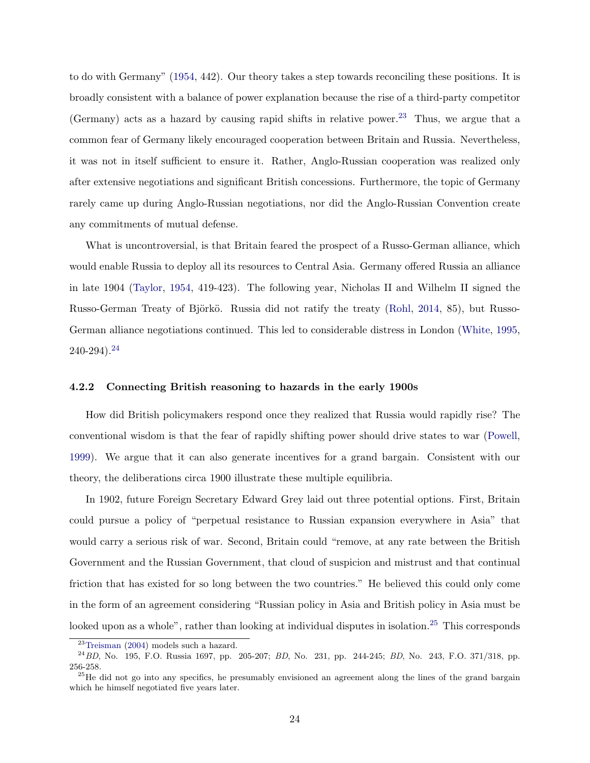to do with Germany" [\(1954,](#page-35-13) 442). Our theory takes a step towards reconciling these positions. It is broadly consistent with a balance of power explanation because the rise of a third-party competitor (Germany) acts as a hazard by causing rapid shifts in relative power.<sup>[23](#page-24-0)</sup> Thus, we argue that a common fear of Germany likely encouraged cooperation between Britain and Russia. Nevertheless, it was not in itself sufficient to ensure it. Rather, Anglo-Russian cooperation was realized only after extensive negotiations and significant British concessions. Furthermore, the topic of Germany rarely came up during Anglo-Russian negotiations, nor did the Anglo-Russian Convention create any commitments of mutual defense.

What is uncontroversial, is that Britain feared the prospect of a Russo-German alliance, which would enable Russia to deploy all its resources to Central Asia. Germany offered Russia an alliance in late 1904 [\(Taylor,](#page-35-13) [1954,](#page-35-13) 419-423). The following year, Nicholas II and Wilhelm II signed the Russo-German Treaty of Björkö. Russia did not ratify the treaty [\(Rohl,](#page-35-14) [2014,](#page-35-14) 85), but Russo-German alliance negotiations continued. This led to considerable distress in London [\(White,](#page-36-3) [1995,](#page-36-3) 240-294).[24](#page-24-1)

## 4.2.2 Connecting British reasoning to hazards in the early 1900s

How did British policymakers respond once they realized that Russia would rapidly rise? The conventional wisdom is that the fear of rapidly shifting power should drive states to war [\(Powell,](#page-34-1) [1999\)](#page-34-1). We argue that it can also generate incentives for a grand bargain. Consistent with our theory, the deliberations circa 1900 illustrate these multiple equilibria.

In 1902, future Foreign Secretary Edward Grey laid out three potential options. First, Britain could pursue a policy of "perpetual resistance to Russian expansion everywhere in Asia" that would carry a serious risk of war. Second, Britain could "remove, at any rate between the British Government and the Russian Government, that cloud of suspicion and mistrust and that continual friction that has existed for so long between the two countries." He believed this could only come in the form of an agreement considering "Russian policy in Asia and British policy in Asia must be looked upon as a whole", rather than looking at individual disputes in isolation.<sup>[25](#page-24-2)</sup> This corresponds

<span id="page-24-1"></span><span id="page-24-0"></span> $23$ [Treisman](#page-36-1) [\(2004\)](#page-36-1) models such a hazard.

 $^{24}$ BD, No. 195, F.O. Russia 1697, pp. 205-207; BD, No. 231, pp. 244-245; BD, No. 243, F.O. 371/318, pp. 256-258.

<span id="page-24-2"></span><sup>&</sup>lt;sup>25</sup>He did not go into any specifics, he presumably envisioned an agreement along the lines of the grand bargain which he himself negotiated five years later.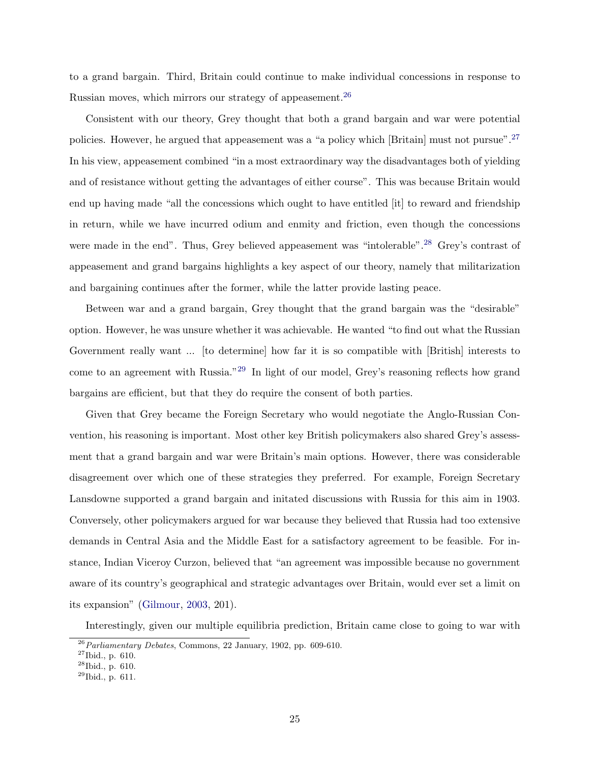to a grand bargain. Third, Britain could continue to make individual concessions in response to Russian moves, which mirrors our strategy of appeasement.<sup>[26](#page-25-0)</sup>

Consistent with our theory, Grey thought that both a grand bargain and war were potential policies. However, he argued that appeasement was a "a policy which [Britain] must not pursue".[27](#page-25-1) In his view, appeasement combined "in a most extraordinary way the disadvantages both of yielding and of resistance without getting the advantages of either course". This was because Britain would end up having made "all the concessions which ought to have entitled [it] to reward and friendship in return, while we have incurred odium and enmity and friction, even though the concessions were made in the end". Thus, Grey believed appeasement was "intolerable".<sup>[28](#page-25-2)</sup> Grey's contrast of appeasement and grand bargains highlights a key aspect of our theory, namely that militarization and bargaining continues after the former, while the latter provide lasting peace.

Between war and a grand bargain, Grey thought that the grand bargain was the "desirable" option. However, he was unsure whether it was achievable. He wanted "to find out what the Russian Government really want ... [to determine] how far it is so compatible with [British] interests to come to an agreement with Russia."[29](#page-25-3) In light of our model, Grey's reasoning reflects how grand bargains are efficient, but that they do require the consent of both parties.

Given that Grey became the Foreign Secretary who would negotiate the Anglo-Russian Convention, his reasoning is important. Most other key British policymakers also shared Grey's assessment that a grand bargain and war were Britain's main options. However, there was considerable disagreement over which one of these strategies they preferred. For example, Foreign Secretary Lansdowne supported a grand bargain and initated discussions with Russia for this aim in 1903. Conversely, other policymakers argued for war because they believed that Russia had too extensive demands in Central Asia and the Middle East for a satisfactory agreement to be feasible. For instance, Indian Viceroy Curzon, believed that "an agreement was impossible because no government aware of its country's geographical and strategic advantages over Britain, would ever set a limit on its expansion" [\(Gilmour,](#page-33-10) [2003,](#page-33-10) 201).

Interestingly, given our multiple equilibria prediction, Britain came close to going to war with

<span id="page-25-0"></span> $26$ Parliamentary Debates, Commons, 22 January, 1902, pp. 609-610.

<span id="page-25-1"></span> $27$ Ibid., p. 610.

<span id="page-25-2"></span><sup>28</sup>Ibid., p. 610.

<span id="page-25-3"></span><sup>29</sup>Ibid., p. 611.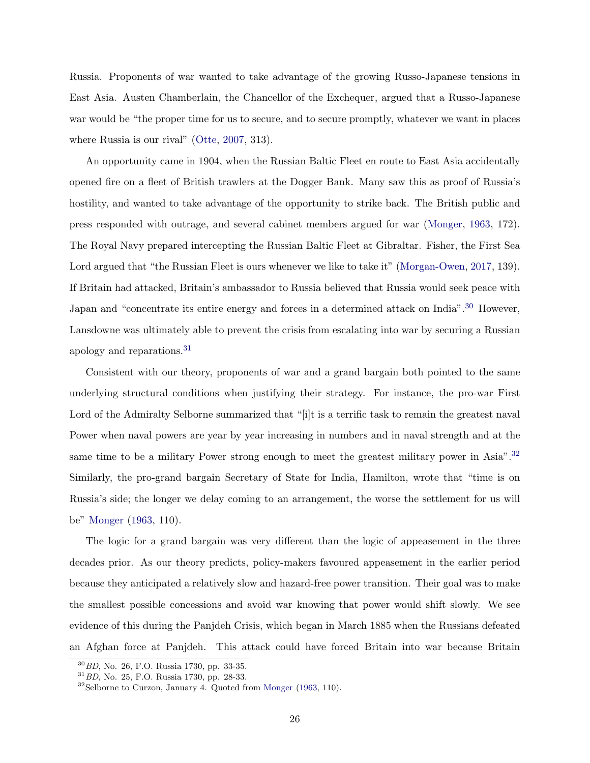Russia. Proponents of war wanted to take advantage of the growing Russo-Japanese tensions in East Asia. Austen Chamberlain, the Chancellor of the Exchequer, argued that a Russo-Japanese war would be "the proper time for us to secure, and to secure promptly, whatever we want in places where Russia is our rival" [\(Otte,](#page-34-10) [2007,](#page-34-10) 313).

An opportunity came in 1904, when the Russian Baltic Fleet en route to East Asia accidentally opened fire on a fleet of British trawlers at the Dogger Bank. Many saw this as proof of Russia's hostility, and wanted to take advantage of the opportunity to strike back. The British public and press responded with outrage, and several cabinet members argued for war [\(Monger,](#page-34-11) [1963,](#page-34-11) 172). The Royal Navy prepared intercepting the Russian Baltic Fleet at Gibraltar. Fisher, the First Sea Lord argued that "the Russian Fleet is ours whenever we like to take it" [\(Morgan-Owen,](#page-34-12) [2017,](#page-34-12) 139). If Britain had attacked, Britain's ambassador to Russia believed that Russia would seek peace with Japan and "concentrate its entire energy and forces in a determined attack on India".<sup>[30](#page-26-0)</sup> However, Lansdowne was ultimately able to prevent the crisis from escalating into war by securing a Russian apology and reparations.[31](#page-26-1)

Consistent with our theory, proponents of war and a grand bargain both pointed to the same underlying structural conditions when justifying their strategy. For instance, the pro-war First Lord of the Admiralty Selborne summarized that "[i]t is a terrific task to remain the greatest naval Power when naval powers are year by year increasing in numbers and in naval strength and at the same time to be a military Power strong enough to meet the greatest military power in Asia".<sup>[32](#page-26-2)</sup> Similarly, the pro-grand bargain Secretary of State for India, Hamilton, wrote that "time is on Russia's side; the longer we delay coming to an arrangement, the worse the settlement for us will be" [Monger](#page-34-11) [\(1963,](#page-34-11) 110).

The logic for a grand bargain was very different than the logic of appeasement in the three decades prior. As our theory predicts, policy-makers favoured appeasement in the earlier period because they anticipated a relatively slow and hazard-free power transition. Their goal was to make the smallest possible concessions and avoid war knowing that power would shift slowly. We see evidence of this during the Panjdeh Crisis, which began in March 1885 when the Russians defeated an Afghan force at Panjdeh. This attack could have forced Britain into war because Britain

<span id="page-26-0"></span><sup>30</sup>BD, No. 26, F.O. Russia 1730, pp. 33-35.

<span id="page-26-1"></span> ${}^{31}$  BD, No. 25, F.O. Russia 1730, pp. 28-33.

<span id="page-26-2"></span><sup>&</sup>lt;sup>32</sup>Selborne to Curzon, January 4. Quoted from [Monger](#page-34-11) [\(1963,](#page-34-11) 110).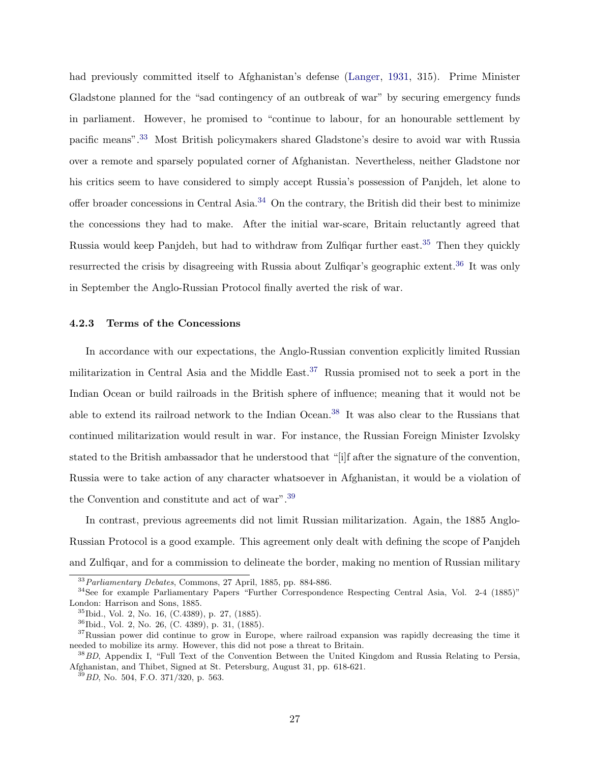had previously committed itself to Afghanistan's defense [\(Langer,](#page-33-11) [1931,](#page-33-11) 315). Prime Minister Gladstone planned for the "sad contingency of an outbreak of war" by securing emergency funds in parliament. However, he promised to "continue to labour, for an honourable settlement by pacific means".[33](#page-27-0) Most British policymakers shared Gladstone's desire to avoid war with Russia over a remote and sparsely populated corner of Afghanistan. Nevertheless, neither Gladstone nor his critics seem to have considered to simply accept Russia's possession of Panjdeh, let alone to offer broader concessions in Central Asia.[34](#page-27-1) On the contrary, the British did their best to minimize the concessions they had to make. After the initial war-scare, Britain reluctantly agreed that Russia would keep Panjdeh, but had to withdraw from Zulfiqar further east.<sup>[35](#page-27-2)</sup> Then they quickly resurrected the crisis by disagreeing with Russia about Zulfiqar's geographic extent.<sup>[36](#page-27-3)</sup> It was only in September the Anglo-Russian Protocol finally averted the risk of war.

## 4.2.3 Terms of the Concessions

In accordance with our expectations, the Anglo-Russian convention explicitly limited Russian militarization in Central Asia and the Middle East.<sup>[37](#page-27-4)</sup> Russia promised not to seek a port in the Indian Ocean or build railroads in the British sphere of influence; meaning that it would not be able to extend its railroad network to the Indian Ocean.<sup>[38](#page-27-5)</sup> It was also clear to the Russians that continued militarization would result in war. For instance, the Russian Foreign Minister Izvolsky stated to the British ambassador that he understood that "[i]f after the signature of the convention, Russia were to take action of any character whatsoever in Afghanistan, it would be a violation of the Convention and constitute and act of war".[39](#page-27-6)

In contrast, previous agreements did not limit Russian militarization. Again, the 1885 Anglo-Russian Protocol is a good example. This agreement only dealt with defining the scope of Panjdeh and Zulfiqar, and for a commission to delineate the border, making no mention of Russian military

<span id="page-27-1"></span><span id="page-27-0"></span> $33$ Parliamentary Debates, Commons, 27 April, 1885, pp. 884-886.

<sup>34</sup>See for example Parliamentary Papers "Further Correspondence Respecting Central Asia, Vol. 2-4 (1885)" London: Harrison and Sons, 1885.

<span id="page-27-2"></span><sup>35</sup>Ibid., Vol. 2, No. 16, (C.4389), p. 27, (1885).

<span id="page-27-4"></span><span id="page-27-3"></span><sup>36</sup>Ibid., Vol. 2, No. 26, (C. 4389), p. 31, (1885).

<sup>&</sup>lt;sup>37</sup>Russian power did continue to grow in Europe, where railroad expansion was rapidly decreasing the time it needed to mobilize its army. However, this did not pose a threat to Britain.

<span id="page-27-5"></span><sup>&</sup>lt;sup>38</sup> BD, Appendix I, "Full Text of the Convention Between the United Kingdom and Russia Relating to Persia, Afghanistan, and Thibet, Signed at St. Petersburg, August 31, pp. 618-621.

<span id="page-27-6"></span> $^{39}$ BD, No. 504, F.O. 371/320, p. 563.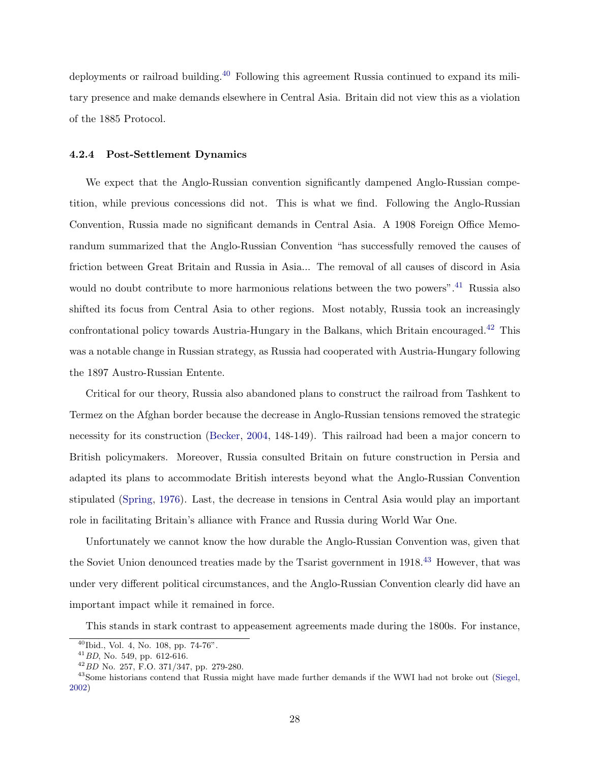deployments or railroad building.[40](#page-28-0) Following this agreement Russia continued to expand its military presence and make demands elsewhere in Central Asia. Britain did not view this as a violation of the 1885 Protocol.

#### 4.2.4 Post-Settlement Dynamics

We expect that the Anglo-Russian convention significantly dampened Anglo-Russian competition, while previous concessions did not. This is what we find. Following the Anglo-Russian Convention, Russia made no significant demands in Central Asia. A 1908 Foreign Office Memorandum summarized that the Anglo-Russian Convention "has successfully removed the causes of friction between Great Britain and Russia in Asia... The removal of all causes of discord in Asia would no doubt contribute to more harmonious relations between the two powers".<sup>[41](#page-28-1)</sup> Russia also shifted its focus from Central Asia to other regions. Most notably, Russia took an increasingly confrontational policy towards Austria-Hungary in the Balkans, which Britain encouraged.[42](#page-28-2) This was a notable change in Russian strategy, as Russia had cooperated with Austria-Hungary following the 1897 Austro-Russian Entente.

Critical for our theory, Russia also abandoned plans to construct the railroad from Tashkent to Termez on the Afghan border because the decrease in Anglo-Russian tensions removed the strategic necessity for its construction [\(Becker,](#page-32-11) [2004,](#page-32-11) 148-149). This railroad had been a major concern to British policymakers. Moreover, Russia consulted Britain on future construction in Persia and adapted its plans to accommodate British interests beyond what the Anglo-Russian Convention stipulated [\(Spring,](#page-35-15) [1976\)](#page-35-15). Last, the decrease in tensions in Central Asia would play an important role in facilitating Britain's alliance with France and Russia during World War One.

Unfortunately we cannot know the how durable the Anglo-Russian Convention was, given that the Soviet Union denounced treaties made by the Tsarist government in 1918.<sup>[43](#page-28-3)</sup> However, that was under very different political circumstances, and the Anglo-Russian Convention clearly did have an important impact while it remained in force.

This stands in stark contrast to appeasement agreements made during the 1800s. For instance,

<span id="page-28-0"></span><sup>40</sup>Ibid., Vol. 4, No. 108, pp. 74-76".

<span id="page-28-1"></span> $^{41}$  BD, No. 549, pp. 612-616.

<span id="page-28-3"></span><span id="page-28-2"></span><sup>42</sup>BD No. 257, F.O. 371/347, pp. 279-280.

<sup>&</sup>lt;sup>43</sup>Some historians contend that Russia might have made further demands if the WWI had not broke out [\(Siegel,](#page-35-16) [2002\)](#page-35-16)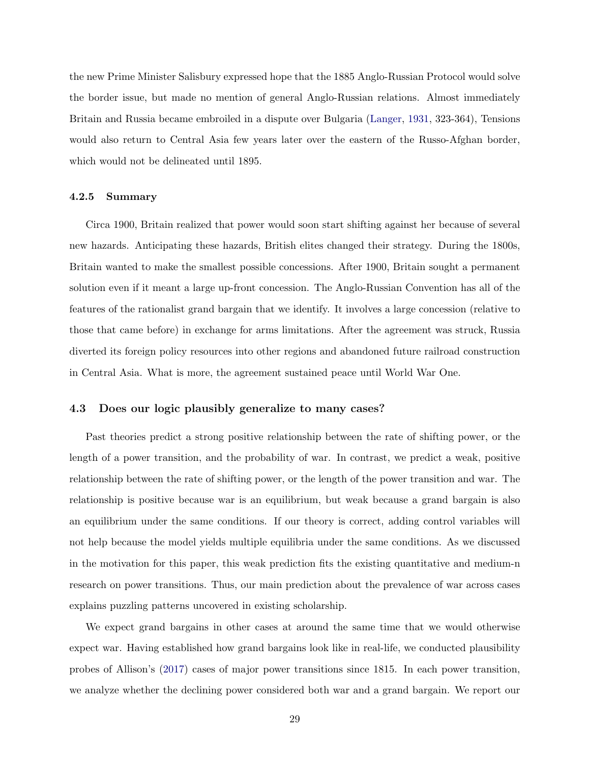the new Prime Minister Salisbury expressed hope that the 1885 Anglo-Russian Protocol would solve the border issue, but made no mention of general Anglo-Russian relations. Almost immediately Britain and Russia became embroiled in a dispute over Bulgaria [\(Langer,](#page-33-11) [1931,](#page-33-11) 323-364), Tensions would also return to Central Asia few years later over the eastern of the Russo-Afghan border, which would not be delineated until 1895.

### 4.2.5 Summary

Circa 1900, Britain realized that power would soon start shifting against her because of several new hazards. Anticipating these hazards, British elites changed their strategy. During the 1800s, Britain wanted to make the smallest possible concessions. After 1900, Britain sought a permanent solution even if it meant a large up-front concession. The Anglo-Russian Convention has all of the features of the rationalist grand bargain that we identify. It involves a large concession (relative to those that came before) in exchange for arms limitations. After the agreement was struck, Russia diverted its foreign policy resources into other regions and abandoned future railroad construction in Central Asia. What is more, the agreement sustained peace until World War One.

## <span id="page-29-0"></span>4.3 Does our logic plausibly generalize to many cases?

Past theories predict a strong positive relationship between the rate of shifting power, or the length of a power transition, and the probability of war. In contrast, we predict a weak, positive relationship between the rate of shifting power, or the length of the power transition and war. The relationship is positive because war is an equilibrium, but weak because a grand bargain is also an equilibrium under the same conditions. If our theory is correct, adding control variables will not help because the model yields multiple equilibria under the same conditions. As we discussed in the motivation for this paper, this weak prediction fits the existing quantitative and medium-n research on power transitions. Thus, our main prediction about the prevalence of war across cases explains puzzling patterns uncovered in existing scholarship.

We expect grand bargains in other cases at around the same time that we would otherwise expect war. Having established how grand bargains look like in real-life, we conducted plausibility probes of Allison's [\(2017\)](#page-32-0) cases of major power transitions since 1815. In each power transition, we analyze whether the declining power considered both war and a grand bargain. We report our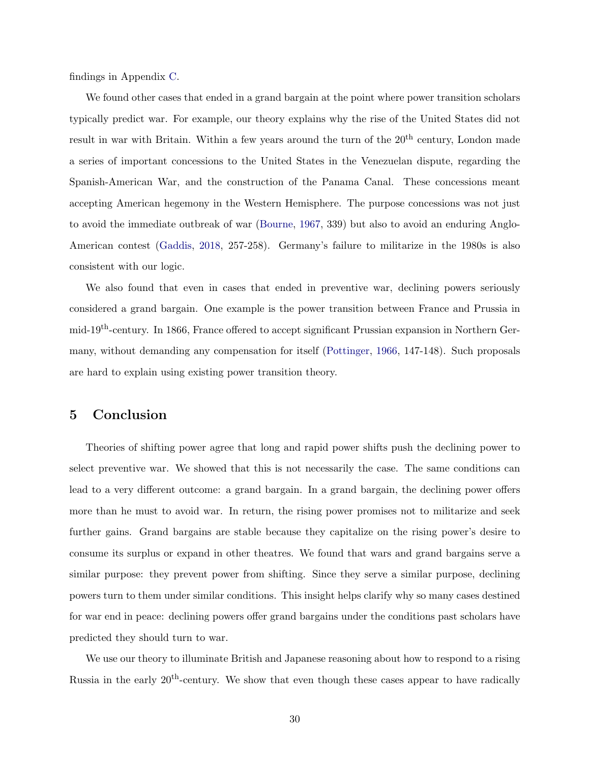findings in Appendix [C.](#page-58-0)

We found other cases that ended in a grand bargain at the point where power transition scholars typically predict war. For example, our theory explains why the rise of the United States did not result in war with Britain. Within a few years around the turn of the  $20<sup>th</sup>$  century, London made a series of important concessions to the United States in the Venezuelan dispute, regarding the Spanish-American War, and the construction of the Panama Canal. These concessions meant accepting American hegemony in the Western Hemisphere. The purpose concessions was not just to avoid the immediate outbreak of war [\(Bourne,](#page-32-12) [1967,](#page-32-12) 339) but also to avoid an enduring Anglo-American contest [\(Gaddis,](#page-33-12) [2018,](#page-33-12) 257-258). Germany's failure to militarize in the 1980s is also consistent with our logic.

We also found that even in cases that ended in preventive war, declining powers seriously considered a grand bargain. One example is the power transition between France and Prussia in mid-19th-century. In 1866, France offered to accept significant Prussian expansion in Northern Germany, without demanding any compensation for itself [\(Pottinger,](#page-34-13) [1966,](#page-34-13) 147-148). Such proposals are hard to explain using existing power transition theory.

## 5 Conclusion

Theories of shifting power agree that long and rapid power shifts push the declining power to select preventive war. We showed that this is not necessarily the case. The same conditions can lead to a very different outcome: a grand bargain. In a grand bargain, the declining power offers more than he must to avoid war. In return, the rising power promises not to militarize and seek further gains. Grand bargains are stable because they capitalize on the rising power's desire to consume its surplus or expand in other theatres. We found that wars and grand bargains serve a similar purpose: they prevent power from shifting. Since they serve a similar purpose, declining powers turn to them under similar conditions. This insight helps clarify why so many cases destined for war end in peace: declining powers offer grand bargains under the conditions past scholars have predicted they should turn to war.

We use our theory to illuminate British and Japanese reasoning about how to respond to a rising Russia in the early  $20^{th}$ -century. We show that even though these cases appear to have radically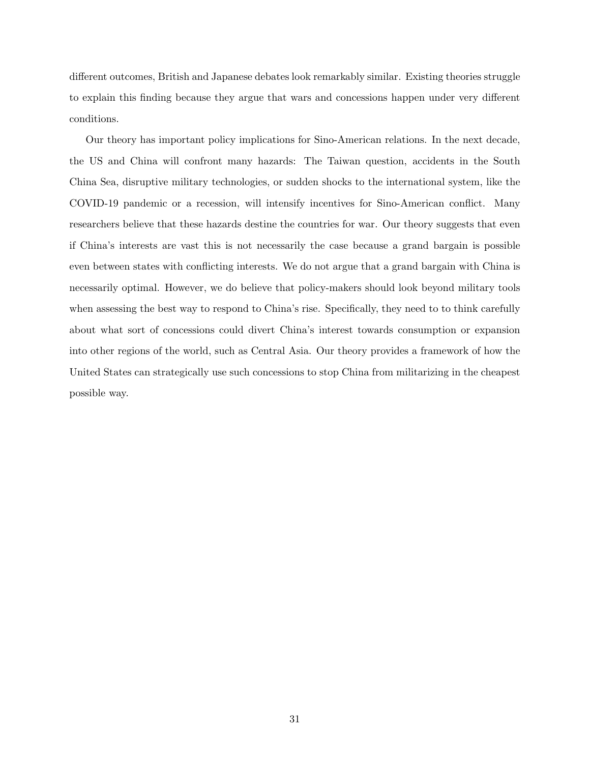different outcomes, British and Japanese debates look remarkably similar. Existing theories struggle to explain this finding because they argue that wars and concessions happen under very different conditions.

Our theory has important policy implications for Sino-American relations. In the next decade, the US and China will confront many hazards: The Taiwan question, accidents in the South China Sea, disruptive military technologies, or sudden shocks to the international system, like the COVID-19 pandemic or a recession, will intensify incentives for Sino-American conflict. Many researchers believe that these hazards destine the countries for war. Our theory suggests that even if China's interests are vast this is not necessarily the case because a grand bargain is possible even between states with conflicting interests. We do not argue that a grand bargain with China is necessarily optimal. However, we do believe that policy-makers should look beyond military tools when assessing the best way to respond to China's rise. Specifically, they need to to think carefully about what sort of concessions could divert China's interest towards consumption or expansion into other regions of the world, such as Central Asia. Our theory provides a framework of how the United States can strategically use such concessions to stop China from militarizing in the cheapest possible way.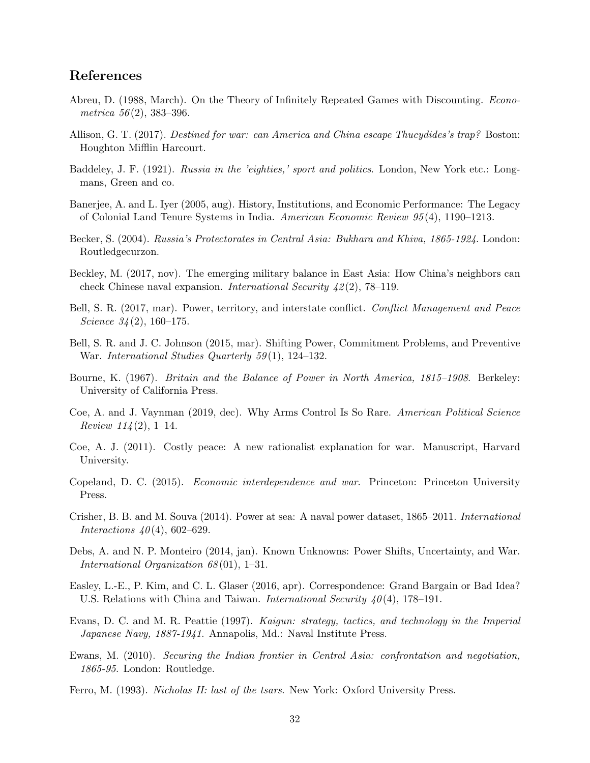## References

- <span id="page-32-10"></span>Abreu, D. (1988, March). On the Theory of Infinitely Repeated Games with Discounting. Econometrica  $56(2)$ , 383-396.
- <span id="page-32-0"></span>Allison, G. T. (2017). Destined for war: can America and China escape Thucydides's trap? Boston: Houghton Mifflin Harcourt.
- <span id="page-32-16"></span>Baddeley, J. F. (1921). Russia in the 'eighties,' sport and politics. London, New York etc.: Longmans, Green and co.
- <span id="page-32-6"></span>Banerjee, A. and L. Iyer (2005, aug). History, Institutions, and Economic Performance: The Legacy of Colonial Land Tenure Systems in India. American Economic Review 95 (4), 1190–1213.
- <span id="page-32-11"></span>Becker, S. (2004). Russia's Protectorates in Central Asia: Bukhara and Khiva, 1865-1924. London: Routledgecurzon.
- <span id="page-32-8"></span>Beckley, M. (2017, nov). The emerging military balance in East Asia: How China's neighbors can check Chinese naval expansion. International Security  $\frac{42(2)}{78-119}$ .
- <span id="page-32-2"></span>Bell, S. R. (2017, mar). Power, territory, and interstate conflict. Conflict Management and Peace Science  $34(2)$ , 160-175.
- <span id="page-32-3"></span>Bell, S. R. and J. C. Johnson (2015, mar). Shifting Power, Commitment Problems, and Preventive War. International Studies Quarterly 59 (1), 124–132.
- <span id="page-32-12"></span>Bourne, K. (1967). Britain and the Balance of Power in North America, 1815–1908. Berkeley: University of California Press.
- <span id="page-32-4"></span>Coe, A. and J. Vaynman (2019, dec). Why Arms Control Is So Rare. American Political Science *Review 114* (2), 1–14.
- <span id="page-32-9"></span>Coe, A. J. (2011). Costly peace: A new rationalist explanation for war. Manuscript, Harvard University.
- <span id="page-32-1"></span>Copeland, D. C. (2015). Economic interdependence and war. Princeton: Princeton University Press.
- <span id="page-32-17"></span>Crisher, B. B. and M. Souva (2014). Power at sea: A naval power dataset, 1865–2011. International *Interactions*  $40(4)$ , 602–629.
- <span id="page-32-5"></span>Debs, A. and N. P. Monteiro (2014, jan). Known Unknowns: Power Shifts, Uncertainty, and War. International Organization 68 (01), 1–31.
- <span id="page-32-7"></span>Easley, L.-E., P. Kim, and C. L. Glaser (2016, apr). Correspondence: Grand Bargain or Bad Idea? U.S. Relations with China and Taiwan. International Security  $40(4)$ , 178–191.
- <span id="page-32-14"></span>Evans, D. C. and M. R. Peattie (1997). Kaigun: strategy, tactics, and technology in the Imperial Japanese Navy, 1887-1941. Annapolis, Md.: Naval Institute Press.
- <span id="page-32-15"></span>Ewans, M. (2010). Securing the Indian frontier in Central Asia: confrontation and negotiation, 1865-95. London: Routledge.
- <span id="page-32-13"></span>Ferro, M. (1993). Nicholas II: last of the tsars. New York: Oxford University Press.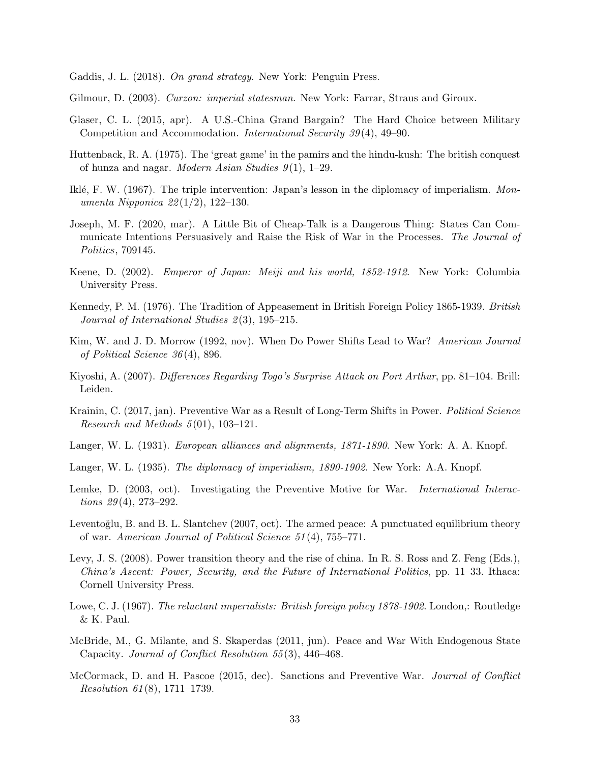<span id="page-33-12"></span>Gaddis, J. L. (2018). On grand strategy. New York: Penguin Press.

- <span id="page-33-10"></span>Gilmour, D. (2003). Curzon: imperial statesman. New York: Farrar, Straus and Giroux.
- <span id="page-33-6"></span>Glaser, C. L. (2015, apr). A U.S.-China Grand Bargain? The Hard Choice between Military Competition and Accommodation. International Security 39 (4), 49–90.
- <span id="page-33-18"></span>Huttenback, R. A. (1975). The 'great game' in the pamirs and the hindu-kush: The british conquest of hunza and nagar. *Modern Asian Studies*  $9(1)$ , 1–29.
- <span id="page-33-13"></span>Iklé, F. W. (1967). The triple intervention: Japan's lesson in the diplomacy of imperialism. Monumenta Nipponica 22 (1/2), 122–130.
- <span id="page-33-9"></span>Joseph, M. F. (2020, mar). A Little Bit of Cheap-Talk is a Dangerous Thing: States Can Communicate Intentions Persuasively and Raise the Risk of War in the Processes. The Journal of Politics, 709145.
- <span id="page-33-15"></span>Keene, D. (2002). Emperor of Japan: Meiji and his world, 1852-1912. New York: Columbia University Press.
- <span id="page-33-5"></span>Kennedy, P. M. (1976). The Tradition of Appeasement in British Foreign Policy 1865-1939. British Journal of International Studies  $2(3)$ , 195-215.
- <span id="page-33-3"></span>Kim, W. and J. D. Morrow (1992, nov). When Do Power Shifts Lead to War? American Journal of Political Science 36 (4), 896.
- <span id="page-33-16"></span>Kiyoshi, A. (2007). Differences Regarding Togo's Surprise Attack on Port Arthur, pp. 81–104. Brill: Leiden.
- <span id="page-33-2"></span>Krainin, C. (2017, jan). Preventive War as a Result of Long-Term Shifts in Power. Political Science Research and Methods  $5(01)$ , 103-121.
- <span id="page-33-11"></span>Langer, W. L. (1931). *European alliances and alignments, 1871-1890*. New York: A. A. Knopf.
- <span id="page-33-14"></span>Langer, W. L. (1935). The diplomacy of imperialism, 1890-1902. New York: A.A. Knopf.
- <span id="page-33-4"></span>Lemke, D. (2003, oct). Investigating the Preventive Motive for War. *International Interactions*  $29(4)$ , 273-292.
- <span id="page-33-1"></span>Leventoğlu, B. and B. L. Slantchev (2007, oct). The armed peace: A punctuated equilibrium theory of war. American Journal of Political Science 51 (4), 755–771.
- <span id="page-33-0"></span>Levy, J. S. (2008). Power transition theory and the rise of china. In R. S. Ross and Z. Feng (Eds.), China's Ascent: Power, Security, and the Future of International Politics, pp. 11–33. Ithaca: Cornell University Press.
- <span id="page-33-17"></span>Lowe, C. J. (1967). The reluctant imperialists: British foreign policy 1878-1902. London,: Routledge & K. Paul.
- <span id="page-33-8"></span>McBride, M., G. Milante, and S. Skaperdas (2011, jun). Peace and War With Endogenous State Capacity. Journal of Conflict Resolution 55 (3), 446–468.
- <span id="page-33-7"></span>McCormack, D. and H. Pascoe (2015, dec). Sanctions and Preventive War. Journal of Conflict Resolution 61 (8), 1711–1739.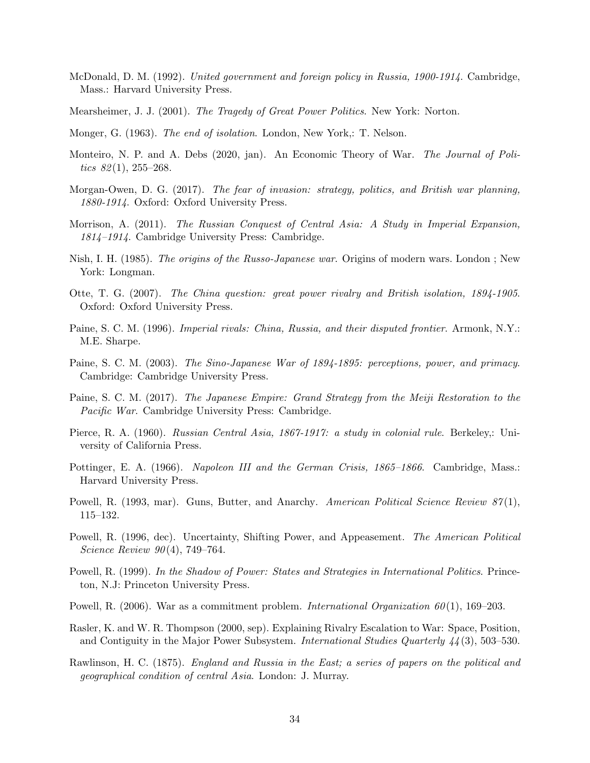- <span id="page-34-17"></span>McDonald, D. M. (1992). United government and foreign policy in Russia, 1900-1914. Cambridge, Mass.: Harvard University Press.
- <span id="page-34-6"></span>Mearsheimer, J. J. (2001). The Tragedy of Great Power Politics. New York: Norton.
- <span id="page-34-11"></span>Monger, G. (1963). The end of isolation. London, New York,: T. Nelson.
- <span id="page-34-5"></span>Monteiro, N. P. and A. Debs (2020, jan). An Economic Theory of War. *The Journal of Poli*tics  $82(1)$ ,  $255-268$ .
- <span id="page-34-12"></span>Morgan-Owen, D. G. (2017). The fear of invasion: strategy, politics, and British war planning, 1880-1914. Oxford: Oxford University Press.
- <span id="page-34-8"></span>Morrison, A. (2011). The Russian Conquest of Central Asia: A Study in Imperial Expansion, 1814–1914. Cambridge University Press: Cambridge.
- <span id="page-34-15"></span>Nish, I. H. (1985). The origins of the Russo-Japanese war. Origins of modern wars. London ; New York: Longman.
- <span id="page-34-10"></span>Otte, T. G. (2007). The China question: great power rivalry and British isolation, 1894-1905. Oxford: Oxford University Press.
- <span id="page-34-16"></span>Paine, S. C. M. (1996). Imperial rivals: China, Russia, and their disputed frontier. Armonk, N.Y.: M.E. Sharpe.
- <span id="page-34-14"></span>Paine, S. C. M. (2003). The Sino-Japanese War of 1894-1895: perceptions, power, and primacy. Cambridge: Cambridge University Press.
- <span id="page-34-18"></span>Paine, S. C. M. (2017). The Japanese Empire: Grand Strategy from the Meiji Restoration to the Pacific War. Cambridge University Press: Cambridge.
- <span id="page-34-9"></span>Pierce, R. A. (1960). Russian Central Asia, 1867-1917: a study in colonial rule. Berkeley,: University of California Press.
- <span id="page-34-13"></span>Pottinger, E. A. (1966). Napoleon III and the German Crisis, 1865–1866. Cambridge, Mass.: Harvard University Press.
- <span id="page-34-4"></span>Powell, R. (1993, mar). Guns, Butter, and Anarchy. American Political Science Review 87(1), 115–132.
- <span id="page-34-2"></span>Powell, R. (1996, dec). Uncertainty, Shifting Power, and Appeasement. The American Political Science Review 90(4), 749-764.
- <span id="page-34-1"></span>Powell, R. (1999). In the Shadow of Power: States and Strategies in International Politics. Princeton, N.J: Princeton University Press.
- <span id="page-34-0"></span>Powell, R. (2006). War as a commitment problem. *International Organization 60*(1), 169–203.
- <span id="page-34-3"></span>Rasler, K. and W. R. Thompson (2000, sep). Explaining Rivalry Escalation to War: Space, Position, and Contiguity in the Major Power Subsystem. International Studies Quarterly 44 (3), 503–530.
- <span id="page-34-7"></span>Rawlinson, H. C. (1875). England and Russia in the East; a series of papers on the political and geographical condition of central Asia. London: J. Murray.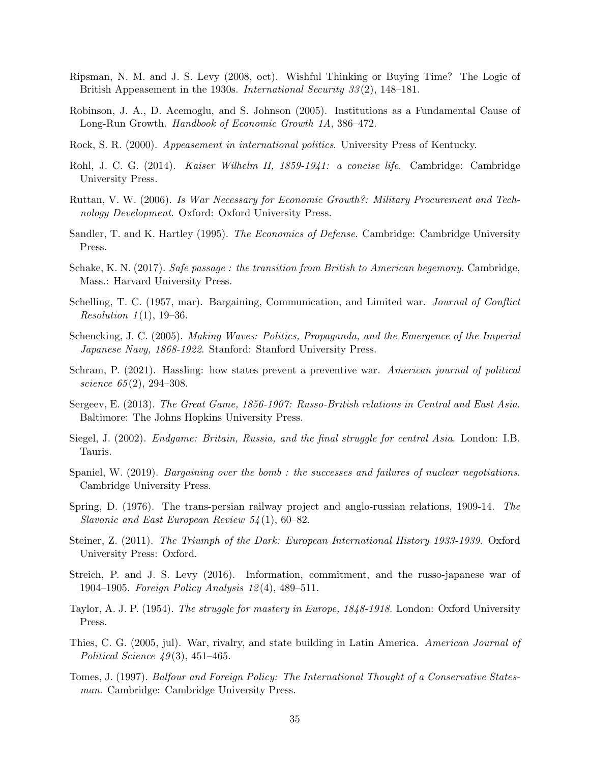- <span id="page-35-2"></span>Ripsman, N. M. and J. S. Levy (2008, oct). Wishful Thinking or Buying Time? The Logic of British Appeasement in the 1930s. International Security 33 (2), 148–181.
- <span id="page-35-6"></span>Robinson, J. A., D. Acemoglu, and S. Johnson (2005). Institutions as a Fundamental Cause of Long-Run Growth. Handbook of Economic Growth 1A, 386–472.
- <span id="page-35-7"></span>Rock, S. R. (2000). Appeasement in international politics. University Press of Kentucky.
- <span id="page-35-14"></span>Rohl, J. C. G. (2014). Kaiser Wilhelm II, 1859-1941: a concise life. Cambridge: Cambridge University Press.
- <span id="page-35-9"></span>Ruttan, V. W. (2006). Is War Necessary for Economic Growth?: Military Procurement and Technology Development. Oxford: Oxford University Press.
- <span id="page-35-8"></span>Sandler, T. and K. Hartley (1995). The Economics of Defense. Cambridge: Cambridge University Press.
- <span id="page-35-1"></span>Schake, K. N. (2017). Safe passage: the transition from British to American hegemony. Cambridge, Mass.: Harvard University Press.
- <span id="page-35-10"></span>Schelling, T. C. (1957, mar). Bargaining, Communication, and Limited war. Journal of Conflict *Resolution 1*(1), 19–36.
- <span id="page-35-17"></span>Schencking, J. C. (2005). Making Waves: Politics, Propaganda, and the Emergence of the Imperial Japanese Navy, 1868-1922. Stanford: Stanford University Press.
- <span id="page-35-4"></span>Schram, P. (2021). Hassling: how states prevent a preventive war. American journal of political science 65(2), 294-308.
- <span id="page-35-11"></span>Sergeev, E. (2013). The Great Game, 1856-1907: Russo-British relations in Central and East Asia. Baltimore: The Johns Hopkins University Press.
- <span id="page-35-16"></span>Siegel, J. (2002). Endgame: Britain, Russia, and the final struggle for central Asia. London: I.B. Tauris.
- <span id="page-35-3"></span>Spaniel, W. (2019). *Bargaining over the bomb*: the successes and failures of nuclear negotiations. Cambridge University Press.
- <span id="page-35-15"></span>Spring, D. (1976). The trans-persian railway project and anglo-russian relations, 1909-14. The Slavonic and East European Review 54 (1), 60–82.
- <span id="page-35-18"></span>Steiner, Z. (2011). The Triumph of the Dark: European International History 1933-1939. Oxford University Press: Oxford.
- <span id="page-35-0"></span>Streich, P. and J. S. Levy (2016). Information, commitment, and the russo-japanese war of 1904–1905. Foreign Policy Analysis 12 (4), 489–511.
- <span id="page-35-13"></span>Taylor, A. J. P. (1954). The struggle for mastery in Europe, 1848-1918. London: Oxford University Press.
- <span id="page-35-5"></span>Thies, C. G. (2005, jul). War, rivalry, and state building in Latin America. American Journal of Political Science  $49(3)$ , 451–465.
- <span id="page-35-12"></span>Tomes, J. (1997). Balfour and Foreign Policy: The International Thought of a Conservative Statesman. Cambridge: Cambridge University Press.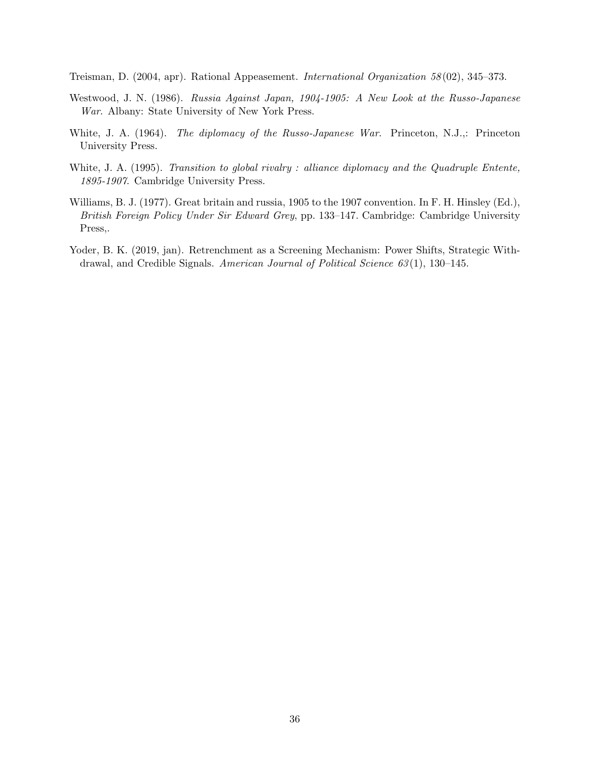<span id="page-36-1"></span>Treisman, D. (2004, apr). Rational Appeasement. International Organization 58 (02), 345–373.

- <span id="page-36-4"></span>Westwood, J. N. (1986). Russia Against Japan, 1904-1905: A New Look at the Russo-Japanese War. Albany: State University of New York Press.
- <span id="page-36-5"></span>White, J. A. (1964). The diplomacy of the Russo-Japanese War. Princeton, N.J.,: Princeton University Press.
- <span id="page-36-3"></span>White, J. A. (1995). Transition to global rivalry: alliance diplomacy and the Quadruple Entente, 1895-1907. Cambridge University Press.
- <span id="page-36-2"></span>Williams, B. J. (1977). Great britain and russia, 1905 to the 1907 convention. In F. H. Hinsley (Ed.), British Foreign Policy Under Sir Edward Grey, pp. 133–147. Cambridge: Cambridge University Press,.
- <span id="page-36-0"></span>Yoder, B. K. (2019, jan). Retrenchment as a Screening Mechanism: Power Shifts, Strategic Withdrawal, and Credible Signals. American Journal of Political Science 63 (1), 130–145.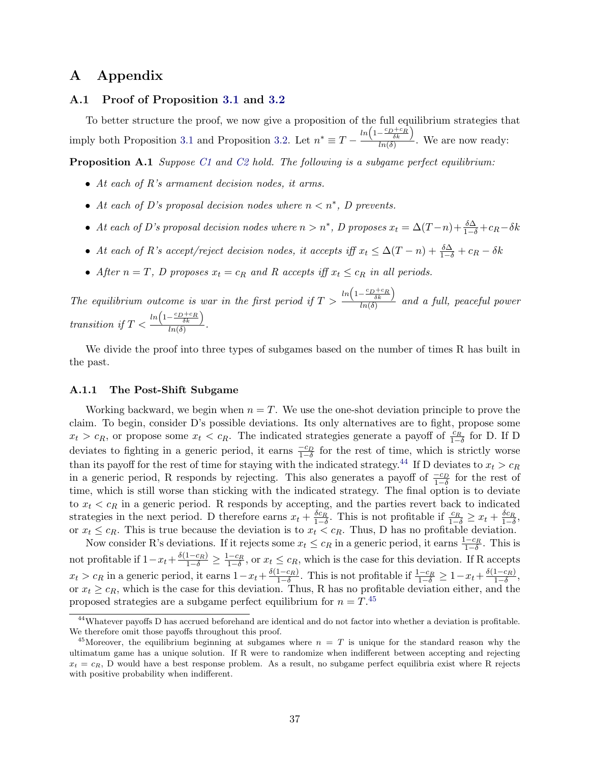## A Appendix

### <span id="page-37-1"></span>A.1 Proof of Proposition [3.1](#page-10-2) and [3.2](#page-11-1)

To better structure the proof, we now give a proposition of the full equilibrium strategies that imply both Proposition [3.1](#page-10-2) and Proposition [3.2.](#page-11-1) Let  $n^* \equiv T - \frac{\ln(1 - \frac{c_D + c_R}{\delta k})}{\ln(\delta k)}$  $\frac{\delta k}{\ln(\delta)}$ . We are now ready:

<span id="page-37-0"></span>Proposition A.1 Suppose [C1](#page-9-0) and [C2](#page-9-0) hold. The following is a subgame perfect equilibrium:

- At each of R's armament decision nodes, it arms.
- At each of D's proposal decision nodes where  $n < n^*$ , D prevents.
- At each of D's proposal decision nodes where  $n > n^*$ , D proposes  $x_t = \Delta(T-n) + \frac{\delta \Delta}{1-\delta} + c_R \delta k$
- At each of R's accept/reject decision nodes, it accepts iff  $x_t \leq \Delta(T n) + \frac{\delta \Delta}{1 \delta} + c_R \delta k$
- After  $n = T$ , D proposes  $x_t = c_R$  and R accepts iff  $x_t \leq c_R$  in all periods.

The equilibrium outcome is war in the first period if  $T >$  $ln\left(1-\frac{c_D+c_R}{\delta k}\right)$  $\frac{\delta k}{\ln(\delta)}$  and a full, peaceful power transition if  $T <$  $ln\left(1-\frac{c_D+c_R}{\delta k}\right)$  $\frac{\delta k}{\ln(\delta)}$ .

We divide the proof into three types of subgames based on the number of times R has built in the past.

#### A.1.1 The Post-Shift Subgame

Working backward, we begin when  $n = T$ . We use the one-shot deviation principle to prove the claim. To begin, consider D's possible deviations. Its only alternatives are to fight, propose some  $x_t > c_R$ , or propose some  $x_t < c_R$ . The indicated strategies generate a payoff of  $\frac{c_R}{1-\delta}$  for D. If D deviates to fighting in a generic period, it earns  $\frac{-c_D}{1-\delta}$  for the rest of time, which is strictly worse than its payoff for the rest of time for staying with the indicated strategy.<sup>[44](#page-37-2)</sup> If D deviates to  $x_t > c_R$ in a generic period, R responds by rejecting. This also generates a payoff of  $\frac{-c_D}{1-\delta}$  for the rest of time, which is still worse than sticking with the indicated strategy. The final option is to deviate to  $x_t < c_R$  in a generic period. R responds by accepting, and the parties revert back to indicated strategies in the next period. D therefore earns  $x_t + \frac{\delta c_R}{1-\delta}$ . This is not profitable if  $\frac{c_R}{1-\delta} \geq x_t + \frac{\delta c_R}{1-\delta}$ , or  $x_t \leq c_R$ . This is true because the deviation is to  $x_t < c_R$ . Thus, D has no profitable deviation.

Now consider R's deviations. If it rejects some  $x_t \leq c_R$  in a generic period, it earns  $\frac{1-c_R}{1-\delta}$ . This is not profitable if  $1-x_t+\frac{\delta(1-c_R)}{1-\delta}\geq \frac{1-c_R}{1-\delta}$ , or  $x_t\leq c_R$ , which is the case for this deviation. If R accepts  $x_t > c_R$  in a generic period, it earns  $1 - x_t + \frac{\delta(1 - c_R)}{1 - \delta}$  $\frac{1-c_R}{1-\delta}$ . This is not profitable if  $\frac{1-c_R}{1-\delta} \geq 1-x_t+\frac{\delta(1-c_R)}{1-\delta}$  $\frac{1-c_R)}{1-\delta},$ or  $x_t \geq c_R$ , which is the case for this deviation. Thus, R has no profitable deviation either, and the proposed strategies are a subgame perfect equilibrium for  $n = T$ .<sup>[45](#page-37-3)</sup>

<span id="page-37-2"></span><sup>44</sup>Whatever payoffs D has accrued beforehand are identical and do not factor into whether a deviation is profitable. We therefore omit those payoffs throughout this proof.

<span id="page-37-3"></span><sup>&</sup>lt;sup>45</sup>Moreover, the equilibrium beginning at subgames where  $n = T$  is unique for the standard reason why the ultimatum game has a unique solution. If R were to randomize when indifferent between accepting and rejecting  $x_t = c_R$ , D would have a best response problem. As a result, no subgame perfect equilibria exist where R rejects with positive probability when indifferent.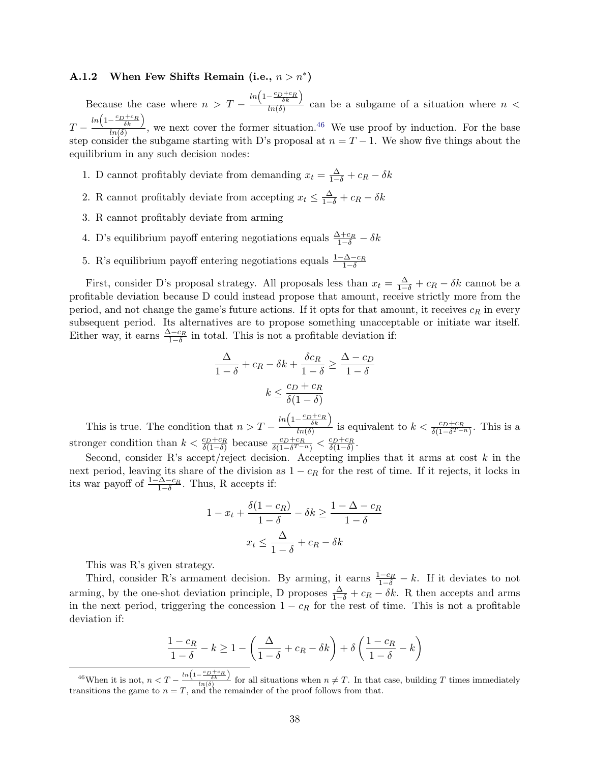## A.1.2 When Few Shifts Remain (i.e.,  $n > n^*$ )

Because the case where  $n > T$  $ln\left(1-\frac{c_D+c_R}{\delta k}\right)$  $\frac{\delta k}{\ln(\delta)}$  can be a subgame of a situation where  $n <$  $T$  $ln\left(1-\frac{c_D+c_R}{\delta k}\right)$  $\frac{\delta k}{\ln(\delta)}$ , we next cover the former situation.<sup>[46](#page-38-0)</sup> We use proof by induction. For the base step consider the subgame starting with D's proposal at  $n = T - 1$ . We show five things about the equilibrium in any such decision nodes:

- 1. D cannot profitably deviate from demanding  $x_t = \frac{\Delta}{1-\delta} + c_R \delta k$
- 2. R cannot profitably deviate from accepting  $x_t \leq \frac{\Delta}{1-\delta} + c_R \delta k$
- 3. R cannot profitably deviate from arming
- 4. D's equilibrium payoff entering negotiations equals  $\frac{\Delta+c_R}{1-\delta} \delta k$
- 5. R's equilibrium payoff entering negotiations equals  $\frac{1-\Delta-c_R}{1-\delta}$

First, consider D's proposal strategy. All proposals less than  $x_t = \frac{\Delta}{1-\delta} + c_R - \delta k$  cannot be a profitable deviation because D could instead propose that amount, receive strictly more from the period, and not change the game's future actions. If it opts for that amount, it receives  $c_R$  in every subsequent period. Its alternatives are to propose something unacceptable or initiate war itself. Either way, it earns  $\frac{\Delta-c_R}{1-\delta}$  in total. This is not a profitable deviation if:

$$
\frac{\Delta}{1-\delta} + c_R - \delta k + \frac{\delta c_R}{1-\delta} \ge \frac{\Delta - c_D}{1-\delta}
$$

$$
k \le \frac{c_D + c_R}{\delta(1-\delta)}
$$

This is true. The condition that  $n > T$  $ln\left(1-\frac{c_D+c_R}{\delta k}\right)$  $\frac{1-\delta k}{\delta h(\delta)}$  is equivalent to  $k < \frac{c_D+c_R}{\delta(1-\delta^{T-n})}$ . This is a stronger condition than  $k < \frac{c_D + c_R}{\delta(1-\delta)}$  because  $\frac{c_D + c_R}{\delta(1-\delta^{T-n})} < \frac{c_D + c_R}{\delta(1-\delta)}$ .

Second, consider R's accept/reject decision. Accepting implies that it arms at cost  $k$  in the next period, leaving its share of the division as  $1 - c_R$  for the rest of time. If it rejects, it locks in its war payoff of  $\frac{1-\Delta-c_R}{1-\delta}$ . Thus, R accepts if:

$$
1 - x_t + \frac{\delta(1 - c_R)}{1 - \delta} - \delta k \ge \frac{1 - \Delta - c_R}{1 - \delta}
$$

$$
x_t \le \frac{\Delta}{1 - \delta} + c_R - \delta k
$$

This was R's given strategy.

Third, consider R's armament decision. By arming, it earns  $\frac{1-c_R}{1-\delta} - k$ . If it deviates to not arming, by the one-shot deviation principle, D proposes  $\frac{\Delta}{1-\delta} + c_R - \delta k$ . R then accepts and arms in the next period, triggering the concession  $1 - c_R$  for the rest of time. This is not a profitable deviation if:

$$
\frac{1-c_R}{1-\delta} - k \ge 1 - \left(\frac{\Delta}{1-\delta} + c_R - \delta k\right) + \delta \left(\frac{1-c_R}{1-\delta} - k\right)
$$

<span id="page-38-0"></span><sup>&</sup>lt;sup>46</sup>When it is not,  $n < T - \frac{\ln\left(1 - \frac{c_D + c_R}{\delta k}\right)}{\ln(\delta)}$  for all situations when  $n \neq T$ . In that case, building T times immediately transitions the game to  $n = T$ , and the remainder of the proof follows from that.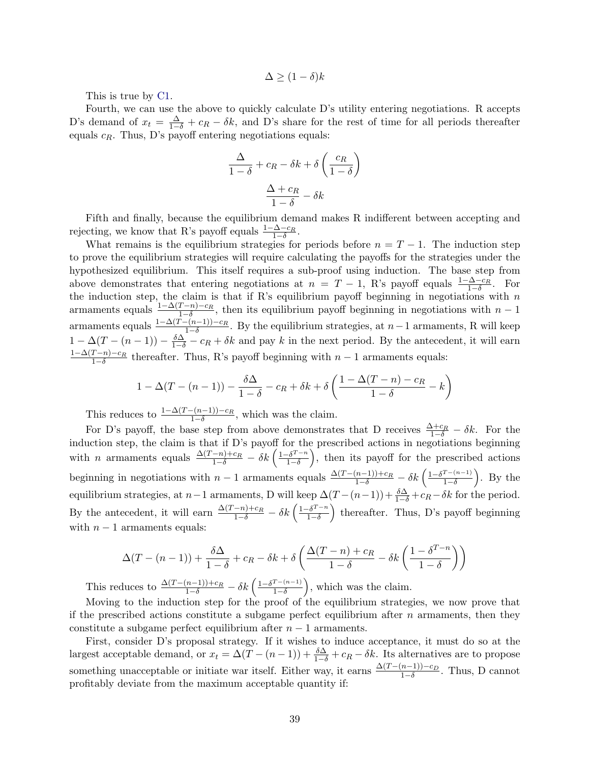$$
\Delta \ge (1 - \delta)k
$$

This is true by [C1.](#page-9-0)

Fourth, we can use the above to quickly calculate D's utility entering negotiations. R accepts D's demand of  $x_t = \frac{\Delta}{1-\delta} + c_R - \delta k$ , and D's share for the rest of time for all periods thereafter equals  $c_R$ . Thus, D's payoff entering negotiations equals:

$$
\frac{\Delta}{1-\delta} + c_R - \delta k + \delta \left(\frac{c_R}{1-\delta}\right)
$$

$$
\frac{\Delta + c_R}{1-\delta} - \delta k
$$

Fifth and finally, because the equilibrium demand makes R indifferent between accepting and rejecting, we know that R's payoff equals  $\frac{1-\Delta-c_R}{1-\delta}$ .

What remains is the equilibrium strategies for periods before  $n = T - 1$ . The induction step to prove the equilibrium strategies will require calculating the payoffs for the strategies under the hypothesized equilibrium. This itself requires a sub-proof using induction. The base step from above demonstrates that entering negotiations at  $n = T - 1$ , R's payoff equals  $\frac{1-\Delta-c_R}{1-\delta}$ . For the induction step, the claim is that if R's equilibrium payoff beginning in negotiations with n<br>the induction step, the claim is that if R's equilibrium payoff beginning in negotiations with n armaments equals  $\frac{1-\Delta(T-n)-c_R}{1-\delta}$ , then its equilibrium payoff beginning in negotiations with  $n-1$ armaments equals  $\frac{1-\Delta(T-(n-1))-c_R}{1-\delta}$ . By the equilibrium strategies, at  $n-1$  armaments, R will keep  $1 - \Delta(T - (n-1)) - \frac{\delta \Delta}{1-\delta} - c_R + \delta k$  and pay k in the next period. By the antecedent, it will earn  $1-\Delta(T-n)-c_R$  $\frac{1-n-c_R}{1-\delta}$  thereafter. Thus, R's payoff beginning with  $n-1$  armaments equals:

$$
1 - \Delta(T - (n - 1)) - \frac{\delta \Delta}{1 - \delta} - c_R + \delta k + \delta \left(\frac{1 - \Delta(T - n) - c_R}{1 - \delta} - k\right)
$$

This reduces to  $\frac{1-\Delta(T-(n-1))-c_R}{1-\delta}$ , which was the claim.

For D's payoff, the base step from above demonstrates that D receives  $\frac{\Delta+c_R}{1-\delta}-\delta k$ . For the induction step, the claim is that if D's payoff for the prescribed actions in negotiations beginning with *n* armaments equals  $\frac{\Delta(T-n)+c_R}{1-\delta}-\delta k\left(\frac{1-\delta^{T-n}}{1-\delta}\right)$  $\left(\frac{-\delta^{T-n}}{1-\delta}\right)$ , then its payoff for the prescribed actions beginning in negotiations with  $n-1$  armaments equals  $\frac{\Delta(T-(n-1))+c_R}{1-\delta}-\delta k\left(\frac{1-\delta^{T-(n-1)}}{1-\delta}\right)$  $\frac{T-(n-1)}{1-\delta}$ ). By the equilibrium strategies, at  $n-1$  armaments, D will keep  $\Delta(T-(n-1))+\frac{\delta\Delta}{1-\delta}+c_R-\delta k$  for the period. By the antecedent, it will earn  $\frac{\Delta(T-n)+c_R}{1-\delta}-\delta k\left(\frac{1-\delta^{T-n}}{1-\delta}\right)$  $\left(\frac{\delta^{T-n}}{1-\delta}\right)$  thereafter. Thus, D's payoff beginning with  $n-1$  armaments equals:

$$
\Delta(T - (n - 1)) + \frac{\delta \Delta}{1 - \delta} + c_R - \delta k + \delta \left( \frac{\Delta(T - n) + c_R}{1 - \delta} - \delta k \left( \frac{1 - \delta^{T - n}}{1 - \delta} \right) \right)
$$

This reduces to  $\frac{\Delta (T-(n-1))+c_R}{1-\delta}-\delta k\left(\frac{1-\delta^{T-(n-1)}}{1-\delta}\right)$  $\frac{T-(n-1)}{1-\delta}$ , which was the claim.

Moving to the induction step for the proof of the equilibrium strategies, we now prove that if the prescribed actions constitute a subgame perfect equilibrium after  $n$  armaments, then they constitute a subgame perfect equilibrium after  $n - 1$  armaments.

First, consider D's proposal strategy. If it wishes to induce acceptance, it must do so at the largest acceptable demand, or  $x_t = \Delta(T - (n-1)) + \frac{\delta \Delta}{1-\delta} + c_R - \delta k$ . Its alternatives are to propose something unacceptable or initiate war itself. Either way, it earns  $\frac{\Delta(T-(n-1))-c_D}{1-\delta}$ . Thus, D cannot profitably deviate from the maximum acceptable quantity if: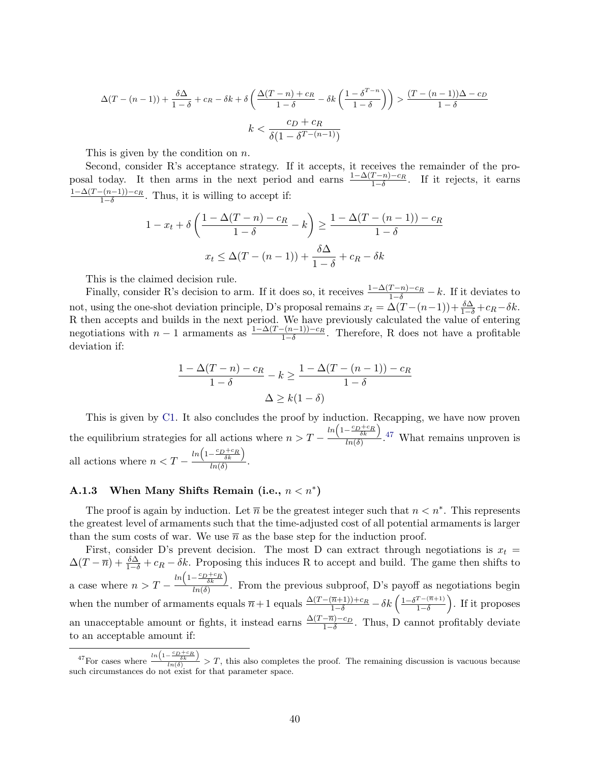$$
\Delta(T - (n - 1)) + \frac{\delta \Delta}{1 - \delta} + c_R - \delta k + \delta \left( \frac{\Delta(T - n) + c_R}{1 - \delta} - \delta k \left( \frac{1 - \delta^{T - n}}{1 - \delta} \right) \right) > \frac{(T - (n - 1))\Delta - c_D}{1 - \delta}
$$
\n
$$
k < \frac{c_D + c_R}{\delta (1 - \delta^{T - (n - 1)})}
$$

This is given by the condition on  $n$ .

Second, consider R's acceptance strategy. If it accepts, it receives the remainder of the proposal today. It then arms in the next period and earns  $\frac{1-\Delta(T-n)-c_R}{1-\delta}$ . If it rejects, it earns  $1-\Delta(T-(n-1))-c_R$  $\frac{-(n-1)}{1-\delta}$ . Thus, it is willing to accept if:

$$
1 - x_t + \delta \left( \frac{1 - \Delta(T - n) - c_R}{1 - \delta} - k \right) \ge \frac{1 - \Delta(T - (n - 1)) - c_R}{1 - \delta}
$$

$$
x_t \le \Delta(T - (n - 1)) + \frac{\delta \Delta}{1 - \delta} + c_R - \delta k
$$

This is the claimed decision rule.

Finally, consider R's decision to arm. If it does so, it receives  $\frac{1-\Delta(T-n)-c_R}{1-\delta}-k$ . If it deviates to not, using the one-shot deviation principle, D's proposal remains  $x_t = \Delta(T-(n-1)) + \frac{\delta \Delta}{1-\delta} + c_R - \delta k$ . R then accepts and builds in the next period. We have previously calculated the value of entering negotiations with  $n-1$  armaments as  $\frac{1-\Delta(T-(n-1))-c_R}{1-\delta}$ . Therefore, R does not have a profitable deviation if:

$$
\frac{1 - \Delta(T - n) - c_R}{1 - \delta} - k \ge \frac{1 - \Delta(T - (n - 1)) - c_R}{1 - \delta}
$$

$$
\Delta \ge k(1 - \delta)
$$

This is given by [C1.](#page-9-0) It also concludes the proof by induction. Recapping, we have now proven the equilibrium strategies for all actions where  $n > T$  $ln\left(1-\frac{c_D+c_R}{\delta k}\right)$  $\frac{\delta k}{\ln(\delta)}$ .<sup>[47](#page-40-0)</sup> What remains unproven is all actions where  $n < T ln\left(1-\frac{c_D+c_R}{\delta k}\right)$  $\frac{\delta k}{\ln(\delta)}$ .

## A.1.3 When Many Shifts Remain (i.e.,  $n < n^*$ )

The proof is again by induction. Let  $\overline{n}$  be the greatest integer such that  $n < n^*$ . This represents the greatest level of armaments such that the time-adjusted cost of all potential armaments is larger than the sum costs of war. We use  $\bar{n}$  as the base step for the induction proof.

First, consider D's prevent decision. The most D can extract through negotiations is  $x_t =$  $\Delta(T - \overline{n}) + \frac{\delta \Delta}{1 - \delta} + c_R - \delta k$ . Proposing this induces R to accept and build. The game then shifts to a case where  $n > T$  $ln\left(1-\frac{c_D+c_R}{\delta k}\right)$  $\frac{\partial k}{\partial n(\delta)}$ . From the previous subproof, D's payoff as negotiations begin when the number of armaments equals  $\overline{n}+1$  equals  $\frac{\Delta(T-(\overline{n}+1))+c_R}{1-\delta}-\delta k\left(\frac{1-\delta^{T-(\overline{n}+1)}}{1-\delta}\right)$  $\frac{T-(\overline{n}+1)}{1-\delta}$ . If it proposes an unacceptable amount or fights, it instead earns  $\frac{\Delta(T-\overline{n})-c_D}{1-\delta}$ . Thus, D cannot profitably deviate to an acceptable amount if:

<span id="page-40-0"></span><sup>&</sup>lt;sup>47</sup>For cases where  $\frac{\ln\left(1-\frac{c_D+c_R}{\delta k}\right)}{\ln(\delta)} > T$ , this also completes the proof. The remaining discussion is vacuous because such circumstances do not exist for that parameter space.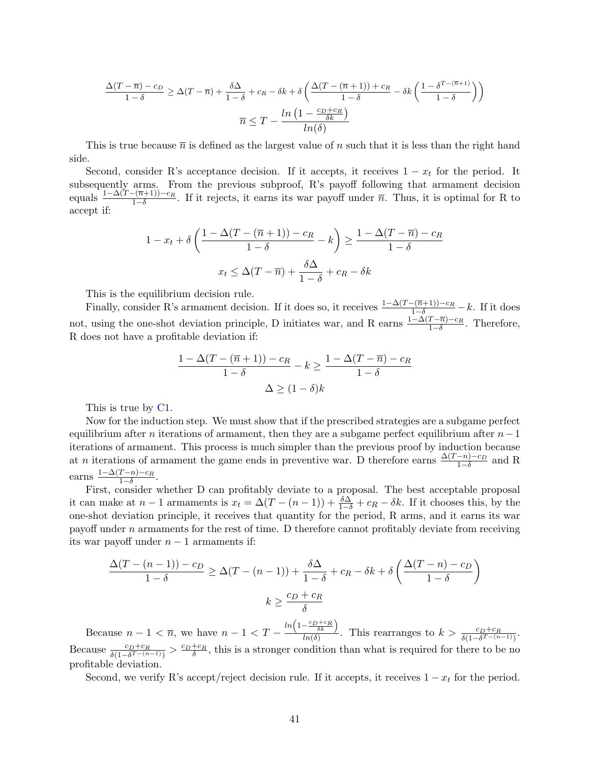$$
\frac{\Delta(T-\overline{n})-c_D}{1-\delta} \ge \Delta(T-\overline{n}) + \frac{\delta\Delta}{1-\delta} + c_R - \delta k + \delta\left(\frac{\Delta(T-(\overline{n}+1))+c_R}{1-\delta} - \delta k\left(\frac{1-\delta^{T-(\overline{n}+1)}}{1-\delta}\right)\right)
$$

$$
\overline{n} \le T - \frac{\ln\left(1-\frac{c_D+c_R}{\delta k}\right)}{\ln(\delta)}
$$

This is true because  $\bar{n}$  is defined as the largest value of n such that it is less than the right hand side.

Second, consider R's acceptance decision. If it accepts, it receives  $1 - x_t$  for the period. It subsequently arms. From the previous subproof, R's payoff following that armament decision equals  $\frac{1-\Delta(T-(\overline{n}+1))-c_R}{1-\delta}$ . If it rejects, it earns its war payoff under  $\overline{n}$ . Thus, it is optimal for R to accept if:

$$
1 - x_t + \delta \left( \frac{1 - \Delta(T - (\overline{n} + 1)) - c_R}{1 - \delta} - k \right) \ge \frac{1 - \Delta(T - \overline{n}) - c_R}{1 - \delta}
$$

$$
x_t \le \Delta(T - \overline{n}) + \frac{\delta \Delta}{1 - \delta} + c_R - \delta k
$$

This is the equilibrium decision rule.

Finally, consider R's armament decision. If it does so, it receives  $\frac{1-\Delta(T-(\overline{n}+1))-c_R}{1-\delta}-k$ . If it does not, using the one-shot deviation principle, D initiates war, and R earns  $\frac{1-\Delta(T-\overline{n})-c_R}{1-\delta}$ . Therefore, R does not have a profitable deviation if:

$$
\frac{1 - \Delta(T - (\overline{n} + 1)) - c_R}{1 - \delta} - k \ge \frac{1 - \Delta(T - \overline{n}) - c_R}{1 - \delta}
$$

$$
\Delta \ge (1 - \delta)k
$$

This is true by [C1.](#page-9-0)

Now for the induction step. We must show that if the prescribed strategies are a subgame perfect equilibrium after n iterations of armament, then they are a subgame perfect equilibrium after  $n-1$ iterations of armament. This process is much simpler than the previous proof by induction because at n iterations of armament the game ends in preventive war. D therefore earns  $\frac{\Delta(T-n)-c_D}{1-\delta}$  and R earns  $\frac{1-\Delta(T-n)-c_R}{1-\delta}$  $\frac{1-n)-c_R}{1-\delta}.$ 

First, consider whether D can profitably deviate to a proposal. The best acceptable proposal it can make at  $n-1$  armaments is  $x_t = \Delta(T - (n-1)) + \frac{\delta \Delta}{1-\delta} + c_R - \delta k$ . If it chooses this, by the one-shot deviation principle, it receives that quantity for the period, R arms, and it earns its war payoff under n armaments for the rest of time. D therefore cannot profitably deviate from receiving its war payoff under  $n-1$  armaments if:

$$
\frac{\Delta(T - (n-1)) - c_D}{1 - \delta} \ge \Delta(T - (n-1)) + \frac{\delta \Delta}{1 - \delta} + c_R - \delta k + \delta \left(\frac{\Delta(T - n) - c_D}{1 - \delta}\right)
$$

$$
k \ge \frac{c_D + c_R}{\delta}
$$

Because  $n-1 < \overline{n}$ , we have  $n-1 < T$  –  $ln\left(1-\frac{c_D+c_R}{\delta k}\right)$  $\frac{1}{\ln(\delta)} \cdot \frac{1}{\ln(\delta)}$ . This rearranges to  $k > \frac{c_D + c_R}{\delta(1 - \delta^{T - (n-1)})}$ . Because  $\frac{c_D+c_R}{\delta(1-\delta^{T-(n-1)})} > \frac{c_D+c_R}{\delta}$ , this is a stronger condition than what is required for there to be no profitable deviation.

Second, we verify R's accept/reject decision rule. If it accepts, it receives  $1 - x_t$  for the period.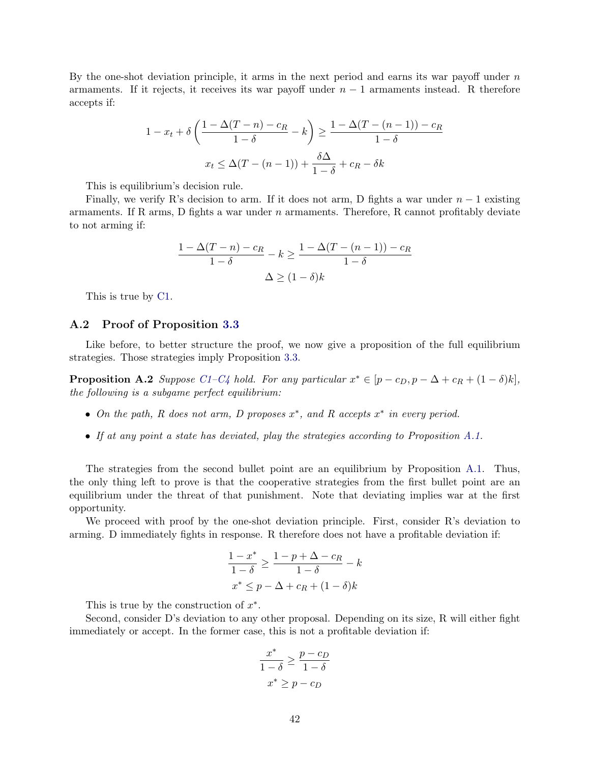By the one-shot deviation principle, it arms in the next period and earns its war payoff under  $n$ armaments. If it rejects, it receives its war payoff under  $n-1$  armaments instead. R therefore accepts if:

$$
1 - x_t + \delta \left( \frac{1 - \Delta(T - n) - c_R}{1 - \delta} - k \right) \ge \frac{1 - \Delta(T - (n - 1)) - c_R}{1 - \delta}
$$

$$
x_t \le \Delta(T - (n - 1)) + \frac{\delta \Delta}{1 - \delta} + c_R - \delta k
$$

This is equilibrium's decision rule.

Finally, we verify R's decision to arm. If it does not arm, D fights a war under  $n-1$  existing armaments. If R arms, D fights a war under  $n$  armaments. Therefore, R cannot profitably deviate to not arming if:

$$
\frac{1 - \Delta(T - n) - c_R}{1 - \delta} - k \ge \frac{1 - \Delta(T - (n - 1)) - c_R}{1 - \delta}
$$

$$
\Delta \ge (1 - \delta)k
$$

This is true by [C1.](#page-9-0)

## <span id="page-42-0"></span>A.2 Proof of Proposition [3.3](#page-13-0)

Like before, to better structure the proof, we now give a proposition of the full equilibrium strategies. Those strategies imply Proposition [3.3.](#page-13-0)

<span id="page-42-1"></span>**Proposition A.2** Suppose [C1–C4](#page-9-0) hold. For any particular  $x^* \in [p - c_D, p - \Delta + c_R + (1 - \delta)k]$ , the following is a subgame perfect equilibrium:

- On the path, R does not arm, D proposes  $x^*$ , and R accepts  $x^*$  in every period.
- If at any point a state has deviated, play the strategies according to Proposition [A.1.](#page-37-0)

The strategies from the second bullet point are an equilibrium by Proposition [A.1.](#page-37-0) Thus, the only thing left to prove is that the cooperative strategies from the first bullet point are an equilibrium under the threat of that punishment. Note that deviating implies war at the first opportunity.

We proceed with proof by the one-shot deviation principle. First, consider R's deviation to arming. D immediately fights in response. R therefore does not have a profitable deviation if:

$$
\frac{1-x^*}{1-\delta} \ge \frac{1-p+\Delta-c_R}{1-\delta} - k
$$
  

$$
x^* \le p - \Delta + c_R + (1-\delta)k
$$

This is true by the construction of  $x^*$ .

Second, consider D's deviation to any other proposal. Depending on its size, R will either fight immediately or accept. In the former case, this is not a profitable deviation if:

$$
\frac{x^*}{1-\delta} \ge \frac{p-c_D}{1-\delta}
$$

$$
x^* \ge p-c_D
$$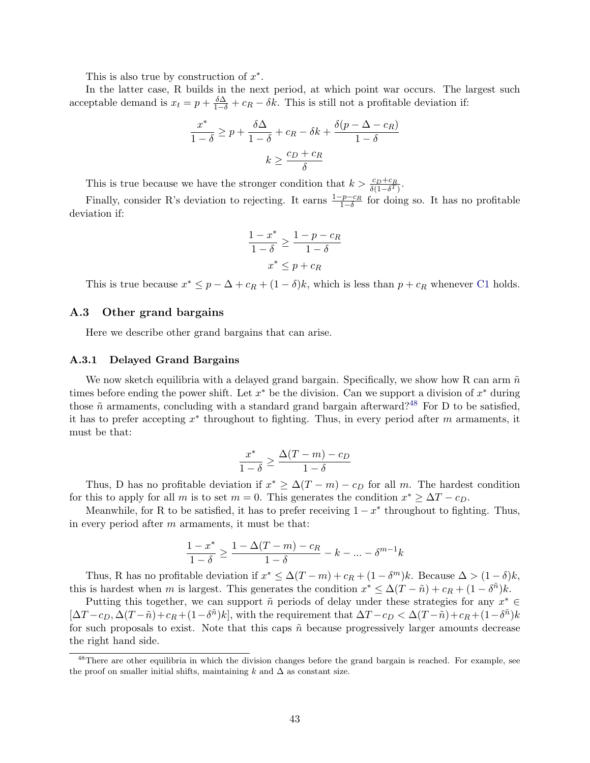This is also true by construction of  $x^*$ .

In the latter case, R builds in the next period, at which point war occurs. The largest such acceptable demand is  $x_t = p + \frac{\delta \Delta}{1 - \delta} + c_R - \delta k$ . This is still not a profitable deviation if:

$$
\frac{x^*}{1-\delta} \ge p + \frac{\delta \Delta}{1-\delta} + c_R - \delta k + \frac{\delta(p - \Delta - c_R)}{1-\delta}
$$

$$
k \ge \frac{c_D + c_R}{\delta}
$$

This is true because we have the stronger condition that  $k > \frac{c_D + c_R}{\delta(1 - \delta^T)}$ .

Finally, consider R's deviation to rejecting. It earns  $\frac{1-p-c_R}{1-\delta}$  for doing so. It has no profitable deviation if:

$$
\frac{1 - x^*}{1 - \delta} \ge \frac{1 - p - c_R}{1 - \delta}
$$

$$
x^* \le p + c_R
$$

This is true because  $x^* \leq p - \Delta + c_R + (1 - \delta)k$ , which is less than  $p + c_R$  whenever [C1](#page-9-0) holds.

## <span id="page-43-0"></span>A.3 Other grand bargains

Here we describe other grand bargains that can arise.

#### A.3.1 Delayed Grand Bargains

We now sketch equilibria with a delayed grand bargain. Specifically, we show how R can arm  $\tilde{n}$ times before ending the power shift. Let  $x^*$  be the division. Can we support a division of  $x^*$  during those  $\tilde{n}$  armaments, concluding with a standard grand bargain afterward?<sup>[48](#page-43-1)</sup> For D to be satisfied, it has to prefer accepting  $x^*$  throughout to fighting. Thus, in every period after m armaments, it must be that:

$$
\frac{x^*}{1-\delta} \ge \frac{\Delta(T-m) - c_D}{1-\delta}
$$

Thus, D has no profitable deviation if  $x^* \geq \Delta(T-m) - c_D$  for all m. The hardest condition for this to apply for all m is to set  $m = 0$ . This generates the condition  $x^* \geq \Delta T - c_D$ .

Meanwhile, for R to be satisfied, it has to prefer receiving  $1 - x^*$  throughout to fighting. Thus, in every period after  $m$  armaments, it must be that:

$$
\frac{1-x^*}{1-\delta}\geq \frac{1-\Delta(T-m)-c_R}{1-\delta}-k-\ldots-\delta^{m-1}k
$$

Thus, R has no profitable deviation if  $x^* \leq \Delta(T-m) + c_R + (1 - \delta^m)k$ . Because  $\Delta > (1 - \delta)k$ , this is hardest when m is largest. This generates the condition  $x^* \leq \Delta(T - \tilde{n}) + c_R + (1 - \delta^{\tilde{n}})k$ .

Putting this together, we can support  $\tilde{n}$  periods of delay under these strategies for any  $x^* \in$  $[\Delta T - c_D, \Delta (T - \tilde{n}) + c_R + (1 - \delta^{\tilde{n}})k],$  with the requirement that  $\Delta T - c_D < \Delta (T - \tilde{n}) + c_R + (1 - \delta^{\tilde{n}})k$ for such proposals to exist. Note that this caps  $\tilde{n}$  because progressively larger amounts decrease the right hand side.

<span id="page-43-1"></span><sup>&</sup>lt;sup>48</sup>There are other equilibria in which the division changes before the grand bargain is reached. For example, see the proof on smaller initial shifts, maintaining k and  $\Delta$  as constant size.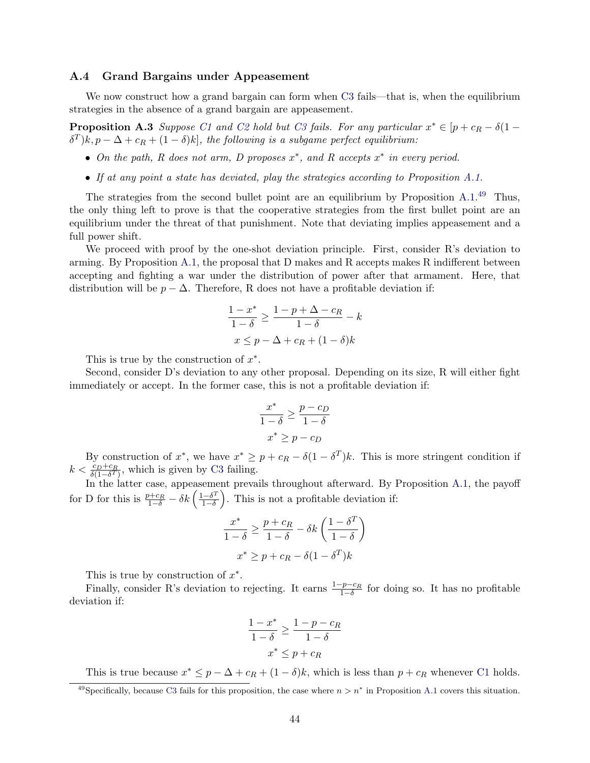## A.4 Grand Bargains under Appeasement

We now construct how a grand bargain can form when [C3](#page-9-0) fails—that is, when the equilibrium strategies in the absence of a grand bargain are appeasement.

**Proposition A.3** Suppose [C1](#page-9-0) and [C2](#page-9-0) hold but [C3](#page-9-0) fails. For any particular  $x^* \in [p + c_R - \delta(1 - \delta)]$  $\delta^T)k, p-\Delta+c_R+(1-\delta)k],$  the following is a subgame perfect equilibrium:

- On the path, R does not arm, D proposes  $x^*$ , and R accepts  $x^*$  in every period.
- If at any point a state has deviated, play the strategies according to Proposition [A.1.](#page-37-0)

The strategies from the second bullet point are an equilibrium by Proposition [A.1.](#page-37-0)<sup>[49](#page-44-0)</sup> Thus, the only thing left to prove is that the cooperative strategies from the first bullet point are an equilibrium under the threat of that punishment. Note that deviating implies appeasement and a full power shift.

We proceed with proof by the one-shot deviation principle. First, consider R's deviation to arming. By Proposition [A.1,](#page-37-0) the proposal that D makes and R accepts makes R indifferent between accepting and fighting a war under the distribution of power after that armament. Here, that distribution will be  $p - \Delta$ . Therefore, R does not have a profitable deviation if:

$$
\frac{1-x^*}{1-\delta} \ge \frac{1-p+\Delta-c_R}{1-\delta} - k
$$

$$
x \le p - \Delta + c_R + (1-\delta)k
$$

This is true by the construction of  $x^*$ .

Second, consider D's deviation to any other proposal. Depending on its size, R will either fight immediately or accept. In the former case, this is not a profitable deviation if:

$$
\frac{x^*}{1-\delta} \ge \frac{p-c_D}{1-\delta}
$$

$$
x^* \ge p-c_D
$$

By construction of  $x^*$ , we have  $x^* \geq p + c_R - \delta(1 - \delta^T)k$ . This is more stringent condition if  $k < \frac{c_D + c_R}{\delta(1 - \delta^T)}$ , which is given by [C3](#page-9-0) failing.

In the latter case, appeasement prevails throughout afterward. By Proposition [A.1,](#page-37-0) the payoff for D for this is  $\frac{p+c_R}{1-\delta} - \delta k \left( \frac{1-\delta^T}{1-\delta} \right)$  $\left( \frac{-\delta^T}{1-\delta} \right)$ . This is not a profitable deviation if:

$$
\frac{x^*}{1-\delta} \ge \frac{p+c_R}{1-\delta} - \delta k \left(\frac{1-\delta^T}{1-\delta}\right)
$$

$$
x^* \ge p + c_R - \delta (1-\delta^T)k
$$

This is true by construction of  $x^*$ .

Finally, consider R's deviation to rejecting. It earns  $\frac{1-p-c_R}{1-\delta}$  for doing so. It has no profitable deviation if:

$$
\frac{1-x^*}{1-\delta} \ge \frac{1-p-c_R}{1-\delta}
$$

$$
x^* \le p+c_R
$$

This is true because  $x^* \leq p - \Delta + c_R + (1 - \delta)k$ , which is less than  $p + c_R$  whenever [C1](#page-9-0) holds.

<span id="page-44-0"></span><sup>&</sup>lt;sup>49</sup>Specifically, because [C3](#page-9-0) fails for this proposition, the case where  $n > n^*$  in Proposition [A.1](#page-37-0) covers this situation.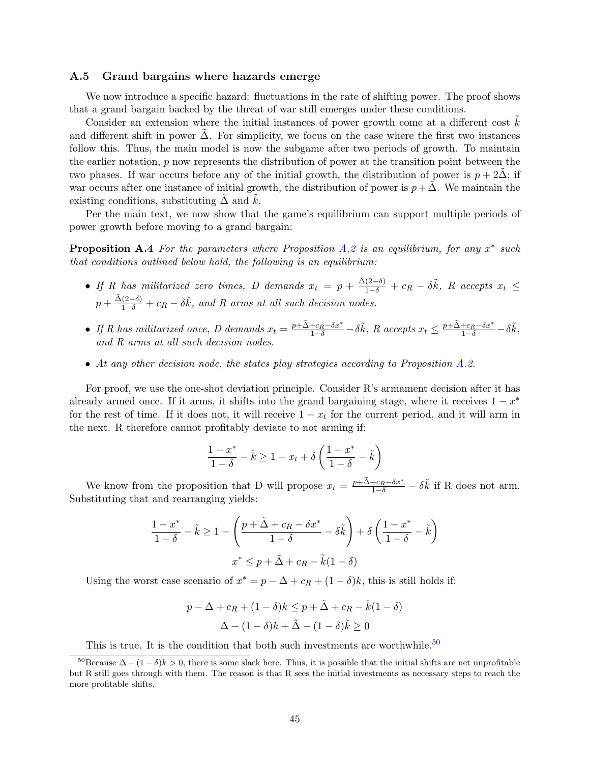### <span id="page-45-0"></span>A.5 Grand bargains where hazards emerge

We now introduce a specific hazard: fluctuations in the rate of shifting power. The proof shows that a grand bargain backed by the threat of war still emerges under these conditions.

Consider an extension where the initial instances of power growth come at a different cost  $k$ and different shift in power  $\Delta$ . For simplicity, we focus on the case where the first two instances follow this. Thus, the main model is now the subgame after two periods of growth. To maintain the earlier notation, p now represents the distribution of power at the transition point between the two phases. If war occurs before any of the initial growth, the distribution of power is  $p + 2\Delta$ ; if war occurs after one instance of initial growth, the distribution of power is  $p + \Delta$ . We maintain the existing conditions, substituting  $\Delta$  and  $k$ .

Per the main text, we now show that the game's equilibrium can support multiple periods of power growth before moving to a grand bargain:

**Proposition A.4** For the parameters where Proposition [A.2](#page-42-1) is an equilibrium, for any  $x^*$  such that conditions outlined below hold, the following is an equilibrium:

- If R has militarized zero times, D demands  $x_t = p + \frac{\tilde{\Delta}(2-\delta)}{1-\delta} + c_R \delta \tilde{k}$ , R accepts  $x_t \leq$  $p + \frac{\tilde{\Delta}(2-\delta)}{1-\delta} + c_R - \delta \tilde{k}$ , and R arms at all such decision nodes.
- If R has militarized once, D demands  $x_t = \frac{p + \tilde{\Delta} + c_R \delta x^*}{1 \delta} \delta \tilde{k}$ , R accepts  $x_t \leq \frac{p + \tilde{\Delta} + c_R \delta x^*}{1 \delta} \delta \tilde{k}$ , and R arms at all such decision nodes.
- At any other decision node, the states play strategies according to Proposition [A.2.](#page-42-1)

For proof, we use the one-shot deviation principle. Consider R's armament decision after it has already armed once. If it arms, it shifts into the grand bargaining stage, where it receives  $1 - x^*$ for the rest of time. If it does not, it will receive  $1 - x_t$  for the current period, and it will arm in the next. R therefore cannot profitably deviate to not arming if:

$$
\frac{1-x^*}{1-\delta}-\tilde{k}\geq 1-x_t+\delta\left(\frac{1-x^*}{1-\delta}-\tilde{k}\right)
$$

We know from the proposition that D will propose  $x_t = \frac{p + \tilde{\Delta} + c_R - \delta x^*}{1 - \delta} - \delta \tilde{k}$  if R does not arm. Substituting that and rearranging yields:

$$
\frac{1-x^*}{1-\delta} - \tilde{k} \ge 1 - \left(\frac{p+\tilde{\Delta}+c_R-\delta x^*}{1-\delta} - \delta \tilde{k}\right) + \delta\left(\frac{1-x^*}{1-\delta} - \tilde{k}\right)
$$

$$
x^* \le p+\tilde{\Delta}+c_R-\tilde{k}(1-\delta)
$$

Using the worst case scenario of  $x^* = p - \Delta + c_R + (1 - \delta)k$ , this is still holds if:

$$
p - \Delta + c_R + (1 - \delta)k \le p + \tilde{\Delta} + c_R - \tilde{k}(1 - \delta)
$$

$$
\Delta - (1 - \delta)k + \tilde{\Delta} - (1 - \delta)\tilde{k} \ge 0
$$

<span id="page-45-1"></span>This is true. It is the condition that both such investments are worthwhile.<sup>[50](#page-45-1)</sup>

<sup>&</sup>lt;sup>50</sup>Because  $\Delta - (1 - \delta)k > 0$ , there is some slack here. Thus, it is possible that the initial shifts are net unprofitable but R still goes through with them. The reason is that R sees the initial investments as necessary steps to reach the more profitable shifts.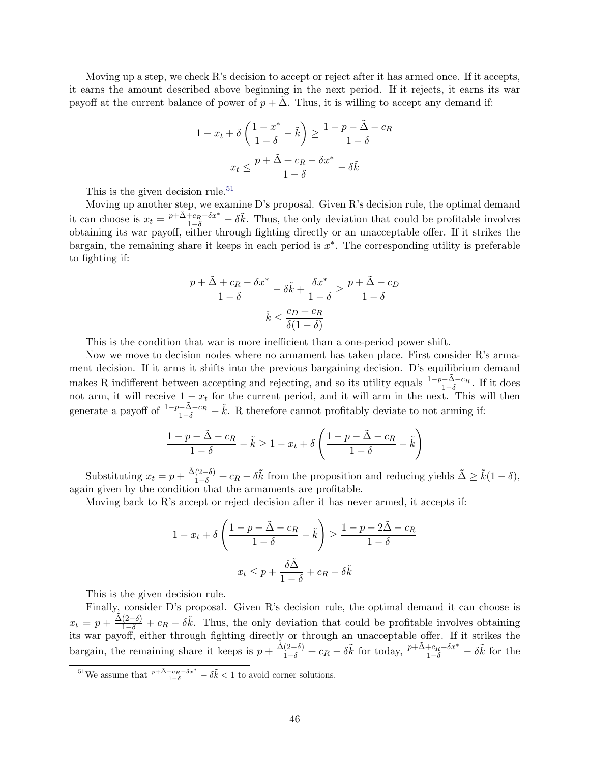Moving up a step, we check R's decision to accept or reject after it has armed once. If it accepts, it earns the amount described above beginning in the next period. If it rejects, it earns its war payoff at the current balance of power of  $p + \Delta$ . Thus, it is willing to accept any demand if:

$$
1 - x_t + \delta \left( \frac{1 - x^*}{1 - \delta} - \tilde{k} \right) \ge \frac{1 - p - \tilde{\Delta} - c_R}{1 - \delta}
$$

$$
x_t \le \frac{p + \tilde{\Delta} + c_R - \delta x^*}{1 - \delta} - \delta \tilde{k}
$$

This is the given decision rule.<sup>[51](#page-46-0)</sup>

Moving up another step, we examine D's proposal. Given R's decision rule, the optimal demand it can choose is  $x_t = \frac{p + \tilde{\Delta} + c_R - \delta x^*}{1 - \delta} - \delta \tilde{k}$ . Thus, the only deviation that could be profitable involves obtaining its war payoff, either through fighting directly or an unacceptable offer. If it strikes the bargain, the remaining share it keeps in each period is  $x^*$ . The corresponding utility is preferable to fighting if:

$$
\frac{p + \tilde{\Delta} + c_R - \delta x^*}{1 - \delta} - \delta \tilde{k} + \frac{\delta x^*}{1 - \delta} \ge \frac{p + \tilde{\Delta} - c_D}{1 - \delta}
$$

$$
\tilde{k} \le \frac{c_D + c_R}{\delta (1 - \delta)}
$$

This is the condition that war is more inefficient than a one-period power shift.

Now we move to decision nodes where no armament has taken place. First consider R's armament decision. If it arms it shifts into the previous bargaining decision. D's equilibrium demand makes R indifferent between accepting and rejecting, and so its utility equals  $\frac{1-p-\tilde{\Delta}-c_R}{1-\delta}$ . If it does not arm, it will receive  $1 - x_t$  for the current period, and it will arm in the next. This will then generate a payoff of  $\frac{1-p-\tilde{\Delta}-c_R}{1-\delta}-\tilde{k}$ . R therefore cannot profitably deviate to not arming if:

$$
\frac{1-p-\tilde{\Delta}-c_R}{1-\delta}-\tilde{k}\geq 1-x_t+\delta\left(\frac{1-p-\tilde{\Delta}-c_R}{1-\delta}-\tilde{k}\right)
$$

Substituting  $x_t = p + \frac{\tilde{\Delta}(2-\delta)}{1-\delta} + c_R - \delta \tilde{k}$  from the proposition and reducing yields  $\tilde{\Delta} \geq \tilde{k}(1-\delta)$ , again given by the condition that the armaments are profitable.

Moving back to R's accept or reject decision after it has never armed, it accepts if:

$$
1 - x_t + \delta \left( \frac{1 - p - \tilde{\Delta} - c_R}{1 - \delta} - \tilde{k} \right) \ge \frac{1 - p - 2\tilde{\Delta} - c_R}{1 - \delta}
$$

$$
x_t \le p + \frac{\delta \tilde{\Delta}}{1 - \delta} + c_R - \delta \tilde{k}
$$

This is the given decision rule.

Finally, consider D's proposal. Given R's decision rule, the optimal demand it can choose is  $x_t = p + \frac{\tilde{\Delta}(2-\delta)}{1-\delta} + c_R - \delta \tilde{k}$ . Thus, the only deviation that could be profitable involves obtaining its war payoff, either through fighting directly or through an unacceptable offer. If it strikes the bargain, the remaining share it keeps is  $p + \frac{\tilde{\Delta}(2-\delta)}{1-\delta} + c_R - \delta \tilde{k}$  for today,  $\frac{p+\tilde{\Delta}+c_R-\delta x^*}{1-\delta} - \delta \tilde{k}$  for the

<span id="page-46-0"></span><sup>&</sup>lt;sup>51</sup>We assume that  $\frac{p+\tilde{\Delta}+c_R-\delta x^*}{1-\delta}-\delta \tilde{k} < 1$  to avoid corner solutions.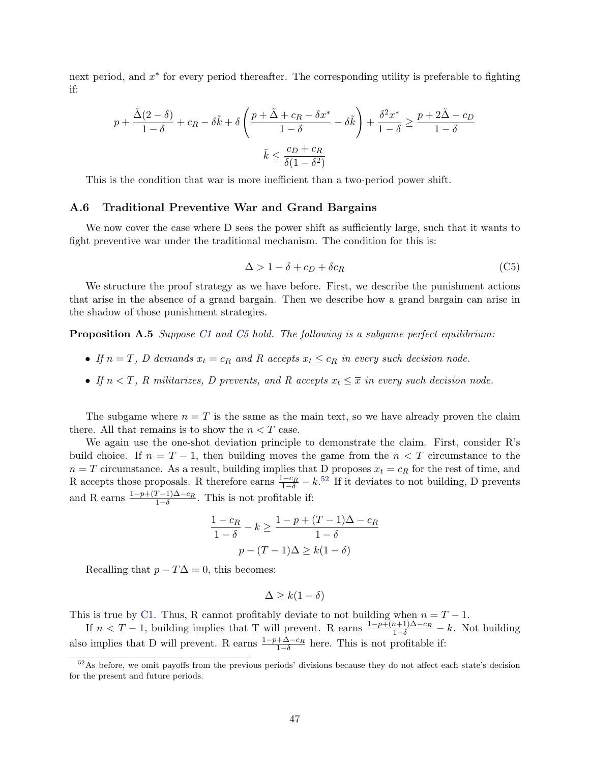next period, and  $x^*$  for every period thereafter. The corresponding utility is preferable to fighting if:

$$
p + \frac{\tilde{\Delta}(2-\delta)}{1-\delta} + c_R - \delta \tilde{k} + \delta \left(\frac{p + \tilde{\Delta} + c_R - \delta x^*}{1-\delta} - \delta \tilde{k}\right) + \frac{\delta^2 x^*}{1-\delta} \ge \frac{p + 2\tilde{\Delta} - c_D}{1-\delta}
$$

$$
\tilde{k} \le \frac{c_D + c_R}{\delta(1-\delta^2)}
$$

This is the condition that war is more inefficient than a two-period power shift.

#### <span id="page-47-0"></span>A.6 Traditional Preventive War and Grand Bargains

We now cover the case where D sees the power shift as sufficiently large, such that it wants to fight preventive war under the traditional mechanism. The condition for this is:

<span id="page-47-1"></span>
$$
\Delta > 1 - \delta + c_D + \delta c_R \tag{C5}
$$

We structure the proof strategy as we have before. First, we describe the punishment actions that arise in the absence of a grand bargain. Then we describe how a grand bargain can arise in the shadow of those punishment strategies.

<span id="page-47-3"></span>**Proposition A.5** Suppose [C1](#page-9-0) and [C5](#page-47-1) hold. The following is a subgame perfect equilibrium:

- If  $n = T$ , D demands  $x_t = c_R$  and R accepts  $x_t \leq c_R$  in every such decision node.
- If  $n < T$ , R militarizes, D prevents, and R accepts  $x_t \leq \overline{x}$  in every such decision node.

The subgame where  $n = T$  is the same as the main text, so we have already proven the claim there. All that remains is to show the  $n < T$  case.

We again use the one-shot deviation principle to demonstrate the claim. First, consider R's build choice. If  $n = T - 1$ , then building moves the game from the  $n < T$  circumstance to the  $n = T$  circumstance. As a result, building implies that D proposes  $x_t = c_R$  for the rest of time, and R accepts those proposals. R therefore earns  $\frac{1-c_R}{1-\delta} - k$ .<sup>[52](#page-47-2)</sup> If it deviates to not building, D prevents and R earns  $\frac{1-p+(T-1)\Delta-c_R}{1-\delta}$ . This is not profitable if:

$$
\frac{1 - c_R}{1 - \delta} - k \ge \frac{1 - p + (T - 1)\Delta - c_R}{1 - \delta}
$$

$$
p - (T - 1)\Delta \ge k(1 - \delta)
$$

Recalling that  $p - T\Delta = 0$ , this becomes:

$$
\Delta \ge k(1-\delta)
$$

This is true by [C1.](#page-9-0) Thus, R cannot profitably deviate to not building when  $n = T - 1$ .

If  $n < T - 1$ , building implies that T will prevent. R earns  $\frac{1 - p + (n+1)\Delta - c_R}{1 - \delta} - k$ . Not building also implies that D will prevent. R earns  $\frac{1-p+\Delta-c_R}{1-\delta}$  here. This is not profitable if:

<span id="page-47-2"></span><sup>52</sup>As before, we omit payoffs from the previous periods' divisions because they do not affect each state's decision for the present and future periods.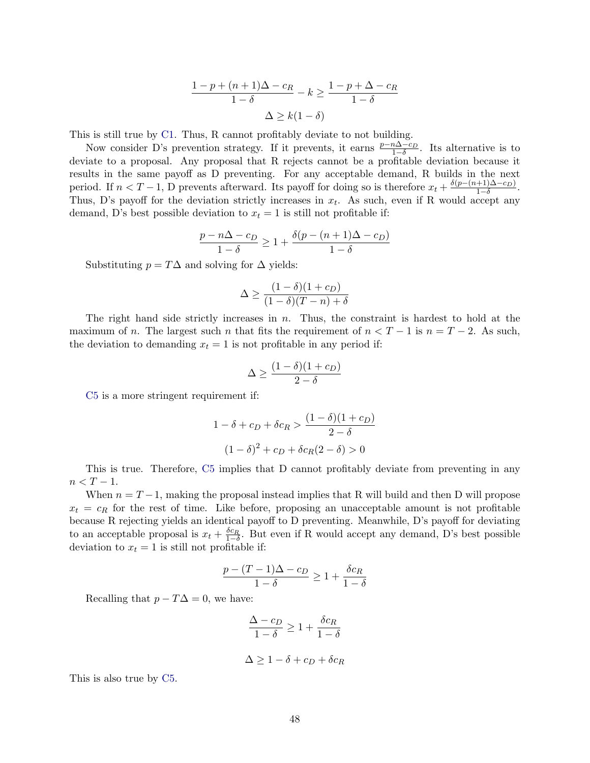$$
\frac{1 - p + (n+1)\Delta - c_R}{1 - \delta} - k \ge \frac{1 - p + \Delta - c_R}{1 - \delta}
$$

$$
\Delta \ge k(1 - \delta)
$$

This is still true by [C1.](#page-9-0) Thus, R cannot profitably deviate to not building.

Now consider D's prevention strategy. If it prevents, it earns  $\frac{p-n\Delta-c_D}{1-\delta}$ . Its alternative is to deviate to a proposal. Any proposal that R rejects cannot be a profitable deviation because it results in the same payoff as D preventing. For any acceptable demand, R builds in the next period. If  $n < T-1$ , D prevents afterward. Its payoff for doing so is therefore  $x_t + \frac{\delta(p-(n+1)\Delta-c_D)}{1-\delta}$  $\frac{+1}{1-\delta}$ . Thus, D's payoff for the deviation strictly increases in  $x_t$ . As such, even if R would accept any demand, D's best possible deviation to  $x_t = 1$  is still not profitable if:

$$
\frac{p - n\Delta - c_D}{1 - \delta} \ge 1 + \frac{\delta(p - (n+1)\Delta - c_D)}{1 - \delta}
$$

Substituting  $p = T\Delta$  and solving for  $\Delta$  yields:

$$
\Delta \ge \frac{(1-\delta)(1+c_D)}{(1-\delta)(T-n)+\delta}
$$

The right hand side strictly increases in  $n$ . Thus, the constraint is hardest to hold at the maximum of n. The largest such n that fits the requirement of  $n < T - 1$  is  $n = T - 2$ . As such, the deviation to demanding  $x_t = 1$  is not profitable in any period if:

$$
\Delta \ge \frac{(1-\delta)(1+c_D)}{2-\delta}
$$

[C5](#page-47-1) is a more stringent requirement if:

$$
1 - \delta + c_D + \delta c_R > \frac{(1 - \delta)(1 + c_D)}{2 - \delta}
$$

$$
(1 - \delta)^2 + c_D + \delta c_R (2 - \delta) > 0
$$

This is true. Therefore, [C5](#page-47-1) implies that D cannot profitably deviate from preventing in any  $n < T - 1$ .

When  $n = T - 1$ , making the proposal instead implies that R will build and then D will propose  $x_t = c_R$  for the rest of time. Like before, proposing an unacceptable amount is not profitable because R rejecting yields an identical payoff to D preventing. Meanwhile, D's payoff for deviating to an acceptable proposal is  $x_t + \frac{\delta c_R}{1-\delta}$ . But even if R would accept any demand, D's best possible deviation to  $x_t = 1$  is still not profitable if:

$$
\frac{p - (T - 1)\Delta - c_D}{1 - \delta} \ge 1 + \frac{\delta c_R}{1 - \delta}
$$

Recalling that  $p - T\Delta = 0$ , we have:

$$
\frac{\Delta - c_D}{1 - \delta} \ge 1 + \frac{\delta c_R}{1 - \delta}
$$

$$
\Delta \ge 1 - \delta + c_D + \delta c_R
$$

This is also true by [C5.](#page-47-1)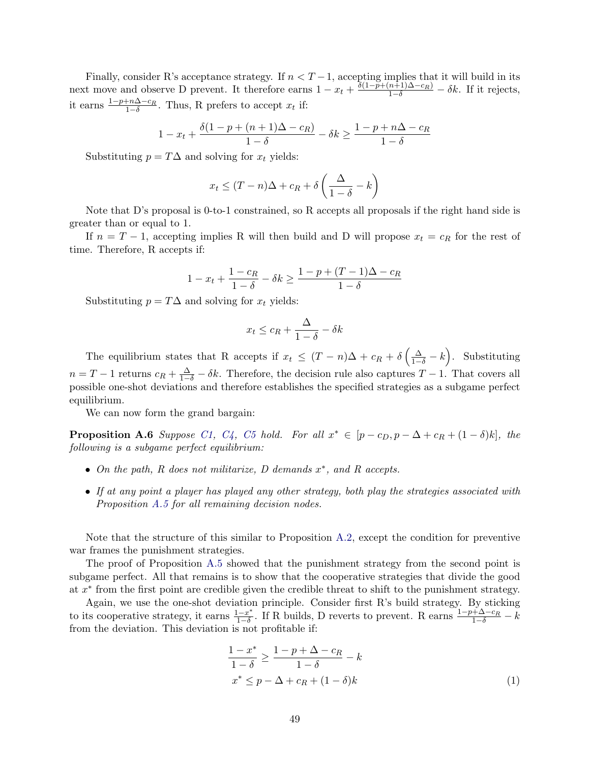Finally, consider R's acceptance strategy. If  $n < T-1$ , accepting implies that it will build in its next move and observe D prevent. It therefore earns  $1 - x_t + \frac{\delta(1 - \bar{p} + (n+1)\Delta - c_R)}{1 - \delta} - \delta k$ . If it rejects, it earns  $\frac{1-p+n\Delta-c_R}{1-\delta}$ . Thus, R prefers to accept  $x_t$  if:

$$
1 - x_t + \frac{\delta(1 - p + (n + 1)\Delta - c_R)}{1 - \delta} - \delta k \ge \frac{1 - p + n\Delta - c_R}{1 - \delta}
$$

Substituting  $p = T\Delta$  and solving for  $x_t$  yields:

$$
x_t \le (T - n)\Delta + c_R + \delta\left(\frac{\Delta}{1 - \delta} - k\right)
$$

Note that D's proposal is 0-to-1 constrained, so R accepts all proposals if the right hand side is greater than or equal to 1.

If  $n = T - 1$ , accepting implies R will then build and D will propose  $x_t = c_R$  for the rest of time. Therefore, R accepts if:

$$
1 - x_t + \frac{1 - c_R}{1 - \delta} - \delta k \ge \frac{1 - p + (T - 1)\Delta - c_R}{1 - \delta}
$$

Substituting  $p = T\Delta$  and solving for  $x_t$  yields:

$$
x_t \le c_R + \frac{\Delta}{1 - \delta} - \delta k
$$

The equilibrium states that R accepts if  $x_t \leq (T - n)\Delta + c_R + \delta\left(\frac{\Delta}{1-\delta} - k\right)$ . Substituting  $n = T - 1$  returns  $c_R + \frac{\Delta}{1-\delta} - \delta k$ . Therefore, the decision rule also captures  $T - 1$ . That covers all possible one-shot deviations and therefore establishes the specified strategies as a subgame perfect equilibrium.

We can now form the grand bargain:

<span id="page-49-1"></span>**Proposition A.6** Suppose [C1,](#page-9-0) [C4,](#page-9-0) [C5](#page-47-1) hold. For all  $x^* \in [p - c_D, p - \Delta + c_R + (1 - \delta)k]$ , the following is a subgame perfect equilibrium:

- On the path,  $R$  does not militarize,  $D$  demands  $x^*$ , and  $R$  accepts.
- If at any point a player has played any other strategy, both play the strategies associated with Proposition [A.5](#page-47-3) for all remaining decision nodes.

Note that the structure of this similar to Proposition [A.2,](#page-42-1) except the condition for preventive war frames the punishment strategies.

The proof of Proposition [A.5](#page-47-3) showed that the punishment strategy from the second point is subgame perfect. All that remains is to show that the cooperative strategies that divide the good at  $x^*$  from the first point are credible given the credible threat to shift to the punishment strategy.

Again, we use the one-shot deviation principle. Consider first R's build strategy. By sticking to its cooperative strategy, it earns  $\frac{1-x^*}{1-\delta}$  $\frac{-x^*}{1-\delta}$ . If R builds, D reverts to prevent. R earns  $\frac{1-p+\Delta-c_R}{1-\delta}-k$ from the deviation. This deviation is not profitable if:

<span id="page-49-0"></span>
$$
\frac{1-x^*}{1-\delta} \ge \frac{1-p+\Delta-c_R}{1-\delta} - k
$$
  

$$
x^* \le p - \Delta + c_R + (1-\delta)k
$$
 (1)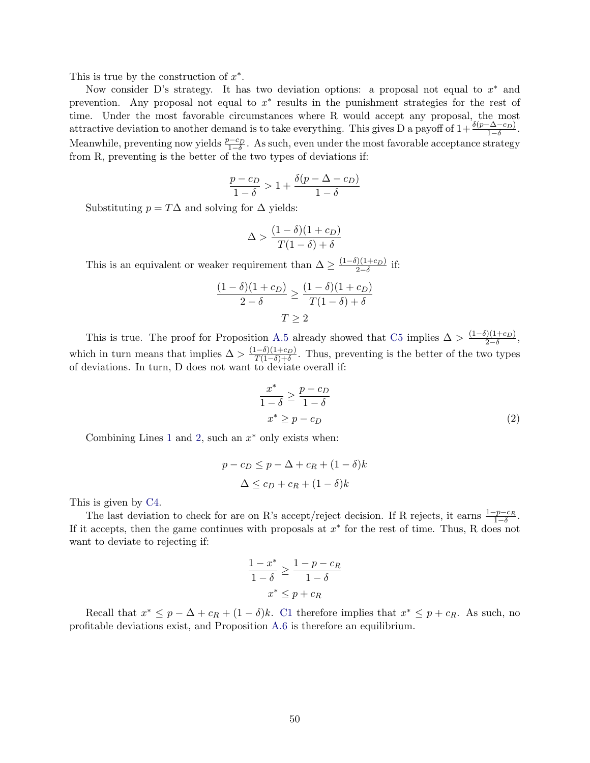This is true by the construction of  $x^*$ .

Now consider D's strategy. It has two deviation options: a proposal not equal to  $x^*$  and prevention. Any proposal not equal to  $x^*$  results in the punishment strategies for the rest of time. Under the most favorable circumstances where R would accept any proposal, the most attractive deviation to another demand is to take everything. This gives D a payoff of  $1+\frac{\delta(p-\Delta-c_D)}{1-\delta}$ . Meanwhile, preventing now yields  $\frac{p-c_D}{1-\delta}$ . As such, even under the most favorable acceptance strategy from R, preventing is the better of the two types of deviations if:

$$
\frac{p-c_D}{1-\delta} > 1 + \frac{\delta(p-\Delta-c_D)}{1-\delta}
$$

Substituting  $p = T\Delta$  and solving for  $\Delta$  yields:

$$
\Delta > \frac{(1-\delta)(1+c_D)}{T(1-\delta)+\delta}
$$

This is an equivalent or weaker requirement than  $\Delta \geq \frac{(1-\delta)(1+c_D)}{2-\delta}$  $\frac{1+(1+c_D)}{2-\delta}$  if:

$$
\frac{(1-\delta)(1+c_D)}{2-\delta} \ge \frac{(1-\delta)(1+c_D)}{T(1-\delta)+\delta}
$$

$$
T \ge 2
$$

This is true. The proof for Proposition [A.5](#page-47-3) already showed that [C5](#page-47-1) implies  $\Delta > \frac{(1-\delta)(1+c_D)}{2-\delta}$  $\frac{1+(1+c_D)}{2-\delta},$ which in turn means that implies  $\Delta > \frac{(1-\delta)(1+c_D)}{T(1-\delta)+\delta}$  $\frac{(-\sigma)(1+CD)}{T(1-\delta)+\delta}$ . Thus, preventing is the better of the two types of deviations. In turn, D does not want to deviate overall if:

<span id="page-50-0"></span>
$$
\frac{x^*}{1-\delta} \ge \frac{p-c_D}{1-\delta}
$$
  

$$
x^* \ge p-c_D
$$
 (2)

Combining Lines [1](#page-49-0) and [2,](#page-50-0) such an  $x^*$  only exists when:

$$
p - c_D \le p - \Delta + c_R + (1 - \delta)k
$$
  

$$
\Delta \le c_D + c_R + (1 - \delta)k
$$

This is given by [C4.](#page-9-0)

The last deviation to check for are on R's accept/reject decision. If R rejects, it earns  $\frac{1-p-c_R}{1-\delta}$ . If it accepts, then the game continues with proposals at  $x^*$  for the rest of time. Thus, R does not want to deviate to rejecting if:

$$
\frac{1 - x^*}{1 - \delta} \ge \frac{1 - p - c_R}{1 - \delta}
$$

$$
x^* \le p + c_R
$$

Recall that  $x^* \leq p - \Delta + c_R + (1 - \delta)k$ . [C1](#page-9-0) therefore implies that  $x^* \leq p + c_R$ . As such, no profitable deviations exist, and Proposition [A.6](#page-49-1) is therefore an equilibrium.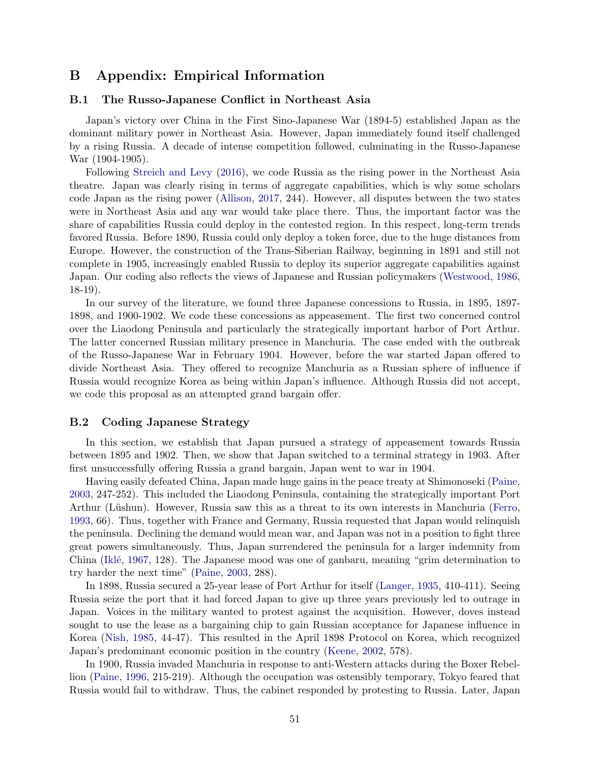## B Appendix: Empirical Information

## <span id="page-51-0"></span>B.1 The Russo-Japanese Conflict in Northeast Asia

Japan's victory over China in the First Sino-Japanese War (1894-5) established Japan as the dominant military power in Northeast Asia. However, Japan immediately found itself challenged by a rising Russia. A decade of intense competition followed, culminating in the Russo-Japanese War (1904-1905).

Following [Streich and Levy](#page-35-0) [\(2016\)](#page-35-0), we code Russia as the rising power in the Northeast Asia theatre. Japan was clearly rising in terms of aggregate capabilities, which is why some scholars code Japan as the rising power [\(Allison,](#page-32-0) [2017,](#page-32-0) 244). However, all disputes between the two states were in Northeast Asia and any war would take place there. Thus, the important factor was the share of capabilities Russia could deploy in the contested region. In this respect, long-term trends favored Russia. Before 1890, Russia could only deploy a token force, due to the huge distances from Europe. However, the construction of the Trans-Siberian Railway, beginning in 1891 and still not complete in 1905, increasingly enabled Russia to deploy its superior aggregate capabilities against Japan. Our coding also reflects the views of Japanese and Russian policymakers [\(Westwood,](#page-36-4) [1986,](#page-36-4) 18-19).

In our survey of the literature, we found three Japanese concessions to Russia, in 1895, 1897- 1898, and 1900-1902. We code these concessions as appeasement. The first two concerned control over the Liaodong Peninsula and particularly the strategically important harbor of Port Arthur. The latter concerned Russian military presence in Manchuria. The case ended with the outbreak of the Russo-Japanese War in February 1904. However, before the war started Japan offered to divide Northeast Asia. They offered to recognize Manchuria as a Russian sphere of influence if Russia would recognize Korea as being within Japan's influence. Although Russia did not accept, we code this proposal as an attempted grand bargain offer.

#### B.2 Coding Japanese Strategy

In this section, we establish that Japan pursued a strategy of appeasement towards Russia between 1895 and 1902. Then, we show that Japan switched to a terminal strategy in 1903. After first unsuccessfully offering Russia a grand bargain, Japan went to war in 1904.

Having easily defeated China, Japan made huge gains in the peace treaty at Shimonoseki [\(Paine,](#page-34-14) [2003,](#page-34-14) 247-252). This included the Liaodong Peninsula, containing the strategically important Port Arthur (Lüshun). However, Russia saw this as a threat to its own interests in Manchuria [\(Ferro,](#page-32-13) [1993,](#page-32-13) 66). Thus, together with France and Germany, Russia requested that Japan would relinquish the peninsula. Declining the demand would mean war, and Japan was not in a position to fight three great powers simultaneously. Thus, Japan surrendered the peninsula for a larger indemnity from China (Iklé, [1967,](#page-33-13) 128). The Japanese mood was one of ganbaru, meaning "grim determination to try harder the next time" [\(Paine,](#page-34-14) [2003,](#page-34-14) 288).

In 1898, Russia secured a 25-year lease of Port Arthur for itself [\(Langer,](#page-33-14) [1935,](#page-33-14) 410-411). Seeing Russia seize the port that it had forced Japan to give up three years previously led to outrage in Japan. Voices in the military wanted to protest against the acquisition. However, doves instead sought to use the lease as a bargaining chip to gain Russian acceptance for Japanese influence in Korea [\(Nish,](#page-34-15) [1985,](#page-34-15) 44-47). This resulted in the April 1898 Protocol on Korea, which recognized Japan's predominant economic position in the country [\(Keene,](#page-33-15) [2002,](#page-33-15) 578).

In 1900, Russia invaded Manchuria in response to anti-Western attacks during the Boxer Rebellion [\(Paine,](#page-34-16) [1996,](#page-34-16) 215-219). Although the occupation was ostensibly temporary, Tokyo feared that Russia would fail to withdraw. Thus, the cabinet responded by protesting to Russia. Later, Japan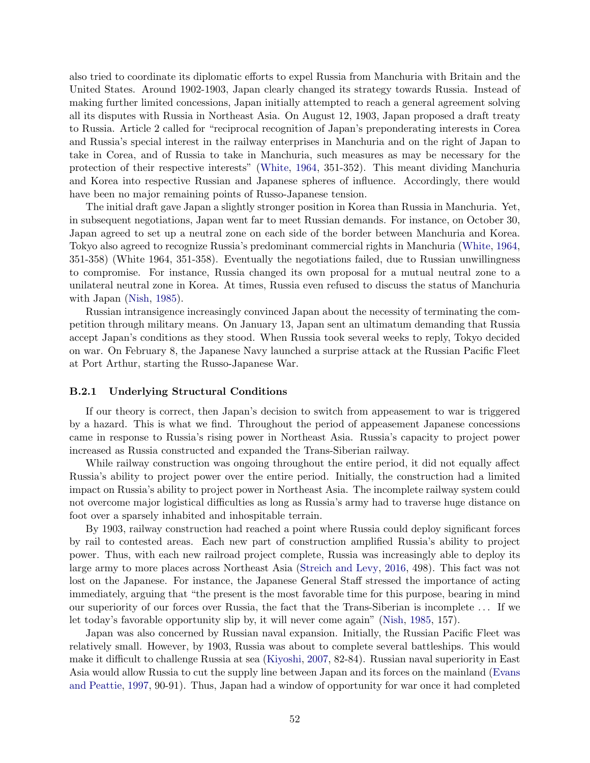also tried to coordinate its diplomatic efforts to expel Russia from Manchuria with Britain and the United States. Around 1902-1903, Japan clearly changed its strategy towards Russia. Instead of making further limited concessions, Japan initially attempted to reach a general agreement solving all its disputes with Russia in Northeast Asia. On August 12, 1903, Japan proposed a draft treaty to Russia. Article 2 called for "reciprocal recognition of Japan's preponderating interests in Corea and Russia's special interest in the railway enterprises in Manchuria and on the right of Japan to take in Corea, and of Russia to take in Manchuria, such measures as may be necessary for the protection of their respective interests" [\(White,](#page-36-5) [1964,](#page-36-5) 351-352). This meant dividing Manchuria and Korea into respective Russian and Japanese spheres of influence. Accordingly, there would have been no major remaining points of Russo-Japanese tension.

The initial draft gave Japan a slightly stronger position in Korea than Russia in Manchuria. Yet, in subsequent negotiations, Japan went far to meet Russian demands. For instance, on October 30, Japan agreed to set up a neutral zone on each side of the border between Manchuria and Korea. Tokyo also agreed to recognize Russia's predominant commercial rights in Manchuria [\(White,](#page-36-5) [1964,](#page-36-5) 351-358) (White 1964, 351-358). Eventually the negotiations failed, due to Russian unwillingness to compromise. For instance, Russia changed its own proposal for a mutual neutral zone to a unilateral neutral zone in Korea. At times, Russia even refused to discuss the status of Manchuria with Japan [\(Nish,](#page-34-15) [1985\)](#page-34-15).

Russian intransigence increasingly convinced Japan about the necessity of terminating the competition through military means. On January 13, Japan sent an ultimatum demanding that Russia accept Japan's conditions as they stood. When Russia took several weeks to reply, Tokyo decided on war. On February 8, the Japanese Navy launched a surprise attack at the Russian Pacific Fleet at Port Arthur, starting the Russo-Japanese War.

#### B.2.1 Underlying Structural Conditions

If our theory is correct, then Japan's decision to switch from appeasement to war is triggered by a hazard. This is what we find. Throughout the period of appeasement Japanese concessions came in response to Russia's rising power in Northeast Asia. Russia's capacity to project power increased as Russia constructed and expanded the Trans-Siberian railway.

While railway construction was ongoing throughout the entire period, it did not equally affect Russia's ability to project power over the entire period. Initially, the construction had a limited impact on Russia's ability to project power in Northeast Asia. The incomplete railway system could not overcome major logistical difficulties as long as Russia's army had to traverse huge distance on foot over a sparsely inhabited and inhospitable terrain.

By 1903, railway construction had reached a point where Russia could deploy significant forces by rail to contested areas. Each new part of construction amplified Russia's ability to project power. Thus, with each new railroad project complete, Russia was increasingly able to deploy its large army to more places across Northeast Asia [\(Streich and Levy,](#page-35-0) [2016,](#page-35-0) 498). This fact was not lost on the Japanese. For instance, the Japanese General Staff stressed the importance of acting immediately, arguing that "the present is the most favorable time for this purpose, bearing in mind our superiority of our forces over Russia, the fact that the Trans-Siberian is incomplete . . . If we let today's favorable opportunity slip by, it will never come again" [\(Nish,](#page-34-15) [1985,](#page-34-15) 157).

Japan was also concerned by Russian naval expansion. Initially, the Russian Pacific Fleet was relatively small. However, by 1903, Russia was about to complete several battleships. This would make it difficult to challenge Russia at sea [\(Kiyoshi,](#page-33-16) [2007,](#page-33-16) 82-84). Russian naval superiority in East Asia would allow Russia to cut the supply line between Japan and its forces on the mainland [\(Evans](#page-32-14) [and Peattie,](#page-32-14) [1997,](#page-32-14) 90-91). Thus, Japan had a window of opportunity for war once it had completed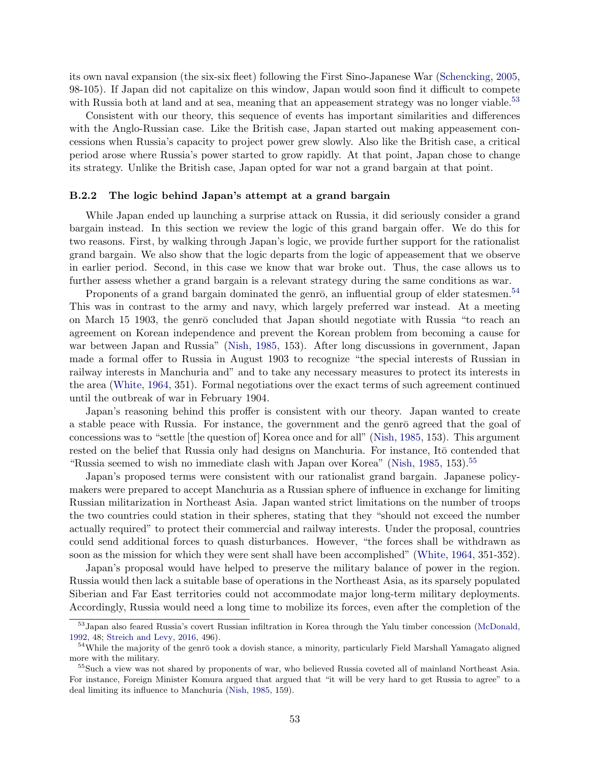its own naval expansion (the six-six fleet) following the First Sino-Japanese War [\(Schencking,](#page-35-17) [2005,](#page-35-17) 98-105). If Japan did not capitalize on this window, Japan would soon find it difficult to compete with Russia both at land and at sea, meaning that an appeasement strategy was no longer viable.<sup>[53](#page-53-0)</sup>

Consistent with our theory, this sequence of events has important similarities and differences with the Anglo-Russian case. Like the British case, Japan started out making appeasement concessions when Russia's capacity to project power grew slowly. Also like the British case, a critical period arose where Russia's power started to grow rapidly. At that point, Japan chose to change its strategy. Unlike the British case, Japan opted for war not a grand bargain at that point.

#### B.2.2 The logic behind Japan's attempt at a grand bargain

While Japan ended up launching a surprise attack on Russia, it did seriously consider a grand bargain instead. In this section we review the logic of this grand bargain offer. We do this for two reasons. First, by walking through Japan's logic, we provide further support for the rationalist grand bargain. We also show that the logic departs from the logic of appeasement that we observe in earlier period. Second, in this case we know that war broke out. Thus, the case allows us to further assess whether a grand bargain is a relevant strategy during the same conditions as war.

Proponents of a grand bargain dominated the genro, an influential group of elder statesmen.<sup>[54](#page-53-1)</sup> This was in contrast to the army and navy, which largely preferred war instead. At a meeting on March 15 1903, the genro concluded that Japan should negotiate with Russia "to reach an agreement on Korean independence and prevent the Korean problem from becoming a cause for war between Japan and Russia" [\(Nish,](#page-34-15) [1985,](#page-34-15) 153). After long discussions in government, Japan made a formal offer to Russia in August 1903 to recognize "the special interests of Russian in railway interests in Manchuria and" and to take any necessary measures to protect its interests in the area [\(White,](#page-36-5) [1964,](#page-36-5) 351). Formal negotiations over the exact terms of such agreement continued until the outbreak of war in February 1904.

Japan's reasoning behind this proffer is consistent with our theory. Japan wanted to create a stable peace with Russia. For instance, the government and the genro agreed that the goal of concessions was to "settle [the question of] Korea once and for all" [\(Nish,](#page-34-15) [1985,](#page-34-15) 153). This argument rested on the belief that Russia only had designs on Manchuria. For instance, It<sub>o</sub> contended that "Russia seemed to wish no immediate clash with Japan over Korea" [\(Nish,](#page-34-15) [1985,](#page-34-15) 153).<sup>[55](#page-53-2)</sup>

Japan's proposed terms were consistent with our rationalist grand bargain. Japanese policymakers were prepared to accept Manchuria as a Russian sphere of influence in exchange for limiting Russian militarization in Northeast Asia. Japan wanted strict limitations on the number of troops the two countries could station in their spheres, stating that they "should not exceed the number actually required" to protect their commercial and railway interests. Under the proposal, countries could send additional forces to quash disturbances. However, "the forces shall be withdrawn as soon as the mission for which they were sent shall have been accomplished" [\(White,](#page-36-5) [1964,](#page-36-5) 351-352).

Japan's proposal would have helped to preserve the military balance of power in the region. Russia would then lack a suitable base of operations in the Northeast Asia, as its sparsely populated Siberian and Far East territories could not accommodate major long-term military deployments. Accordingly, Russia would need a long time to mobilize its forces, even after the completion of the

<span id="page-53-0"></span><sup>53</sup>Japan also feared Russia's covert Russian infiltration in Korea through the Yalu timber concession [\(McDonald,](#page-34-17) [1992,](#page-34-17) 48; [Streich and Levy,](#page-35-0) [2016,](#page-35-0) 496).

<span id="page-53-1"></span> $54$ While the majority of the genr $\bar{o}$  took a dovish stance, a minority, particularly Field Marshall Yamagato aligned more with the military.

<span id="page-53-2"></span><sup>&</sup>lt;sup>55</sup>Such a view was not shared by proponents of war, who believed Russia coveted all of mainland Northeast Asia. For instance, Foreign Minister Komura argued that argued that "it will be very hard to get Russia to agree" to a deal limiting its influence to Manchuria [\(Nish,](#page-34-15) [1985,](#page-34-15) 159).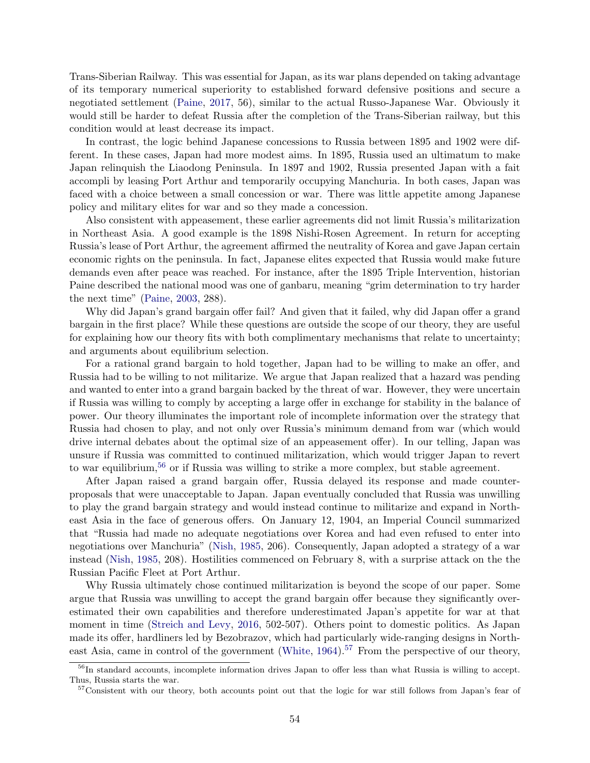Trans-Siberian Railway. This was essential for Japan, as its war plans depended on taking advantage of its temporary numerical superiority to established forward defensive positions and secure a negotiated settlement [\(Paine,](#page-34-18) [2017,](#page-34-18) 56), similar to the actual Russo-Japanese War. Obviously it would still be harder to defeat Russia after the completion of the Trans-Siberian railway, but this condition would at least decrease its impact.

In contrast, the logic behind Japanese concessions to Russia between 1895 and 1902 were different. In these cases, Japan had more modest aims. In 1895, Russia used an ultimatum to make Japan relinquish the Liaodong Peninsula. In 1897 and 1902, Russia presented Japan with a fait accompli by leasing Port Arthur and temporarily occupying Manchuria. In both cases, Japan was faced with a choice between a small concession or war. There was little appetite among Japanese policy and military elites for war and so they made a concession.

Also consistent with appeasement, these earlier agreements did not limit Russia's militarization in Northeast Asia. A good example is the 1898 Nishi-Rosen Agreement. In return for accepting Russia's lease of Port Arthur, the agreement affirmed the neutrality of Korea and gave Japan certain economic rights on the peninsula. In fact, Japanese elites expected that Russia would make future demands even after peace was reached. For instance, after the 1895 Triple Intervention, historian Paine described the national mood was one of ganbaru, meaning "grim determination to try harder the next time" [\(Paine,](#page-34-14) [2003,](#page-34-14) 288).

Why did Japan's grand bargain offer fail? And given that it failed, why did Japan offer a grand bargain in the first place? While these questions are outside the scope of our theory, they are useful for explaining how our theory fits with both complimentary mechanisms that relate to uncertainty; and arguments about equilibrium selection.

For a rational grand bargain to hold together, Japan had to be willing to make an offer, and Russia had to be willing to not militarize. We argue that Japan realized that a hazard was pending and wanted to enter into a grand bargain backed by the threat of war. However, they were uncertain if Russia was willing to comply by accepting a large offer in exchange for stability in the balance of power. Our theory illuminates the important role of incomplete information over the strategy that Russia had chosen to play, and not only over Russia's minimum demand from war (which would drive internal debates about the optimal size of an appeasement offer). In our telling, Japan was unsure if Russia was committed to continued militarization, which would trigger Japan to revert to war equilibrium,[56](#page-54-0) or if Russia was willing to strike a more complex, but stable agreement.

After Japan raised a grand bargain offer, Russia delayed its response and made counterproposals that were unacceptable to Japan. Japan eventually concluded that Russia was unwilling to play the grand bargain strategy and would instead continue to militarize and expand in Northeast Asia in the face of generous offers. On January 12, 1904, an Imperial Council summarized that "Russia had made no adequate negotiations over Korea and had even refused to enter into negotiations over Manchuria" [\(Nish,](#page-34-15) [1985,](#page-34-15) 206). Consequently, Japan adopted a strategy of a war instead [\(Nish,](#page-34-15) [1985,](#page-34-15) 208). Hostilities commenced on February 8, with a surprise attack on the the Russian Pacific Fleet at Port Arthur.

Why Russia ultimately chose continued militarization is beyond the scope of our paper. Some argue that Russia was unwilling to accept the grand bargain offer because they significantly overestimated their own capabilities and therefore underestimated Japan's appetite for war at that moment in time [\(Streich and Levy,](#page-35-0) [2016,](#page-35-0) 502-507). Others point to domestic politics. As Japan made its offer, hardliners led by Bezobrazov, which had particularly wide-ranging designs in North-east Asia, came in control of the government [\(White,](#page-36-5)  $1964$ ).<sup>[57](#page-54-1)</sup> From the perspective of our theory,

<span id="page-54-0"></span><sup>&</sup>lt;sup>56</sup>In standard accounts, incomplete information drives Japan to offer less than what Russia is willing to accept. Thus, Russia starts the war.

<span id="page-54-1"></span><sup>&</sup>lt;sup>57</sup>Consistent with our theory, both accounts point out that the logic for war still follows from Japan's fear of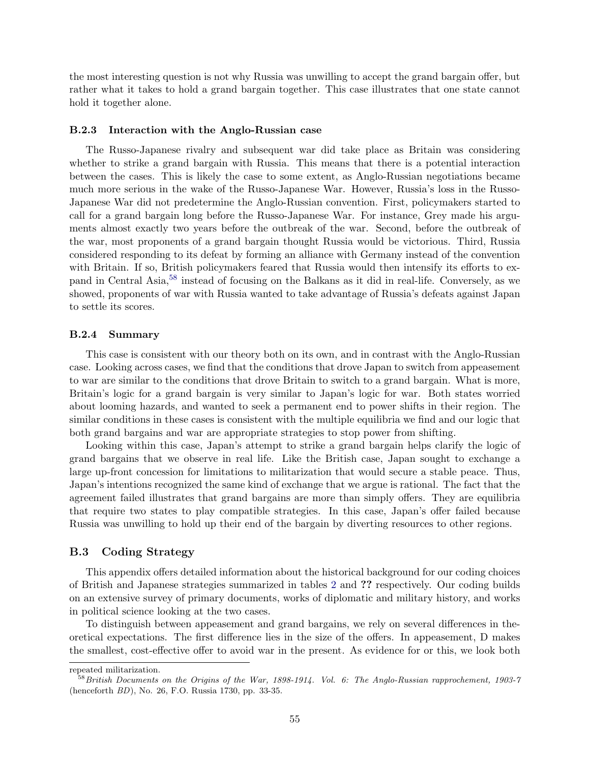the most interesting question is not why Russia was unwilling to accept the grand bargain offer, but rather what it takes to hold a grand bargain together. This case illustrates that one state cannot hold it together alone.

#### <span id="page-55-0"></span>B.2.3 Interaction with the Anglo-Russian case

The Russo-Japanese rivalry and subsequent war did take place as Britain was considering whether to strike a grand bargain with Russia. This means that there is a potential interaction between the cases. This is likely the case to some extent, as Anglo-Russian negotiations became much more serious in the wake of the Russo-Japanese War. However, Russia's loss in the Russo-Japanese War did not predetermine the Anglo-Russian convention. First, policymakers started to call for a grand bargain long before the Russo-Japanese War. For instance, Grey made his arguments almost exactly two years before the outbreak of the war. Second, before the outbreak of the war, most proponents of a grand bargain thought Russia would be victorious. Third, Russia considered responding to its defeat by forming an alliance with Germany instead of the convention with Britain. If so, British policymakers feared that Russia would then intensify its efforts to expand in Central Asia,[58](#page-55-1) instead of focusing on the Balkans as it did in real-life. Conversely, as we showed, proponents of war with Russia wanted to take advantage of Russia's defeats against Japan to settle its scores.

#### B.2.4 Summary

This case is consistent with our theory both on its own, and in contrast with the Anglo-Russian case. Looking across cases, we find that the conditions that drove Japan to switch from appeasement to war are similar to the conditions that drove Britain to switch to a grand bargain. What is more, Britain's logic for a grand bargain is very similar to Japan's logic for war. Both states worried about looming hazards, and wanted to seek a permanent end to power shifts in their region. The similar conditions in these cases is consistent with the multiple equilibria we find and our logic that both grand bargains and war are appropriate strategies to stop power from shifting.

Looking within this case, Japan's attempt to strike a grand bargain helps clarify the logic of grand bargains that we observe in real life. Like the British case, Japan sought to exchange a large up-front concession for limitations to militarization that would secure a stable peace. Thus, Japan's intentions recognized the same kind of exchange that we argue is rational. The fact that the agreement failed illustrates that grand bargains are more than simply offers. They are equilibria that require two states to play compatible strategies. In this case, Japan's offer failed because Russia was unwilling to hold up their end of the bargain by diverting resources to other regions.

## B.3 Coding Strategy

This appendix offers detailed information about the historical background for our coding choices of British and Japanese strategies summarized in tables [2](#page-23-0) and ?? respectively. Our coding builds on an extensive survey of primary documents, works of diplomatic and military history, and works in political science looking at the two cases.

To distinguish between appeasement and grand bargains, we rely on several differences in theoretical expectations. The first difference lies in the size of the offers. In appeasement, D makes the smallest, cost-effective offer to avoid war in the present. As evidence for or this, we look both

repeated militarization.

<span id="page-55-1"></span> $58$  British Documents on the Origins of the War, 1898-1914. Vol. 6: The Anglo-Russian rapprochement, 1903-7 (henceforth BD), No. 26, F.O. Russia 1730, pp. 33-35.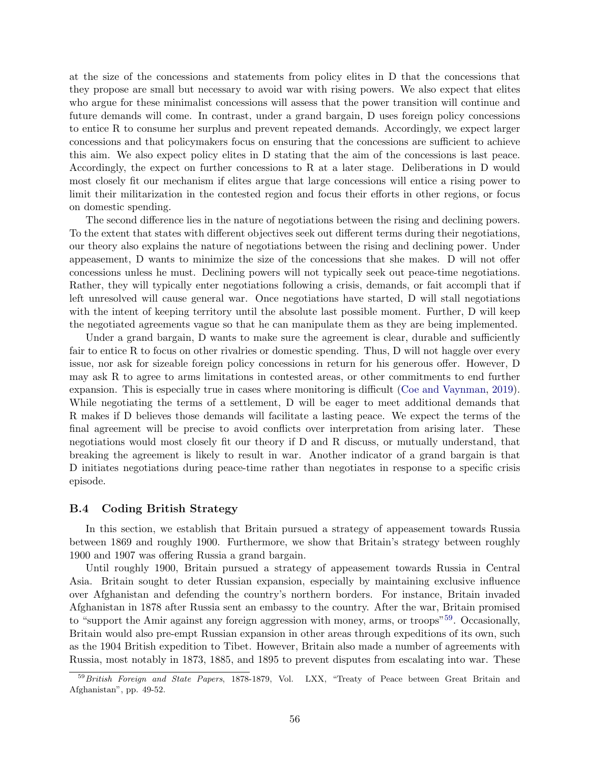at the size of the concessions and statements from policy elites in D that the concessions that they propose are small but necessary to avoid war with rising powers. We also expect that elites who argue for these minimalist concessions will assess that the power transition will continue and future demands will come. In contrast, under a grand bargain, D uses foreign policy concessions to entice R to consume her surplus and prevent repeated demands. Accordingly, we expect larger concessions and that policymakers focus on ensuring that the concessions are sufficient to achieve this aim. We also expect policy elites in D stating that the aim of the concessions is last peace. Accordingly, the expect on further concessions to R at a later stage. Deliberations in D would most closely fit our mechanism if elites argue that large concessions will entice a rising power to limit their militarization in the contested region and focus their efforts in other regions, or focus on domestic spending.

The second difference lies in the nature of negotiations between the rising and declining powers. To the extent that states with different objectives seek out different terms during their negotiations, our theory also explains the nature of negotiations between the rising and declining power. Under appeasement, D wants to minimize the size of the concessions that she makes. D will not offer concessions unless he must. Declining powers will not typically seek out peace-time negotiations. Rather, they will typically enter negotiations following a crisis, demands, or fait accompli that if left unresolved will cause general war. Once negotiations have started, D will stall negotiations with the intent of keeping territory until the absolute last possible moment. Further, D will keep the negotiated agreements vague so that he can manipulate them as they are being implemented.

Under a grand bargain, D wants to make sure the agreement is clear, durable and sufficiently fair to entice R to focus on other rivalries or domestic spending. Thus, D will not haggle over every issue, nor ask for sizeable foreign policy concessions in return for his generous offer. However, D may ask R to agree to arms limitations in contested areas, or other commitments to end further expansion. This is especially true in cases where monitoring is difficult [\(Coe and Vaynman,](#page-32-4) [2019\)](#page-32-4). While negotiating the terms of a settlement, D will be eager to meet additional demands that R makes if D believes those demands will facilitate a lasting peace. We expect the terms of the final agreement will be precise to avoid conflicts over interpretation from arising later. These negotiations would most closely fit our theory if D and R discuss, or mutually understand, that breaking the agreement is likely to result in war. Another indicator of a grand bargain is that D initiates negotiations during peace-time rather than negotiates in response to a specific crisis episode.

## B.4 Coding British Strategy

In this section, we establish that Britain pursued a strategy of appeasement towards Russia between 1869 and roughly 1900. Furthermore, we show that Britain's strategy between roughly 1900 and 1907 was offering Russia a grand bargain.

Until roughly 1900, Britain pursued a strategy of appeasement towards Russia in Central Asia. Britain sought to deter Russian expansion, especially by maintaining exclusive influence over Afghanistan and defending the country's northern borders. For instance, Britain invaded Afghanistan in 1878 after Russia sent an embassy to the country. After the war, Britain promised to "support the Amir against any foreign aggression with money, arms, or troops"<sup>[59](#page-56-0)</sup>. Occasionally, Britain would also pre-empt Russian expansion in other areas through expeditions of its own, such as the 1904 British expedition to Tibet. However, Britain also made a number of agreements with Russia, most notably in 1873, 1885, and 1895 to prevent disputes from escalating into war. These

<span id="page-56-0"></span><sup>59</sup> British Foreign and State Papers, 1878-1879, Vol. LXX, "Treaty of Peace between Great Britain and Afghanistan", pp. 49-52.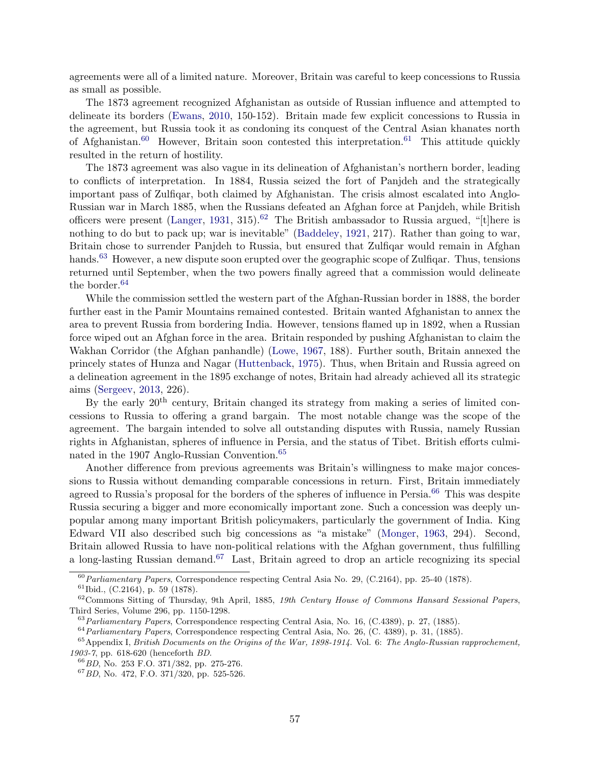agreements were all of a limited nature. Moreover, Britain was careful to keep concessions to Russia as small as possible.

The 1873 agreement recognized Afghanistan as outside of Russian influence and attempted to delineate its borders [\(Ewans,](#page-32-15) [2010,](#page-32-15) 150-152). Britain made few explicit concessions to Russia in the agreement, but Russia took it as condoning its conquest of the Central Asian khanates north of Afghanistan.<sup>[60](#page-57-0)</sup> However, Britain soon contested this interpretation.<sup>[61](#page-57-1)</sup> This attitude quickly resulted in the return of hostility.

The 1873 agreement was also vague in its delineation of Afghanistan's northern border, leading to conflicts of interpretation. In 1884, Russia seized the fort of Panjdeh and the strategically important pass of Zulfiqar, both claimed by Afghanistan. The crisis almost escalated into Anglo-Russian war in March 1885, when the Russians defeated an Afghan force at Panjdeh, while British officers were present [\(Langer,](#page-33-11) [1931,](#page-33-11) 315).<sup>[62](#page-57-2)</sup> The British ambassador to Russia argued, "[t]here is nothing to do but to pack up; war is inevitable" [\(Baddeley,](#page-32-16) [1921,](#page-32-16) 217). Rather than going to war, Britain chose to surrender Panjdeh to Russia, but ensured that Zulfiqar would remain in Afghan hands.<sup>[63](#page-57-3)</sup> However, a new dispute soon erupted over the geographic scope of Zulfiqar. Thus, tensions returned until September, when the two powers finally agreed that a commission would delineate the border.<sup>[64](#page-57-4)</sup>

While the commission settled the western part of the Afghan-Russian border in 1888, the border further east in the Pamir Mountains remained contested. Britain wanted Afghanistan to annex the area to prevent Russia from bordering India. However, tensions flamed up in 1892, when a Russian force wiped out an Afghan force in the area. Britain responded by pushing Afghanistan to claim the Wakhan Corridor (the Afghan panhandle) [\(Lowe,](#page-33-17) [1967,](#page-33-17) 188). Further south, Britain annexed the princely states of Hunza and Nagar [\(Huttenback,](#page-33-18) [1975\)](#page-33-18). Thus, when Britain and Russia agreed on a delineation agreement in the 1895 exchange of notes, Britain had already achieved all its strategic aims [\(Sergeev,](#page-35-11) [2013,](#page-35-11) 226).

By the early 20<sup>th</sup> century, Britain changed its strategy from making a series of limited concessions to Russia to offering a grand bargain. The most notable change was the scope of the agreement. The bargain intended to solve all outstanding disputes with Russia, namely Russian rights in Afghanistan, spheres of influence in Persia, and the status of Tibet. British efforts culmi-nated in the 1907 Anglo-Russian Convention.<sup>[65](#page-57-5)</sup>

Another difference from previous agreements was Britain's willingness to make major concessions to Russia without demanding comparable concessions in return. First, Britain immediately agreed to Russia's proposal for the borders of the spheres of influence in Persia.<sup>[66](#page-57-6)</sup> This was despite Russia securing a bigger and more economically important zone. Such a concession was deeply unpopular among many important British policymakers, particularly the government of India. King Edward VII also described such big concessions as "a mistake" [\(Monger,](#page-34-11) [1963,](#page-34-11) 294). Second, Britain allowed Russia to have non-political relations with the Afghan government, thus fulfilling a long-lasting Russian demand.<sup>[67](#page-57-7)</sup> Last, Britain agreed to drop an article recognizing its special

<span id="page-57-0"></span> $60$  *Parliamentary Papers,* Correspondence respecting Central Asia No. 29, (C.2164), pp. 25-40 (1878).

<span id="page-57-2"></span><span id="page-57-1"></span><sup>61</sup>Ibid., (C.2164), p. 59 (1878).

 $62$ Commons Sitting of Thursday, 9th April, 1885, 19th Century House of Commons Hansard Sessional Papers, Third Series, Volume 296, pp. 1150-1298.

<span id="page-57-3"></span><sup>63</sup>Parliamentary Papers, Correspondence respecting Central Asia, No. 16, (C.4389), p. 27, (1885).

<span id="page-57-5"></span><span id="page-57-4"></span><sup>64</sup>Parliamentary Papers, Correspondence respecting Central Asia, No. 26, (C. 4389), p. 31, (1885).

 $65$ Appendix I, British Documents on the Origins of the War, 1898-1914. Vol. 6: The Anglo-Russian rapprochement, 1903-7, pp. 618-620 (henceforth BD.

<span id="page-57-6"></span><sup>66</sup>BD, No. 253 F.O. 371/382, pp. 275-276.

<span id="page-57-7"></span> ${}^{67}$ BD, No. 472, F.O. 371/320, pp. 525-526.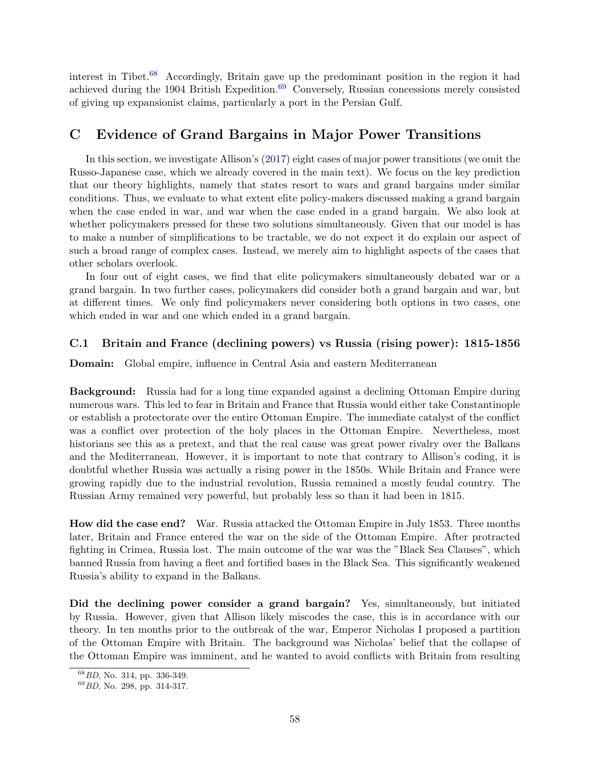interest in Tibet.[68](#page-58-1) Accordingly, Britain gave up the predominant position in the region it had achieved during the 1904 British Expedition.<sup>[69](#page-58-2)</sup> Conversely, Russian concessions merely consisted of giving up expansionist claims, particularly a port in the Persian Gulf.

## <span id="page-58-0"></span>C Evidence of Grand Bargains in Major Power Transitions

In this section, we investigate Allison's [\(2017\)](#page-32-0) eight cases of major power transitions (we omit the Russo-Japanese case, which we already covered in the main text). We focus on the key prediction that our theory highlights, namely that states resort to wars and grand bargains under similar conditions. Thus, we evaluate to what extent elite policy-makers discussed making a grand bargain when the case ended in war, and war when the case ended in a grand bargain. We also look at whether policymakers pressed for these two solutions simultaneously. Given that our model is has to make a number of simplifications to be tractable, we do not expect it do explain our aspect of such a broad range of complex cases. Instead, we merely aim to highlight aspects of the cases that other scholars overlook.

In four out of eight cases, we find that elite policymakers simultaneously debated war or a grand bargain. In two further cases, policymakers did consider both a grand bargain and war, but at different times. We only find policymakers never considering both options in two cases, one which ended in war and one which ended in a grand bargain.

## C.1 Britain and France (declining powers) vs Russia (rising power): 1815-1856

Domain: Global empire, influence in Central Asia and eastern Mediterranean

Background: Russia had for a long time expanded against a declining Ottoman Empire during numerous wars. This led to fear in Britain and France that Russia would either take Constantinople or establish a protectorate over the entire Ottoman Empire. The immediate catalyst of the conflict was a conflict over protection of the holy places in the Ottoman Empire. Nevertheless, most historians see this as a pretext, and that the real cause was great power rivalry over the Balkans and the Mediterranean. However, it is important to note that contrary to Allison's coding, it is doubtful whether Russia was actually a rising power in the 1850s. While Britain and France were growing rapidly due to the industrial revolution, Russia remained a mostly feudal country. The Russian Army remained very powerful, but probably less so than it had been in 1815.

How did the case end? War. Russia attacked the Ottoman Empire in July 1853. Three months later, Britain and France entered the war on the side of the Ottoman Empire. After protracted fighting in Crimea, Russia lost. The main outcome of the war was the "Black Sea Clauses", which banned Russia from having a fleet and fortified bases in the Black Sea. This significantly weakened Russia's ability to expand in the Balkans.

Did the declining power consider a grand bargain? Yes, simultaneously, but initiated by Russia. However, given that Allison likely miscodes the case, this is in accordance with our theory. In ten months prior to the outbreak of the war, Emperor Nicholas I proposed a partition of the Ottoman Empire with Britain. The background was Nicholas' belief that the collapse of the Ottoman Empire was imminent, and he wanted to avoid conflicts with Britain from resulting

<span id="page-58-1"></span><sup>68</sup>BD, No. 314, pp. 336-349.

<span id="page-58-2"></span><sup>69</sup>BD, No. 298, pp. 314-317.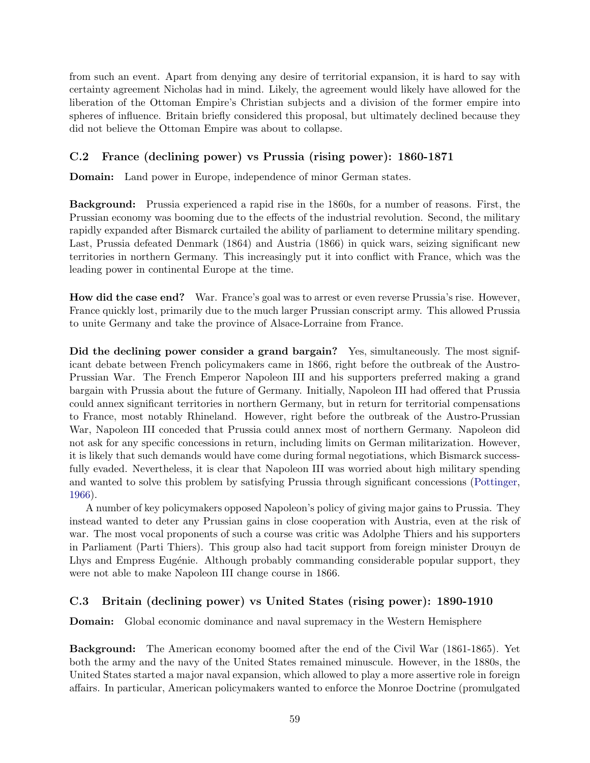from such an event. Apart from denying any desire of territorial expansion, it is hard to say with certainty agreement Nicholas had in mind. Likely, the agreement would likely have allowed for the liberation of the Ottoman Empire's Christian subjects and a division of the former empire into spheres of influence. Britain briefly considered this proposal, but ultimately declined because they did not believe the Ottoman Empire was about to collapse.

## C.2 France (declining power) vs Prussia (rising power): 1860-1871

Domain: Land power in Europe, independence of minor German states.

Background: Prussia experienced a rapid rise in the 1860s, for a number of reasons. First, the Prussian economy was booming due to the effects of the industrial revolution. Second, the military rapidly expanded after Bismarck curtailed the ability of parliament to determine military spending. Last, Prussia defeated Denmark (1864) and Austria (1866) in quick wars, seizing significant new territories in northern Germany. This increasingly put it into conflict with France, which was the leading power in continental Europe at the time.

How did the case end? War. France's goal was to arrest or even reverse Prussia's rise. However, France quickly lost, primarily due to the much larger Prussian conscript army. This allowed Prussia to unite Germany and take the province of Alsace-Lorraine from France.

Did the declining power consider a grand bargain? Yes, simultaneously. The most significant debate between French policymakers came in 1866, right before the outbreak of the Austro-Prussian War. The French Emperor Napoleon III and his supporters preferred making a grand bargain with Prussia about the future of Germany. Initially, Napoleon III had offered that Prussia could annex significant territories in northern Germany, but in return for territorial compensations to France, most notably Rhineland. However, right before the outbreak of the Austro-Prussian War, Napoleon III conceded that Prussia could annex most of northern Germany. Napoleon did not ask for any specific concessions in return, including limits on German militarization. However, it is likely that such demands would have come during formal negotiations, which Bismarck successfully evaded. Nevertheless, it is clear that Napoleon III was worried about high military spending and wanted to solve this problem by satisfying Prussia through significant concessions [\(Pottinger,](#page-34-13) [1966\)](#page-34-13).

A number of key policymakers opposed Napoleon's policy of giving major gains to Prussia. They instead wanted to deter any Prussian gains in close cooperation with Austria, even at the risk of war. The most vocal proponents of such a course was critic was Adolphe Thiers and his supporters in Parliament (Parti Thiers). This group also had tacit support from foreign minister Drouyn de Lhys and Empress Eugénie. Although probably commanding considerable popular support, they were not able to make Napoleon III change course in 1866.

## C.3 Britain (declining power) vs United States (rising power): 1890-1910

Domain: Global economic dominance and naval supremacy in the Western Hemisphere

Background: The American economy boomed after the end of the Civil War (1861-1865). Yet both the army and the navy of the United States remained minuscule. However, in the 1880s, the United States started a major naval expansion, which allowed to play a more assertive role in foreign affairs. In particular, American policymakers wanted to enforce the Monroe Doctrine (promulgated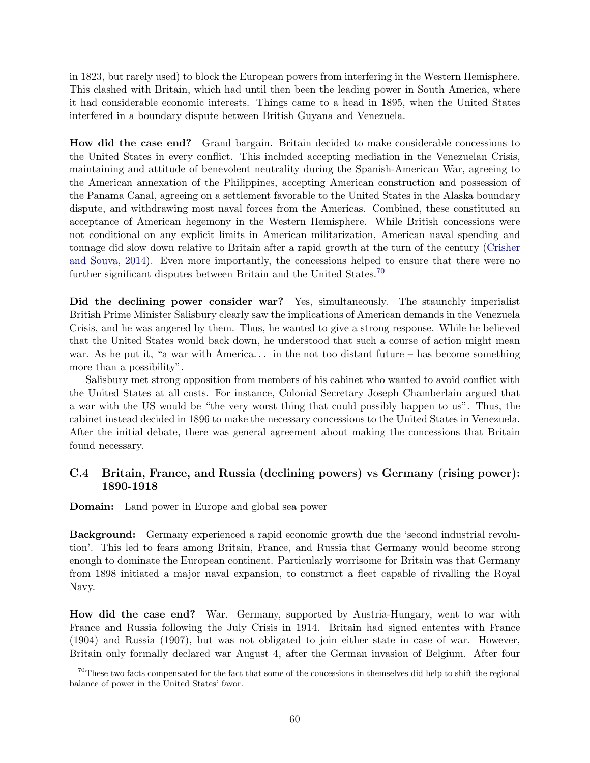in 1823, but rarely used) to block the European powers from interfering in the Western Hemisphere. This clashed with Britain, which had until then been the leading power in South America, where it had considerable economic interests. Things came to a head in 1895, when the United States interfered in a boundary dispute between British Guyana and Venezuela.

How did the case end? Grand bargain. Britain decided to make considerable concessions to the United States in every conflict. This included accepting mediation in the Venezuelan Crisis, maintaining and attitude of benevolent neutrality during the Spanish-American War, agreeing to the American annexation of the Philippines, accepting American construction and possession of the Panama Canal, agreeing on a settlement favorable to the United States in the Alaska boundary dispute, and withdrawing most naval forces from the Americas. Combined, these constituted an acceptance of American hegemony in the Western Hemisphere. While British concessions were not conditional on any explicit limits in American militarization, American naval spending and tonnage did slow down relative to Britain after a rapid growth at the turn of the century [\(Crisher](#page-32-17) [and Souva,](#page-32-17) [2014\)](#page-32-17). Even more importantly, the concessions helped to ensure that there were no further significant disputes between Britain and the United States.<sup>[70](#page-60-0)</sup>

Did the declining power consider war? Yes, simultaneously. The staunchly imperialist British Prime Minister Salisbury clearly saw the implications of American demands in the Venezuela Crisis, and he was angered by them. Thus, he wanted to give a strong response. While he believed that the United States would back down, he understood that such a course of action might mean war. As he put it, "a war with America... in the not too distant future – has become something more than a possibility".

Salisbury met strong opposition from members of his cabinet who wanted to avoid conflict with the United States at all costs. For instance, Colonial Secretary Joseph Chamberlain argued that a war with the US would be "the very worst thing that could possibly happen to us". Thus, the cabinet instead decided in 1896 to make the necessary concessions to the United States in Venezuela. After the initial debate, there was general agreement about making the concessions that Britain found necessary.

## C.4 Britain, France, and Russia (declining powers) vs Germany (rising power): 1890-1918

**Domain:** Land power in Europe and global sea power

Background: Germany experienced a rapid economic growth due the 'second industrial revolution'. This led to fears among Britain, France, and Russia that Germany would become strong enough to dominate the European continent. Particularly worrisome for Britain was that Germany from 1898 initiated a major naval expansion, to construct a fleet capable of rivalling the Royal Navy.

How did the case end? War. Germany, supported by Austria-Hungary, went to war with France and Russia following the July Crisis in 1914. Britain had signed ententes with France (1904) and Russia (1907), but was not obligated to join either state in case of war. However, Britain only formally declared war August 4, after the German invasion of Belgium. After four

<span id="page-60-0"></span> $70$ These two facts compensated for the fact that some of the concessions in themselves did help to shift the regional balance of power in the United States' favor.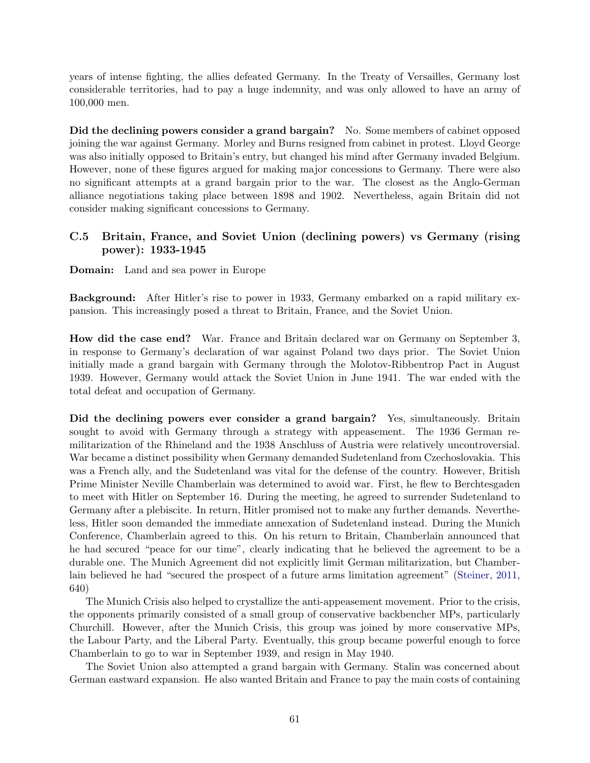years of intense fighting, the allies defeated Germany. In the Treaty of Versailles, Germany lost considerable territories, had to pay a huge indemnity, and was only allowed to have an army of 100,000 men.

Did the declining powers consider a grand bargain? No. Some members of cabinet opposed joining the war against Germany. Morley and Burns resigned from cabinet in protest. Lloyd George was also initially opposed to Britain's entry, but changed his mind after Germany invaded Belgium. However, none of these figures argued for making major concessions to Germany. There were also no significant attempts at a grand bargain prior to the war. The closest as the Anglo-German alliance negotiations taking place between 1898 and 1902. Nevertheless, again Britain did not consider making significant concessions to Germany.

## C.5 Britain, France, and Soviet Union (declining powers) vs Germany (rising power): 1933-1945

**Domain:** Land and sea power in Europe

Background: After Hitler's rise to power in 1933, Germany embarked on a rapid military expansion. This increasingly posed a threat to Britain, France, and the Soviet Union.

How did the case end? War. France and Britain declared war on Germany on September 3, in response to Germany's declaration of war against Poland two days prior. The Soviet Union initially made a grand bargain with Germany through the Molotov-Ribbentrop Pact in August 1939. However, Germany would attack the Soviet Union in June 1941. The war ended with the total defeat and occupation of Germany.

Did the declining powers ever consider a grand bargain? Yes, simultaneously. Britain sought to avoid with Germany through a strategy with appeasement. The 1936 German remilitarization of the Rhineland and the 1938 Anschluss of Austria were relatively uncontroversial. War became a distinct possibility when Germany demanded Sudetenland from Czechoslovakia. This was a French ally, and the Sudetenland was vital for the defense of the country. However, British Prime Minister Neville Chamberlain was determined to avoid war. First, he flew to Berchtesgaden to meet with Hitler on September 16. During the meeting, he agreed to surrender Sudetenland to Germany after a plebiscite. In return, Hitler promised not to make any further demands. Nevertheless, Hitler soon demanded the immediate annexation of Sudetenland instead. During the Munich Conference, Chamberlain agreed to this. On his return to Britain, Chamberlain announced that he had secured "peace for our time", clearly indicating that he believed the agreement to be a durable one. The Munich Agreement did not explicitly limit German militarization, but Chamberlain believed he had "secured the prospect of a future arms limitation agreement" [\(Steiner,](#page-35-18) [2011,](#page-35-18) 640)

The Munich Crisis also helped to crystallize the anti-appeasement movement. Prior to the crisis, the opponents primarily consisted of a small group of conservative backbencher MPs, particularly Churchill. However, after the Munich Crisis, this group was joined by more conservative MPs, the Labour Party, and the Liberal Party. Eventually, this group became powerful enough to force Chamberlain to go to war in September 1939, and resign in May 1940.

The Soviet Union also attempted a grand bargain with Germany. Stalin was concerned about German eastward expansion. He also wanted Britain and France to pay the main costs of containing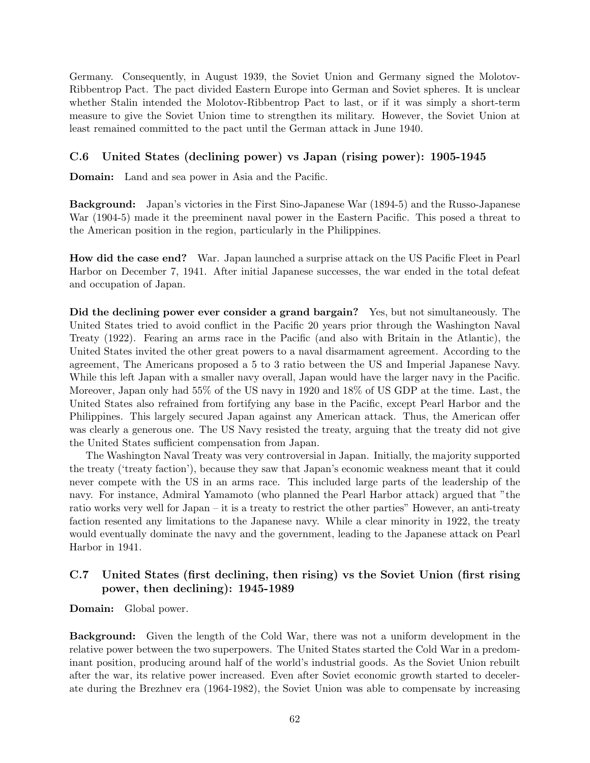Germany. Consequently, in August 1939, the Soviet Union and Germany signed the Molotov-Ribbentrop Pact. The pact divided Eastern Europe into German and Soviet spheres. It is unclear whether Stalin intended the Molotov-Ribbentrop Pact to last, or if it was simply a short-term measure to give the Soviet Union time to strengthen its military. However, the Soviet Union at least remained committed to the pact until the German attack in June 1940.

## C.6 United States (declining power) vs Japan (rising power): 1905-1945

Domain: Land and sea power in Asia and the Pacific.

Background: Japan's victories in the First Sino-Japanese War (1894-5) and the Russo-Japanese War (1904-5) made it the preeminent naval power in the Eastern Pacific. This posed a threat to the American position in the region, particularly in the Philippines.

How did the case end? War. Japan launched a surprise attack on the US Pacific Fleet in Pearl Harbor on December 7, 1941. After initial Japanese successes, the war ended in the total defeat and occupation of Japan.

Did the declining power ever consider a grand bargain? Yes, but not simultaneously. The United States tried to avoid conflict in the Pacific 20 years prior through the Washington Naval Treaty (1922). Fearing an arms race in the Pacific (and also with Britain in the Atlantic), the United States invited the other great powers to a naval disarmament agreement. According to the agreement, The Americans proposed a 5 to 3 ratio between the US and Imperial Japanese Navy. While this left Japan with a smaller navy overall, Japan would have the larger navy in the Pacific. Moreover, Japan only had 55% of the US navy in 1920 and 18% of US GDP at the time. Last, the United States also refrained from fortifying any base in the Pacific, except Pearl Harbor and the Philippines. This largely secured Japan against any American attack. Thus, the American offer was clearly a generous one. The US Navy resisted the treaty, arguing that the treaty did not give the United States sufficient compensation from Japan.

The Washington Naval Treaty was very controversial in Japan. Initially, the majority supported the treaty ('treaty faction'), because they saw that Japan's economic weakness meant that it could never compete with the US in an arms race. This included large parts of the leadership of the navy. For instance, Admiral Yamamoto (who planned the Pearl Harbor attack) argued that "the ratio works very well for Japan – it is a treaty to restrict the other parties" However, an anti-treaty faction resented any limitations to the Japanese navy. While a clear minority in 1922, the treaty would eventually dominate the navy and the government, leading to the Japanese attack on Pearl Harbor in 1941.

## C.7 United States (first declining, then rising) vs the Soviet Union (first rising power, then declining): 1945-1989

Domain: Global power.

Background: Given the length of the Cold War, there was not a uniform development in the relative power between the two superpowers. The United States started the Cold War in a predominant position, producing around half of the world's industrial goods. As the Soviet Union rebuilt after the war, its relative power increased. Even after Soviet economic growth started to decelerate during the Brezhnev era (1964-1982), the Soviet Union was able to compensate by increasing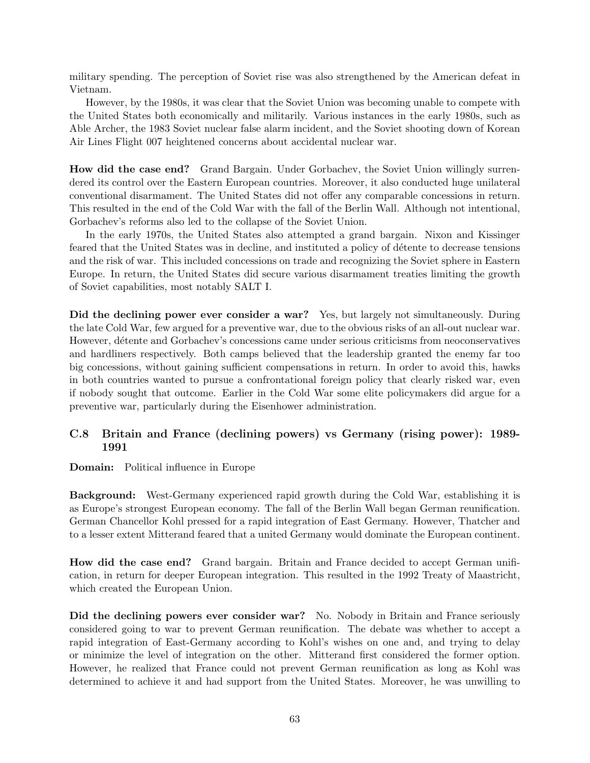military spending. The perception of Soviet rise was also strengthened by the American defeat in Vietnam.

However, by the 1980s, it was clear that the Soviet Union was becoming unable to compete with the United States both economically and militarily. Various instances in the early 1980s, such as Able Archer, the 1983 Soviet nuclear false alarm incident, and the Soviet shooting down of Korean Air Lines Flight 007 heightened concerns about accidental nuclear war.

How did the case end? Grand Bargain. Under Gorbachev, the Soviet Union willingly surrendered its control over the Eastern European countries. Moreover, it also conducted huge unilateral conventional disarmament. The United States did not offer any comparable concessions in return. This resulted in the end of the Cold War with the fall of the Berlin Wall. Although not intentional, Gorbachev's reforms also led to the collapse of the Soviet Union.

In the early 1970s, the United States also attempted a grand bargain. Nixon and Kissinger feared that the United States was in decline, and instituted a policy of détente to decrease tensions and the risk of war. This included concessions on trade and recognizing the Soviet sphere in Eastern Europe. In return, the United States did secure various disarmament treaties limiting the growth of Soviet capabilities, most notably SALT I.

Did the declining power ever consider a war? Yes, but largely not simultaneously. During the late Cold War, few argued for a preventive war, due to the obvious risks of an all-out nuclear war. However, détente and Gorbachev's concessions came under serious criticisms from neoconservatives and hardliners respectively. Both camps believed that the leadership granted the enemy far too big concessions, without gaining sufficient compensations in return. In order to avoid this, hawks in both countries wanted to pursue a confrontational foreign policy that clearly risked war, even if nobody sought that outcome. Earlier in the Cold War some elite policymakers did argue for a preventive war, particularly during the Eisenhower administration.

## C.8 Britain and France (declining powers) vs Germany (rising power): 1989- 1991

Domain: Political influence in Europe

Background: West-Germany experienced rapid growth during the Cold War, establishing it is as Europe's strongest European economy. The fall of the Berlin Wall began German reunification. German Chancellor Kohl pressed for a rapid integration of East Germany. However, Thatcher and to a lesser extent Mitterand feared that a united Germany would dominate the European continent.

How did the case end? Grand bargain. Britain and France decided to accept German unification, in return for deeper European integration. This resulted in the 1992 Treaty of Maastricht, which created the European Union.

Did the declining powers ever consider war? No. Nobody in Britain and France seriously considered going to war to prevent German reunification. The debate was whether to accept a rapid integration of East-Germany according to Kohl's wishes on one and, and trying to delay or minimize the level of integration on the other. Mitterand first considered the former option. However, he realized that France could not prevent German reunification as long as Kohl was determined to achieve it and had support from the United States. Moreover, he was unwilling to